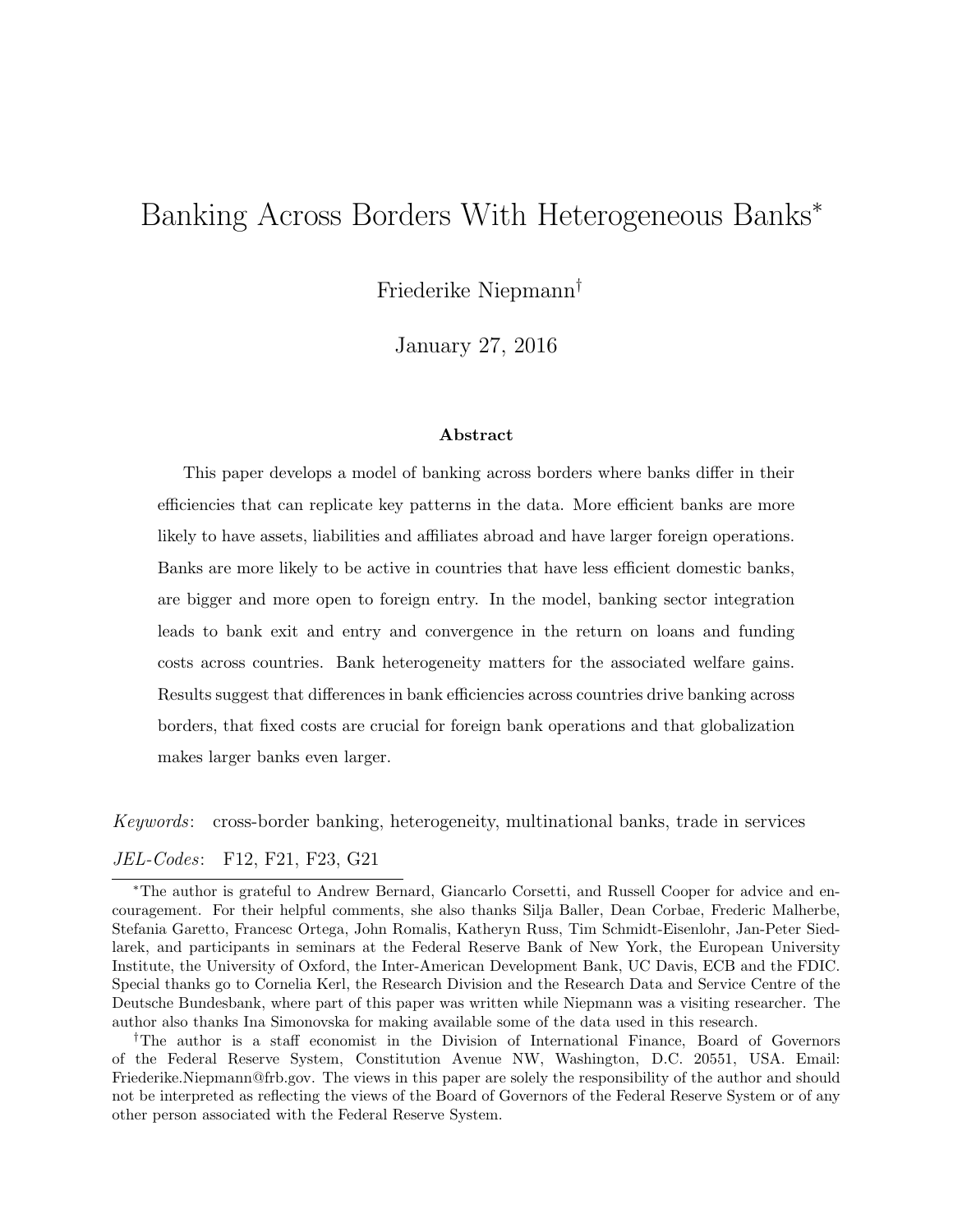# Banking Across Borders With Heterogeneous Banks<sup>∗</sup>

Friederike Niepmann†

January 27, 2016

#### Abstract

This paper develops a model of banking across borders where banks differ in their efficiencies that can replicate key patterns in the data. More efficient banks are more likely to have assets, liabilities and affiliates abroad and have larger foreign operations. Banks are more likely to be active in countries that have less efficient domestic banks, are bigger and more open to foreign entry. In the model, banking sector integration leads to bank exit and entry and convergence in the return on loans and funding costs across countries. Bank heterogeneity matters for the associated welfare gains. Results suggest that differences in bank efficiencies across countries drive banking across borders, that fixed costs are crucial for foreign bank operations and that globalization makes larger banks even larger.

Keywords: cross-border banking, heterogeneity, multinational banks, trade in services JEL-Codes: F12, F21, F23, G21

†The author is a staff economist in the Division of International Finance, Board of Governors of the Federal Reserve System, Constitution Avenue NW, Washington, D.C. 20551, USA. Email: Friederike.Niepmann@frb.gov. The views in this paper are solely the responsibility of the author and should not be interpreted as reflecting the views of the Board of Governors of the Federal Reserve System or of any other person associated with the Federal Reserve System.

<sup>∗</sup>The author is grateful to Andrew Bernard, Giancarlo Corsetti, and Russell Cooper for advice and encouragement. For their helpful comments, she also thanks Silja Baller, Dean Corbae, Frederic Malherbe, Stefania Garetto, Francesc Ortega, John Romalis, Katheryn Russ, Tim Schmidt-Eisenlohr, Jan-Peter Siedlarek, and participants in seminars at the Federal Reserve Bank of New York, the European University Institute, the University of Oxford, the Inter-American Development Bank, UC Davis, ECB and the FDIC. Special thanks go to Cornelia Kerl, the Research Division and the Research Data and Service Centre of the Deutsche Bundesbank, where part of this paper was written while Niepmann was a visiting researcher. The author also thanks Ina Simonovska for making available some of the data used in this research.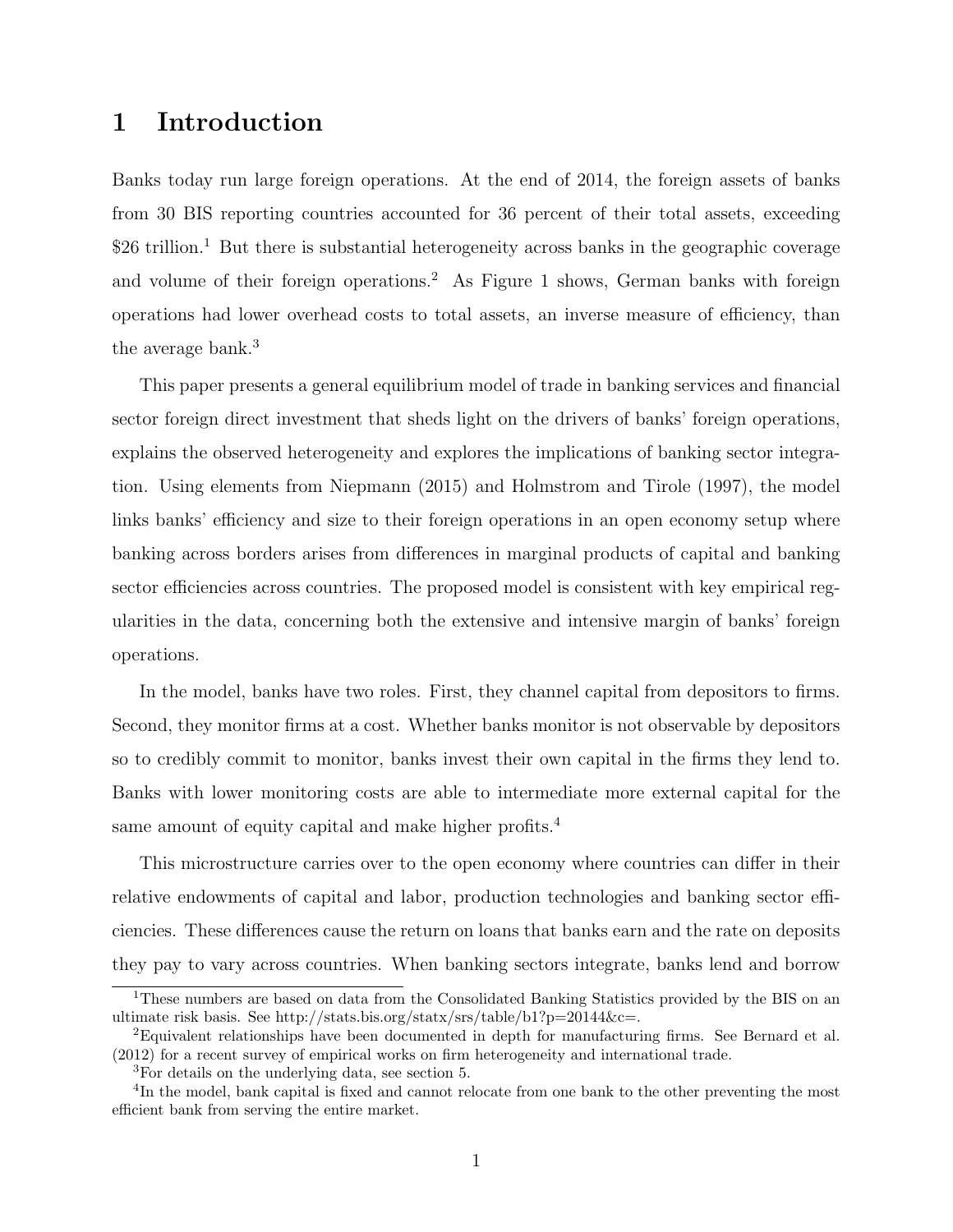# 1 Introduction

Banks today run large foreign operations. At the end of 2014, the foreign assets of banks from 30 BIS reporting countries accounted for 36 percent of their total assets, exceeding  $$26$  trillion.<sup>1</sup> But there is substantial heterogeneity across banks in the geographic coverage and volume of their foreign operations.<sup>2</sup> As Figure 1 shows, German banks with foreign operations had lower overhead costs to total assets, an inverse measure of efficiency, than the average bank.<sup>3</sup>

This paper presents a general equilibrium model of trade in banking services and financial sector foreign direct investment that sheds light on the drivers of banks' foreign operations, explains the observed heterogeneity and explores the implications of banking sector integration. Using elements from Niepmann (2015) and Holmstrom and Tirole (1997), the model links banks' efficiency and size to their foreign operations in an open economy setup where banking across borders arises from differences in marginal products of capital and banking sector efficiencies across countries. The proposed model is consistent with key empirical regularities in the data, concerning both the extensive and intensive margin of banks' foreign operations.

In the model, banks have two roles. First, they channel capital from depositors to firms. Second, they monitor firms at a cost. Whether banks monitor is not observable by depositors so to credibly commit to monitor, banks invest their own capital in the firms they lend to. Banks with lower monitoring costs are able to intermediate more external capital for the same amount of equity capital and make higher profits.<sup>4</sup>

This microstructure carries over to the open economy where countries can differ in their relative endowments of capital and labor, production technologies and banking sector efficiencies. These differences cause the return on loans that banks earn and the rate on deposits they pay to vary across countries. When banking sectors integrate, banks lend and borrow

<sup>&</sup>lt;sup>1</sup>These numbers are based on data from the Consolidated Banking Statistics provided by the BIS on an ultimate risk basis. See http://stats.bis.org/statx/srs/table/b1?p=20144&c=.

<sup>2</sup>Equivalent relationships have been documented in depth for manufacturing firms. See Bernard et al. (2012) for a recent survey of empirical works on firm heterogeneity and international trade.

<sup>3</sup>For details on the underlying data, see section 5.

<sup>&</sup>lt;sup>4</sup>In the model, bank capital is fixed and cannot relocate from one bank to the other preventing the most efficient bank from serving the entire market.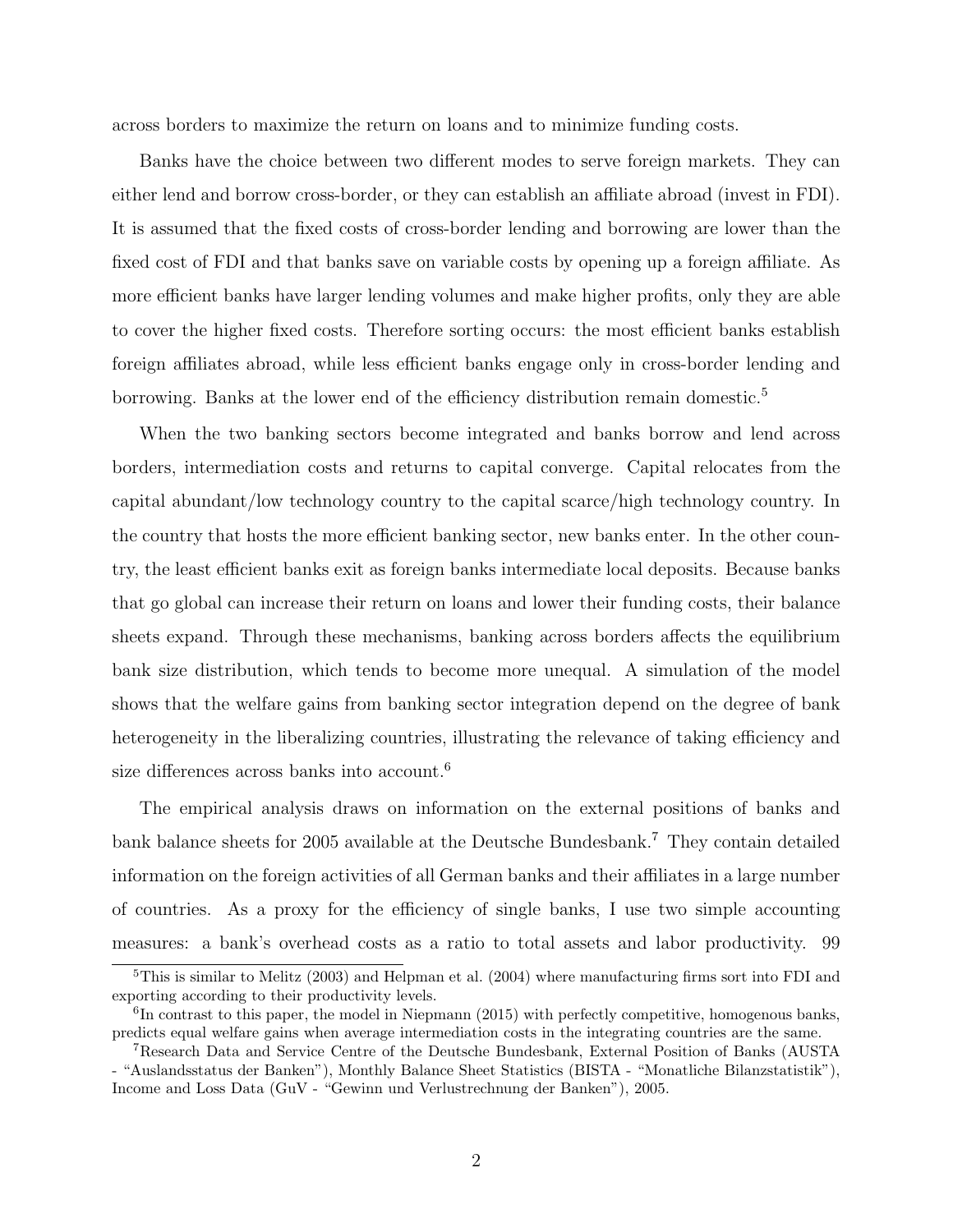across borders to maximize the return on loans and to minimize funding costs.

Banks have the choice between two different modes to serve foreign markets. They can either lend and borrow cross-border, or they can establish an affiliate abroad (invest in FDI). It is assumed that the fixed costs of cross-border lending and borrowing are lower than the fixed cost of FDI and that banks save on variable costs by opening up a foreign affiliate. As more efficient banks have larger lending volumes and make higher profits, only they are able to cover the higher fixed costs. Therefore sorting occurs: the most efficient banks establish foreign affiliates abroad, while less efficient banks engage only in cross-border lending and borrowing. Banks at the lower end of the efficiency distribution remain domestic.<sup>5</sup>

When the two banking sectors become integrated and banks borrow and lend across borders, intermediation costs and returns to capital converge. Capital relocates from the capital abundant/low technology country to the capital scarce/high technology country. In the country that hosts the more efficient banking sector, new banks enter. In the other country, the least efficient banks exit as foreign banks intermediate local deposits. Because banks that go global can increase their return on loans and lower their funding costs, their balance sheets expand. Through these mechanisms, banking across borders affects the equilibrium bank size distribution, which tends to become more unequal. A simulation of the model shows that the welfare gains from banking sector integration depend on the degree of bank heterogeneity in the liberalizing countries, illustrating the relevance of taking efficiency and size differences across banks into account.<sup>6</sup>

The empirical analysis draws on information on the external positions of banks and bank balance sheets for 2005 available at the Deutsche Bundesbank.<sup>7</sup> They contain detailed information on the foreign activities of all German banks and their affiliates in a large number of countries. As a proxy for the efficiency of single banks, I use two simple accounting measures: a bank's overhead costs as a ratio to total assets and labor productivity. 99

 $5$ This is similar to Melitz (2003) and Helpman et al. (2004) where manufacturing firms sort into FDI and exporting according to their productivity levels.

<sup>&</sup>lt;sup>6</sup>In contrast to this paper, the model in Niepmann (2015) with perfectly competitive, homogenous banks, predicts equal welfare gains when average intermediation costs in the integrating countries are the same.

<sup>7</sup>Research Data and Service Centre of the Deutsche Bundesbank, External Position of Banks (AUSTA - "Auslandsstatus der Banken"), Monthly Balance Sheet Statistics (BISTA - "Monatliche Bilanzstatistik"), Income and Loss Data (GuV - "Gewinn und Verlustrechnung der Banken"), 2005.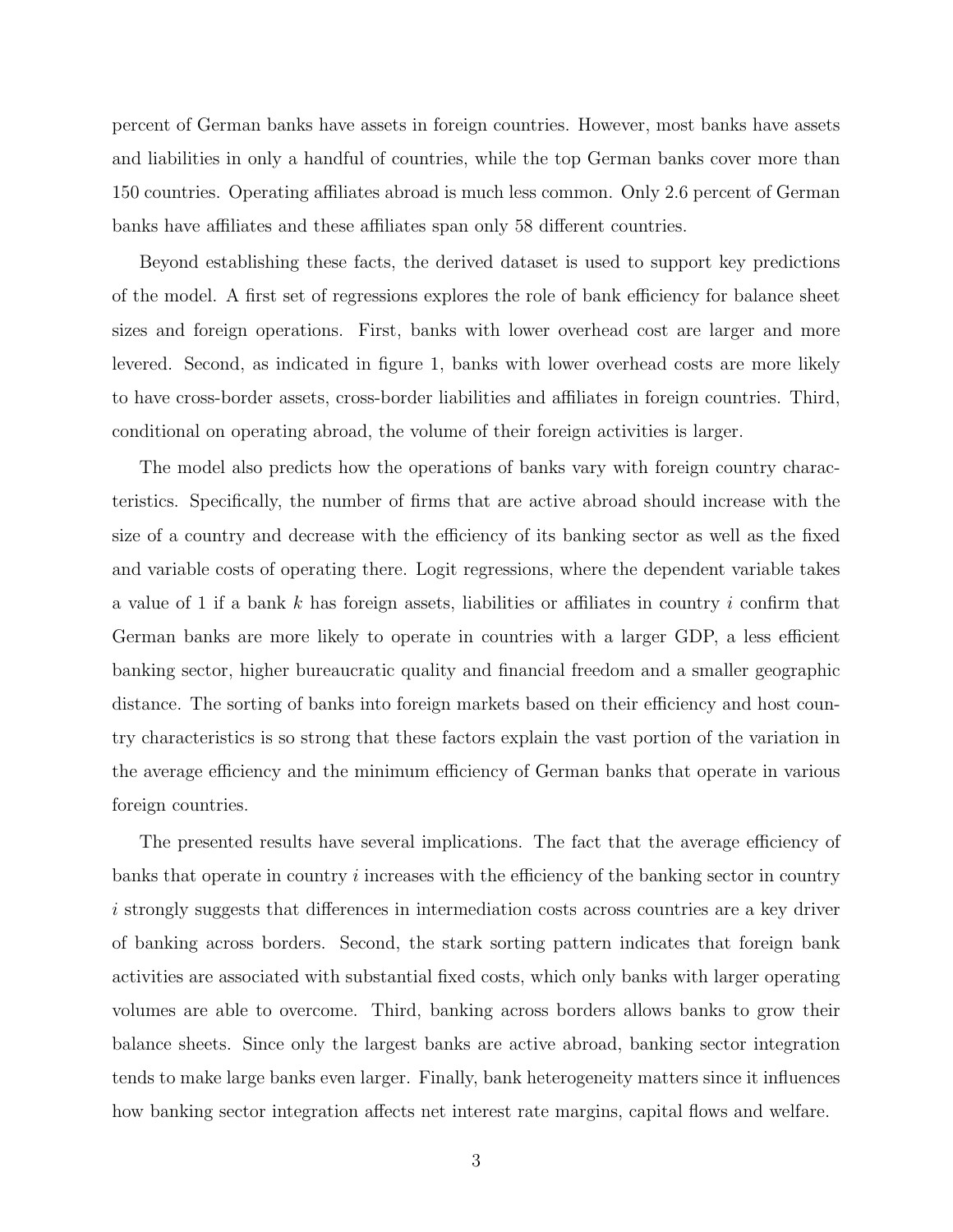percent of German banks have assets in foreign countries. However, most banks have assets and liabilities in only a handful of countries, while the top German banks cover more than 150 countries. Operating affiliates abroad is much less common. Only 2.6 percent of German banks have affiliates and these affiliates span only 58 different countries.

Beyond establishing these facts, the derived dataset is used to support key predictions of the model. A first set of regressions explores the role of bank efficiency for balance sheet sizes and foreign operations. First, banks with lower overhead cost are larger and more levered. Second, as indicated in figure 1, banks with lower overhead costs are more likely to have cross-border assets, cross-border liabilities and affiliates in foreign countries. Third, conditional on operating abroad, the volume of their foreign activities is larger.

The model also predicts how the operations of banks vary with foreign country characteristics. Specifically, the number of firms that are active abroad should increase with the size of a country and decrease with the efficiency of its banking sector as well as the fixed and variable costs of operating there. Logit regressions, where the dependent variable takes a value of 1 if a bank k has foreign assets, liabilities or affiliates in country i confirm that German banks are more likely to operate in countries with a larger GDP, a less efficient banking sector, higher bureaucratic quality and financial freedom and a smaller geographic distance. The sorting of banks into foreign markets based on their efficiency and host country characteristics is so strong that these factors explain the vast portion of the variation in the average efficiency and the minimum efficiency of German banks that operate in various foreign countries.

The presented results have several implications. The fact that the average efficiency of banks that operate in country  $i$  increases with the efficiency of the banking sector in country i strongly suggests that differences in intermediation costs across countries are a key driver of banking across borders. Second, the stark sorting pattern indicates that foreign bank activities are associated with substantial fixed costs, which only banks with larger operating volumes are able to overcome. Third, banking across borders allows banks to grow their balance sheets. Since only the largest banks are active abroad, banking sector integration tends to make large banks even larger. Finally, bank heterogeneity matters since it influences how banking sector integration affects net interest rate margins, capital flows and welfare.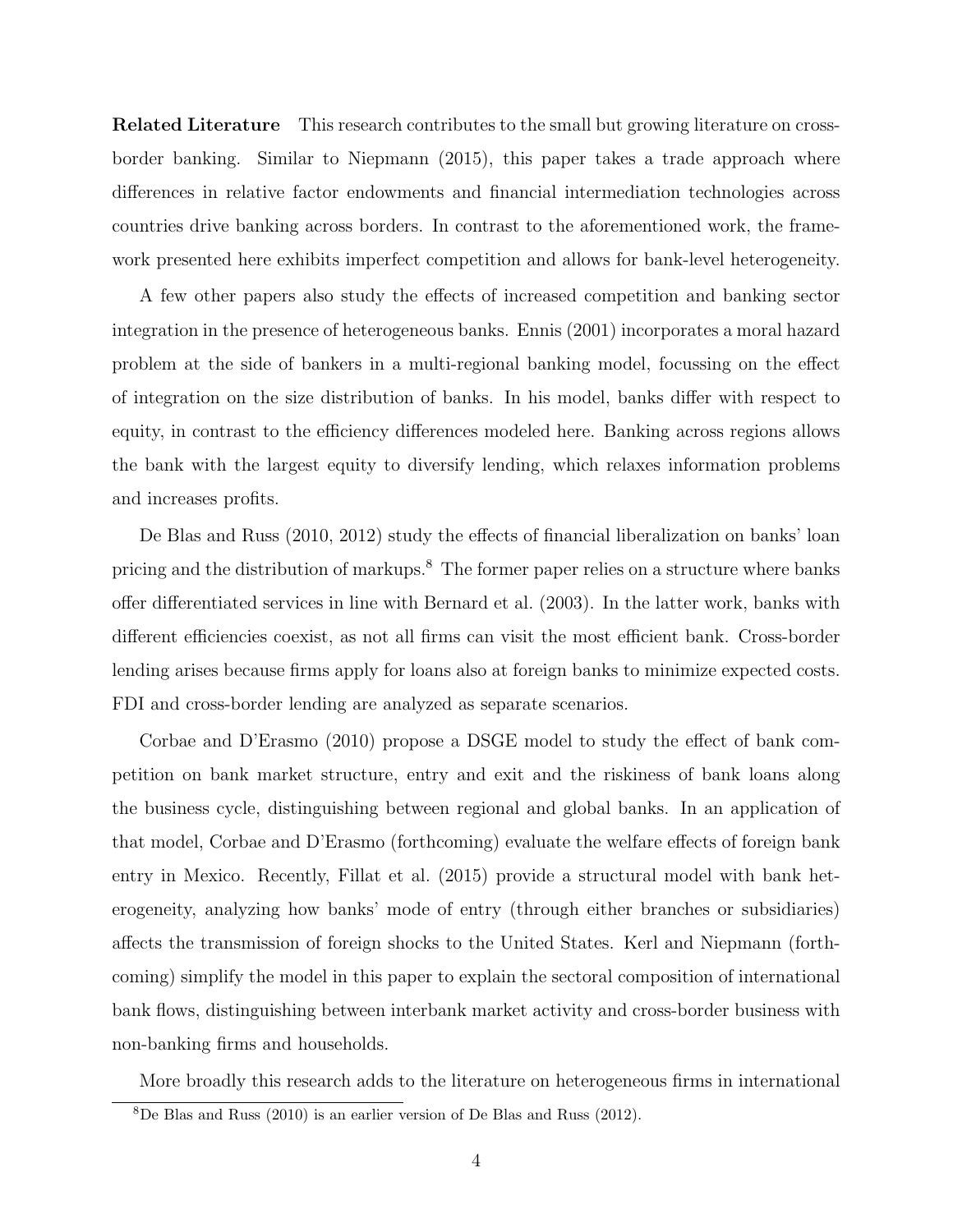Related Literature This research contributes to the small but growing literature on crossborder banking. Similar to Niepmann (2015), this paper takes a trade approach where differences in relative factor endowments and financial intermediation technologies across countries drive banking across borders. In contrast to the aforementioned work, the framework presented here exhibits imperfect competition and allows for bank-level heterogeneity.

A few other papers also study the effects of increased competition and banking sector integration in the presence of heterogeneous banks. Ennis (2001) incorporates a moral hazard problem at the side of bankers in a multi-regional banking model, focussing on the effect of integration on the size distribution of banks. In his model, banks differ with respect to equity, in contrast to the efficiency differences modeled here. Banking across regions allows the bank with the largest equity to diversify lending, which relaxes information problems and increases profits.

De Blas and Russ (2010, 2012) study the effects of financial liberalization on banks' loan pricing and the distribution of markups.<sup>8</sup> The former paper relies on a structure where banks offer differentiated services in line with Bernard et al. (2003). In the latter work, banks with different efficiencies coexist, as not all firms can visit the most efficient bank. Cross-border lending arises because firms apply for loans also at foreign banks to minimize expected costs. FDI and cross-border lending are analyzed as separate scenarios.

Corbae and D'Erasmo (2010) propose a DSGE model to study the effect of bank competition on bank market structure, entry and exit and the riskiness of bank loans along the business cycle, distinguishing between regional and global banks. In an application of that model, Corbae and D'Erasmo (forthcoming) evaluate the welfare effects of foreign bank entry in Mexico. Recently, Fillat et al. (2015) provide a structural model with bank heterogeneity, analyzing how banks' mode of entry (through either branches or subsidiaries) affects the transmission of foreign shocks to the United States. Kerl and Niepmann (forthcoming) simplify the model in this paper to explain the sectoral composition of international bank flows, distinguishing between interbank market activity and cross-border business with non-banking firms and households.

More broadly this research adds to the literature on heterogeneous firms in international

 $8$ De Blas and Russ (2010) is an earlier version of De Blas and Russ (2012).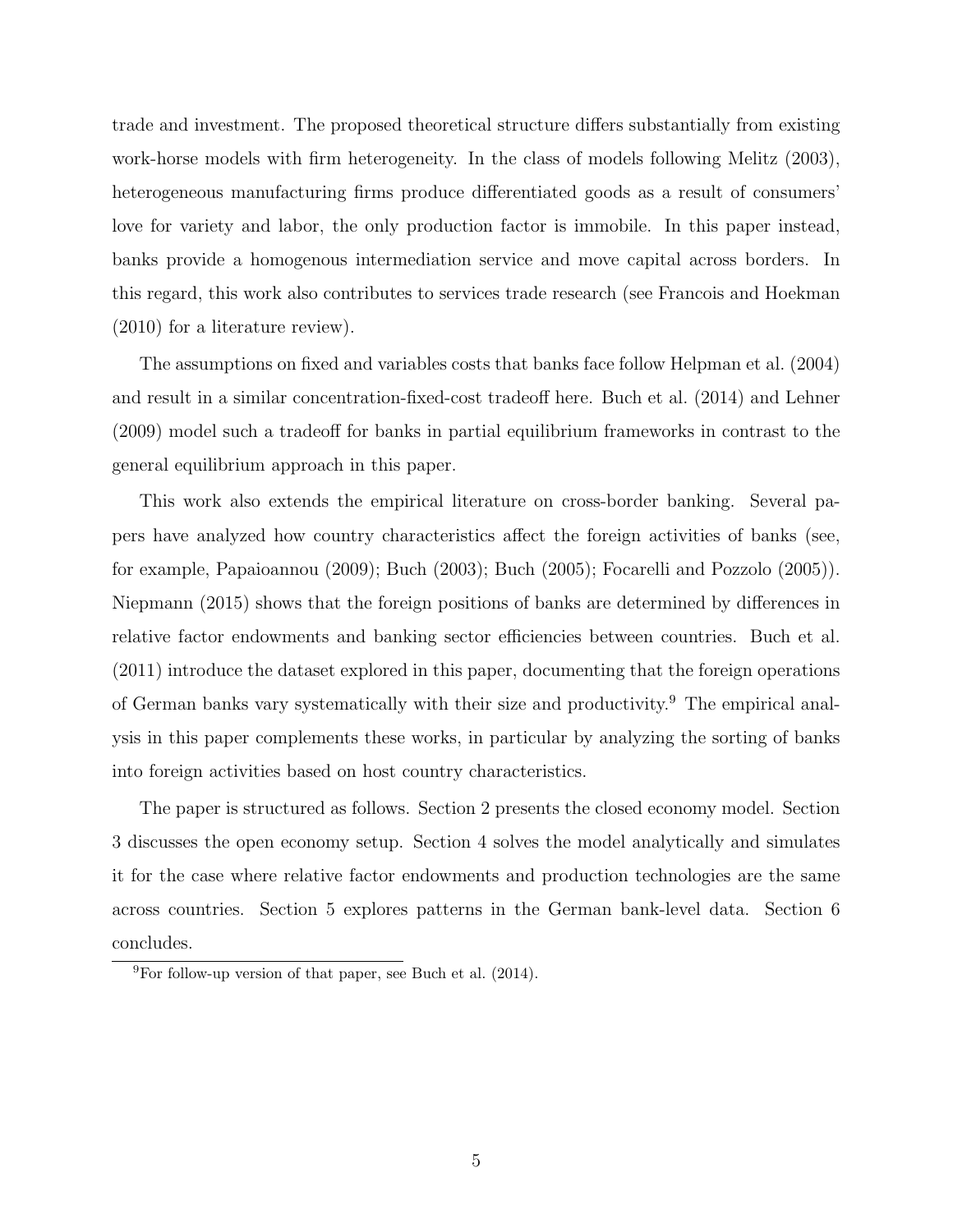trade and investment. The proposed theoretical structure differs substantially from existing work-horse models with firm heterogeneity. In the class of models following Melitz (2003), heterogeneous manufacturing firms produce differentiated goods as a result of consumers' love for variety and labor, the only production factor is immobile. In this paper instead, banks provide a homogenous intermediation service and move capital across borders. In this regard, this work also contributes to services trade research (see Francois and Hoekman (2010) for a literature review).

The assumptions on fixed and variables costs that banks face follow Helpman et al. (2004) and result in a similar concentration-fixed-cost tradeoff here. Buch et al. (2014) and Lehner (2009) model such a tradeoff for banks in partial equilibrium frameworks in contrast to the general equilibrium approach in this paper.

This work also extends the empirical literature on cross-border banking. Several papers have analyzed how country characteristics affect the foreign activities of banks (see, for example, Papaioannou (2009); Buch (2003); Buch (2005); Focarelli and Pozzolo (2005)). Niepmann (2015) shows that the foreign positions of banks are determined by differences in relative factor endowments and banking sector efficiencies between countries. Buch et al. (2011) introduce the dataset explored in this paper, documenting that the foreign operations of German banks vary systematically with their size and productivity.<sup>9</sup> The empirical analysis in this paper complements these works, in particular by analyzing the sorting of banks into foreign activities based on host country characteristics.

The paper is structured as follows. Section 2 presents the closed economy model. Section 3 discusses the open economy setup. Section 4 solves the model analytically and simulates it for the case where relative factor endowments and production technologies are the same across countries. Section 5 explores patterns in the German bank-level data. Section 6 concludes.

 ${}^{9}$ For follow-up version of that paper, see Buch et al. (2014).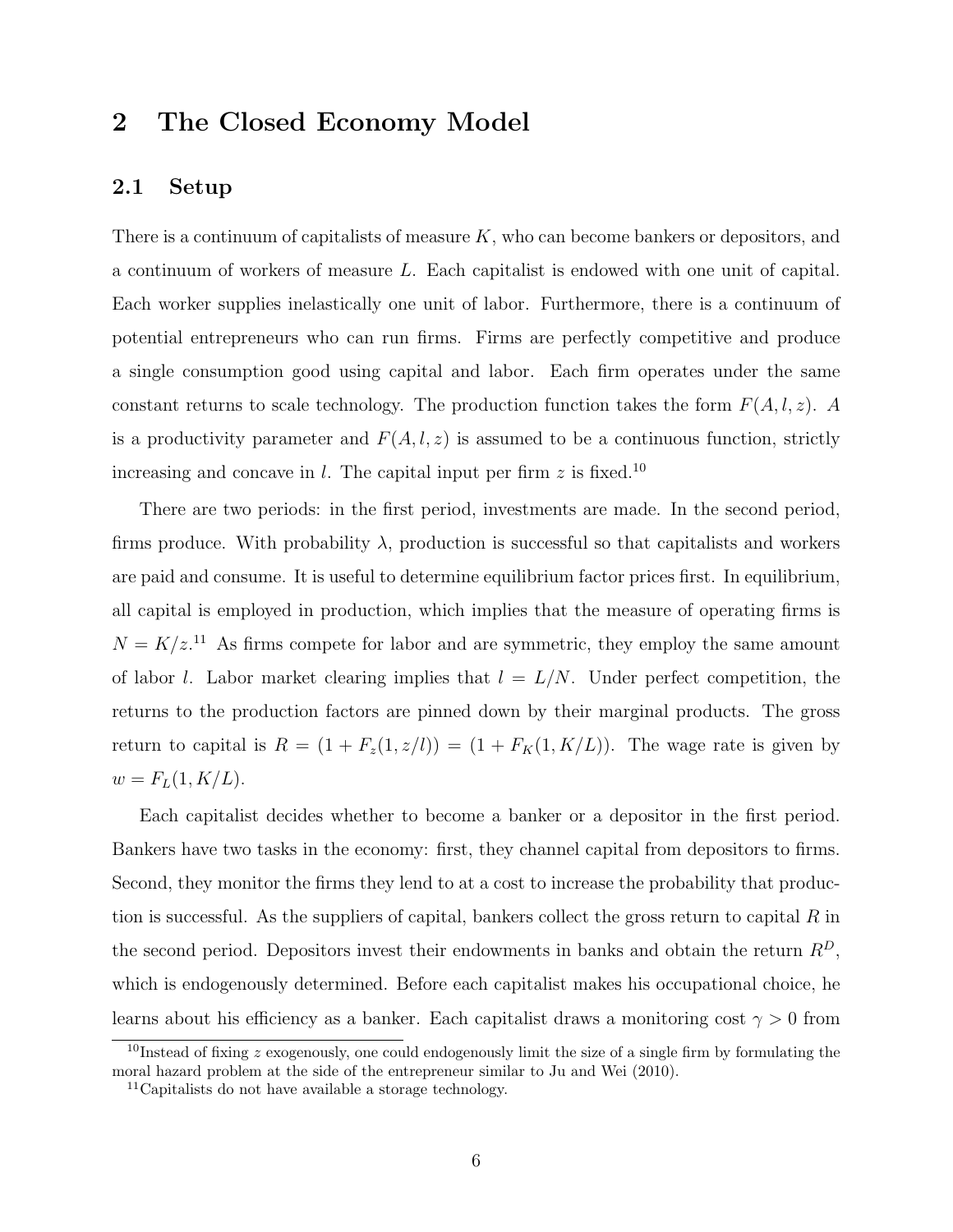# 2 The Closed Economy Model

### 2.1 Setup

There is a continuum of capitalists of measure K, who can become bankers or depositors, and a continuum of workers of measure L. Each capitalist is endowed with one unit of capital. Each worker supplies inelastically one unit of labor. Furthermore, there is a continuum of potential entrepreneurs who can run firms. Firms are perfectly competitive and produce a single consumption good using capital and labor. Each firm operates under the same constant returns to scale technology. The production function takes the form  $F(A, l, z)$ . A is a productivity parameter and  $F(A, l, z)$  is assumed to be a continuous function, strictly increasing and concave in  $l$ . The capital input per firm  $z$  is fixed.<sup>10</sup>

There are two periods: in the first period, investments are made. In the second period, firms produce. With probability  $\lambda$ , production is successful so that capitalists and workers are paid and consume. It is useful to determine equilibrium factor prices first. In equilibrium, all capital is employed in production, which implies that the measure of operating firms is  $N = K/z$ <sup>11</sup> As firms compete for labor and are symmetric, they employ the same amount of labor l. Labor market clearing implies that  $l = L/N$ . Under perfect competition, the returns to the production factors are pinned down by their marginal products. The gross return to capital is  $R = (1 + F_z(1, z/l)) = (1 + F_K(1, K/L))$ . The wage rate is given by  $w = F_L(1, K/L).$ 

Each capitalist decides whether to become a banker or a depositor in the first period. Bankers have two tasks in the economy: first, they channel capital from depositors to firms. Second, they monitor the firms they lend to at a cost to increase the probability that production is successful. As the suppliers of capital, bankers collect the gross return to capital  $R$  in the second period. Depositors invest their endowments in banks and obtain the return  $R<sup>D</sup>$ , which is endogenously determined. Before each capitalist makes his occupational choice, he learns about his efficiency as a banker. Each capitalist draws a monitoring cost  $\gamma > 0$  from

 $10$ Instead of fixing z exogenously, one could endogenously limit the size of a single firm by formulating the moral hazard problem at the side of the entrepreneur similar to Ju and Wei (2010).

 $11$ Capitalists do not have available a storage technology.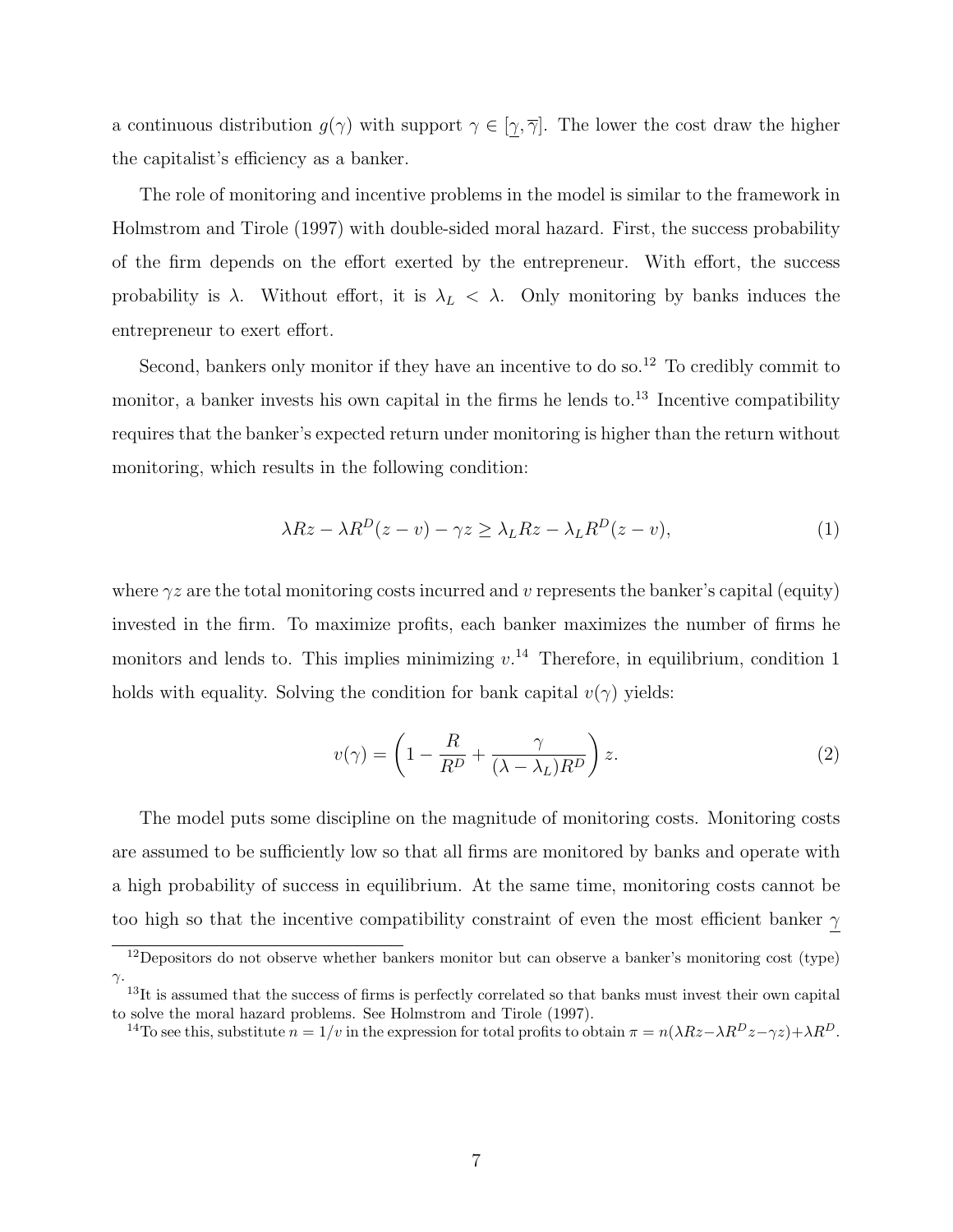a continuous distribution  $g(\gamma)$  with support  $\gamma \in [\gamma, \overline{\gamma}]$ . The lower the cost draw the higher the capitalist's efficiency as a banker.

The role of monitoring and incentive problems in the model is similar to the framework in Holmstrom and Tirole (1997) with double-sided moral hazard. First, the success probability of the firm depends on the effort exerted by the entrepreneur. With effort, the success probability is  $\lambda$ . Without effort, it is  $\lambda_L < \lambda$ . Only monitoring by banks induces the entrepreneur to exert effort.

Second, bankers only monitor if they have an incentive to do so.<sup>12</sup> To credibly commit to monitor, a banker invests his own capital in the firms he lends to. $^{13}$  Incentive compatibility requires that the banker's expected return under monitoring is higher than the return without monitoring, which results in the following condition:

$$
\lambda Rz - \lambda R^{D}(z - v) - \gamma z \geq \lambda_{L} Rz - \lambda_{L} R^{D}(z - v), \qquad (1)
$$

where  $\gamma z$  are the total monitoring costs incurred and v represents the banker's capital (equity) invested in the firm. To maximize profits, each banker maximizes the number of firms he monitors and lends to. This implies minimizing  $v^{14}$  Therefore, in equilibrium, condition 1 holds with equality. Solving the condition for bank capital  $v(\gamma)$  yields:

$$
v(\gamma) = \left(1 - \frac{R}{R^D} + \frac{\gamma}{(\lambda - \lambda_L)R^D}\right)z.
$$
 (2)

The model puts some discipline on the magnitude of monitoring costs. Monitoring costs are assumed to be sufficiently low so that all firms are monitored by banks and operate with a high probability of success in equilibrium. At the same time, monitoring costs cannot be too high so that the incentive compatibility constraint of even the most efficient banker  $\gamma$ 

<sup>14</sup>To see this, substitute  $n = 1/v$  in the expression for total profits to obtain  $\pi = n(\lambda Rz - \lambda R^Dz - \gamma z) + \lambda R^D$ .

<sup>&</sup>lt;sup>12</sup>Depositors do not observe whether bankers monitor but can observe a banker's monitoring cost (type) γ.

<sup>&</sup>lt;sup>13</sup>It is assumed that the success of firms is perfectly correlated so that banks must invest their own capital to solve the moral hazard problems. See Holmstrom and Tirole (1997).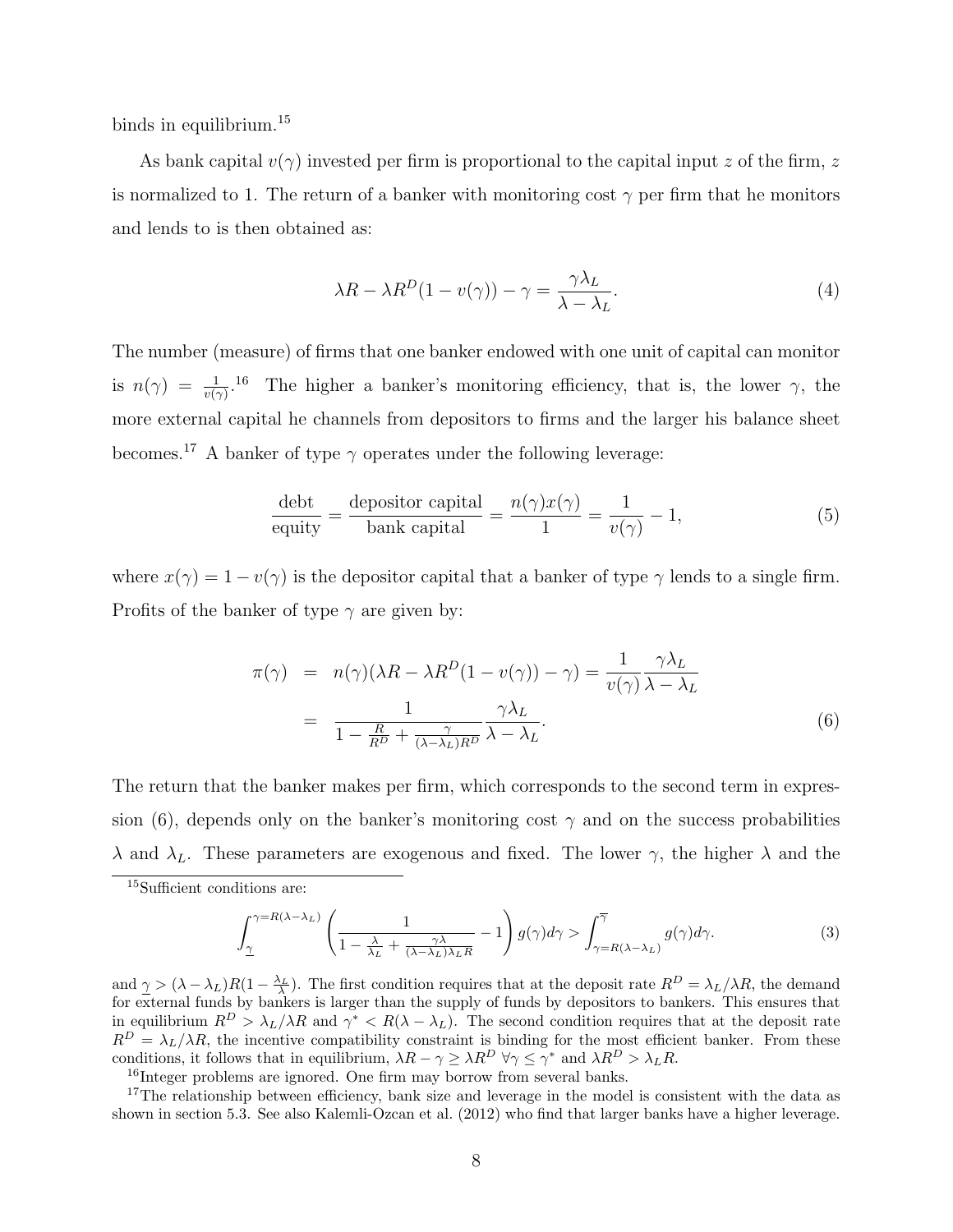binds in equilibrium.<sup>15</sup>

As bank capital  $v(\gamma)$  invested per firm is proportional to the capital input z of the firm, z is normalized to 1. The return of a banker with monitoring cost  $\gamma$  per firm that he monitors and lends to is then obtained as:

$$
\lambda R - \lambda R^{D} (1 - v(\gamma)) - \gamma = \frac{\gamma \lambda_{L}}{\lambda - \lambda_{L}}.
$$
\n(4)

The number (measure) of firms that one banker endowed with one unit of capital can monitor is  $n(\gamma) = \frac{1}{v(\gamma)}$ .<sup>16</sup> The higher a banker's monitoring efficiency, that is, the lower  $\gamma$ , the more external capital he channels from depositors to firms and the larger his balance sheet becomes.<sup>17</sup> A banker of type  $\gamma$  operates under the following leverage:

$$
\frac{\text{debt}}{\text{equity}} = \frac{\text{depositor capital}}{\text{bank capital}} = \frac{n(\gamma)x(\gamma)}{1} = \frac{1}{v(\gamma)} - 1,\tag{5}
$$

where  $x(\gamma) = 1 - v(\gamma)$  is the depositor capital that a banker of type  $\gamma$  lends to a single firm. Profits of the banker of type  $\gamma$  are given by:

$$
\pi(\gamma) = n(\gamma)(\lambda R - \lambda R^{D}(1 - v(\gamma)) - \gamma) = \frac{1}{v(\gamma)} \frac{\gamma \lambda_L}{\lambda - \lambda_L}
$$

$$
= \frac{1}{1 - \frac{R}{R^{D}} + \frac{\gamma}{(\lambda - \lambda_L)R^{D}}} \frac{\gamma \lambda_L}{\lambda - \lambda_L}.
$$
(6)

The return that the banker makes per firm, which corresponds to the second term in expression (6), depends only on the banker's monitoring cost  $\gamma$  and on the success probabilities  $\lambda$  and  $\lambda_L$ . These parameters are exogenous and fixed. The lower  $\gamma$ , the higher  $\lambda$  and the

$$
\int_{\underline{\gamma}}^{\gamma=R(\lambda-\lambda_L)} \left( \frac{1}{1-\frac{\lambda}{\lambda_L} + \frac{\gamma \lambda}{(\lambda-\lambda_L)\lambda_L R}} - 1 \right) g(\gamma) d\gamma > \int_{\gamma=R(\lambda-\lambda_L)}^{\overline{\gamma}} g(\gamma) d\gamma.
$$
 (3)

and  $\underline{\gamma} > (\lambda - \lambda_L)R(1 - \frac{\lambda_L}{\lambda})$ . The first condition requires that at the deposit rate  $R^D = \lambda_L/\lambda R$ , the demand for external funds by bankers is larger than the supply of funds by depositors to bankers. This ensures that in equilibrium  $R^D > \lambda_L/\lambda R$  and  $\gamma^* < R(\lambda - \lambda_L)$ . The second condition requires that at the deposit rate  $R^D = \lambda_L/\lambda R$ , the incentive compatibility constraint is binding for the most efficient banker. From these conditions, it follows that in equilibrium,  $\lambda R - \gamma \geq \lambda R^D \ \forall \gamma \leq \gamma^*$  and  $\lambda R^D > \lambda_L R$ .

<sup>16</sup>Integer problems are ignored. One firm may borrow from several banks.

<sup>17</sup>The relationship between efficiency, bank size and leverage in the model is consistent with the data as shown in section 5.3. See also Kalemli-Ozcan et al. (2012) who find that larger banks have a higher leverage.

<sup>15</sup>Sufficient conditions are: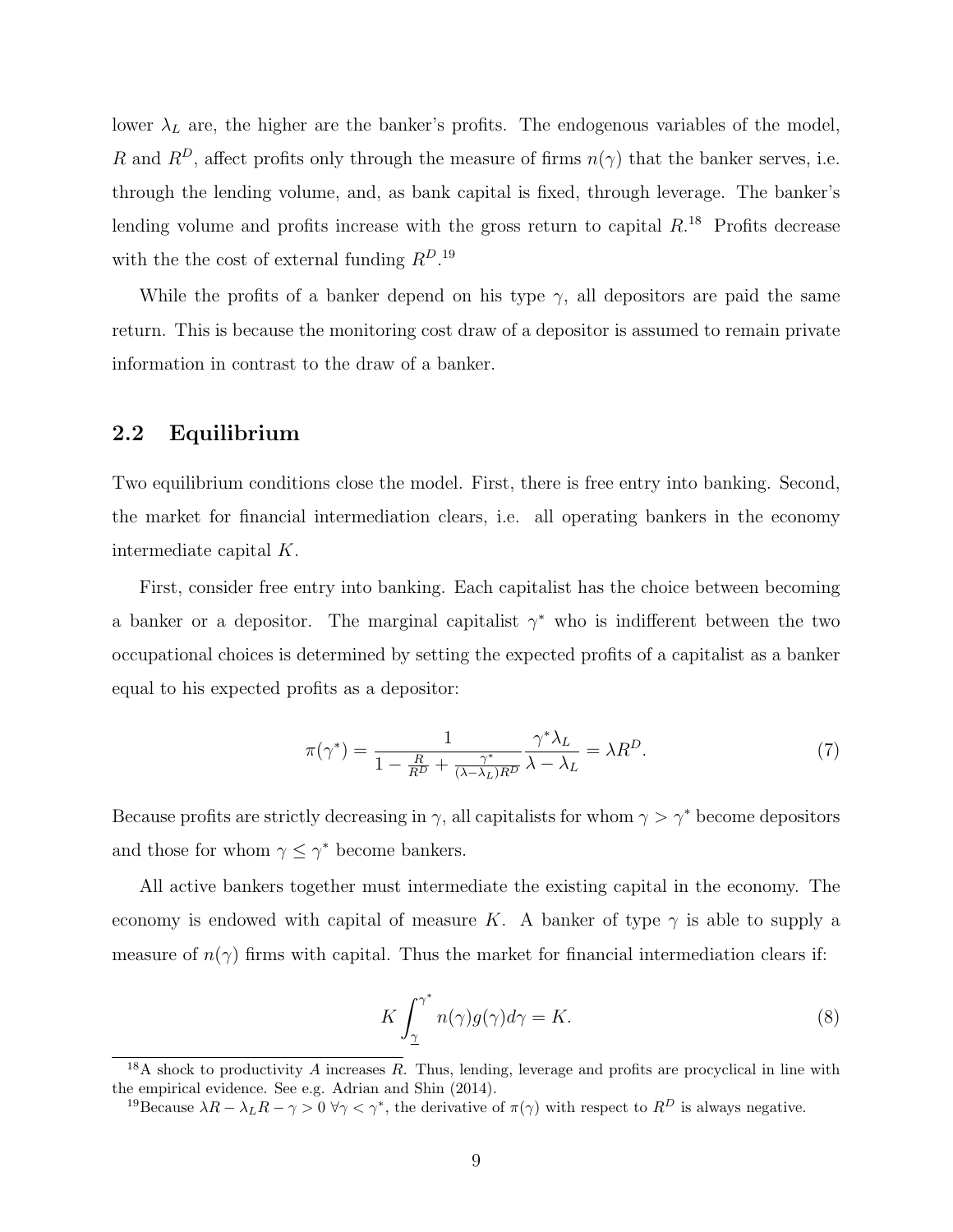lower  $\lambda_L$  are, the higher are the banker's profits. The endogenous variables of the model, R and  $R^D$ , affect profits only through the measure of firms  $n(\gamma)$  that the banker serves, i.e. through the lending volume, and, as bank capital is fixed, through leverage. The banker's lending volume and profits increase with the gross return to capital  $R^{18}$  Profits decrease with the the cost of external funding  $R^{D.19}$ 

While the profits of a banker depend on his type  $\gamma$ , all depositors are paid the same return. This is because the monitoring cost draw of a depositor is assumed to remain private information in contrast to the draw of a banker.

### 2.2 Equilibrium

Two equilibrium conditions close the model. First, there is free entry into banking. Second, the market for financial intermediation clears, i.e. all operating bankers in the economy intermediate capital K.

First, consider free entry into banking. Each capitalist has the choice between becoming a banker or a depositor. The marginal capitalist  $\gamma^*$  who is indifferent between the two occupational choices is determined by setting the expected profits of a capitalist as a banker equal to his expected profits as a depositor:

$$
\pi(\gamma^*) = \frac{1}{1 - \frac{R}{R^D} + \frac{\gamma^*}{(\lambda - \lambda_L)R^D}} \frac{\gamma^* \lambda_L}{\lambda - \lambda_L} = \lambda R^D.
$$
\n(7)

Because profits are strictly decreasing in  $\gamma$ , all capitalists for whom  $\gamma > \gamma^*$  become depositors and those for whom  $\gamma \leq \gamma^*$  become bankers.

All active bankers together must intermediate the existing capital in the economy. The economy is endowed with capital of measure K. A banker of type  $\gamma$  is able to supply a measure of  $n(\gamma)$  firms with capital. Thus the market for financial intermediation clears if:

$$
K \int_{\underline{\gamma}}^{\gamma^*} n(\gamma) g(\gamma) d\gamma = K. \tag{8}
$$

 $18A$  shock to productivity A increases R. Thus, lending, leverage and profits are procyclical in line with the empirical evidence. See e.g. Adrian and Shin (2014).

<sup>&</sup>lt;sup>19</sup>Because  $\lambda R - \lambda_L R - \gamma > 0$   $\forall \gamma < \gamma^*$ , the derivative of  $\pi(\gamma)$  with respect to  $R^D$  is always negative.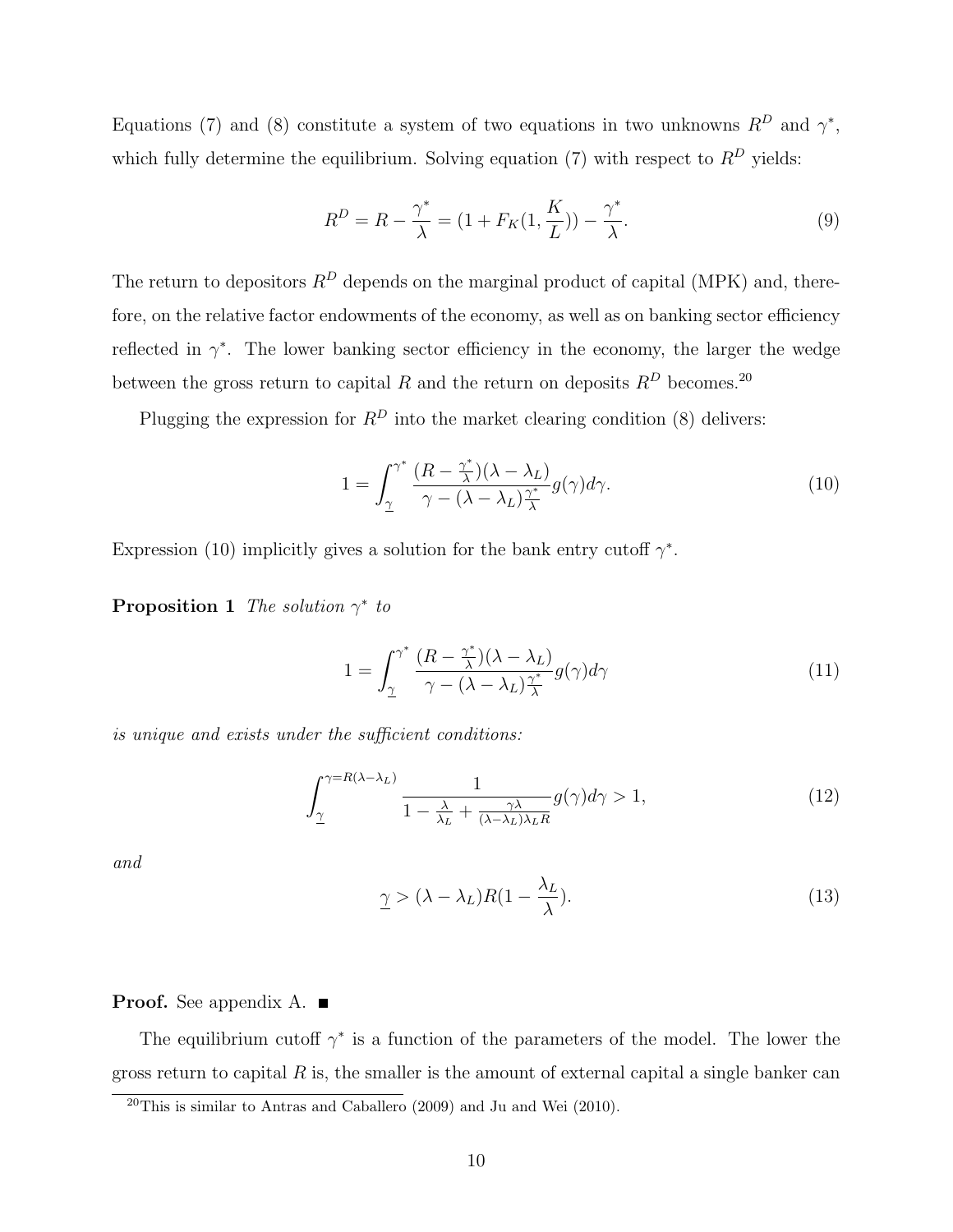Equations (7) and (8) constitute a system of two equations in two unknowns  $R^D$  and  $\gamma^*$ , which fully determine the equilibrium. Solving equation (7) with respect to  $R^D$  yields:

$$
R^{D} = R - \frac{\gamma^{*}}{\lambda} = (1 + F_{K}(1, \frac{K}{L})) - \frac{\gamma^{*}}{\lambda}.
$$
\n(9)

The return to depositors  $R^D$  depends on the marginal product of capital (MPK) and, therefore, on the relative factor endowments of the economy, as well as on banking sector efficiency reflected in  $\gamma^*$ . The lower banking sector efficiency in the economy, the larger the wedge between the gross return to capital  $R$  and the return on deposits  $R^D$  becomes.<sup>20</sup>

Plugging the expression for  $R^D$  into the market clearing condition (8) delivers:

$$
1 = \int_{\underline{\gamma}}^{\gamma^*} \frac{(R - \frac{\gamma^*}{\lambda})(\lambda - \lambda_L)}{\gamma - (\lambda - \lambda_L)\frac{\gamma^*}{\lambda}} g(\gamma) d\gamma.
$$
 (10)

Expression (10) implicitly gives a solution for the bank entry cutoff  $\gamma^*$ .

**Proposition 1** The solution  $\gamma^*$  to

$$
1 = \int_{\underline{\gamma}}^{\gamma^*} \frac{(R - \frac{\gamma^*}{\lambda})(\lambda - \lambda_L)}{\gamma - (\lambda - \lambda_L)\frac{\gamma^*}{\lambda}} g(\gamma) d\gamma \tag{11}
$$

is unique and exists under the sufficient conditions:

$$
\int_{\underline{\gamma}}^{\gamma = R(\lambda - \lambda_L)} \frac{1}{1 - \frac{\lambda}{\lambda_L} + \frac{\gamma \lambda}{(\lambda - \lambda_L)\lambda_L R}} g(\gamma) d\gamma > 1,
$$
\n(12)

and

$$
\underline{\gamma} > (\lambda - \lambda_L)R(1 - \frac{\lambda_L}{\lambda}).\tag{13}
$$

#### **Proof.** See appendix A.  $\blacksquare$

The equilibrium cutoff  $\gamma^*$  is a function of the parameters of the model. The lower the gross return to capital  $R$  is, the smaller is the amount of external capital a single banker can

 $20$ This is similar to Antras and Caballero (2009) and Ju and Wei (2010).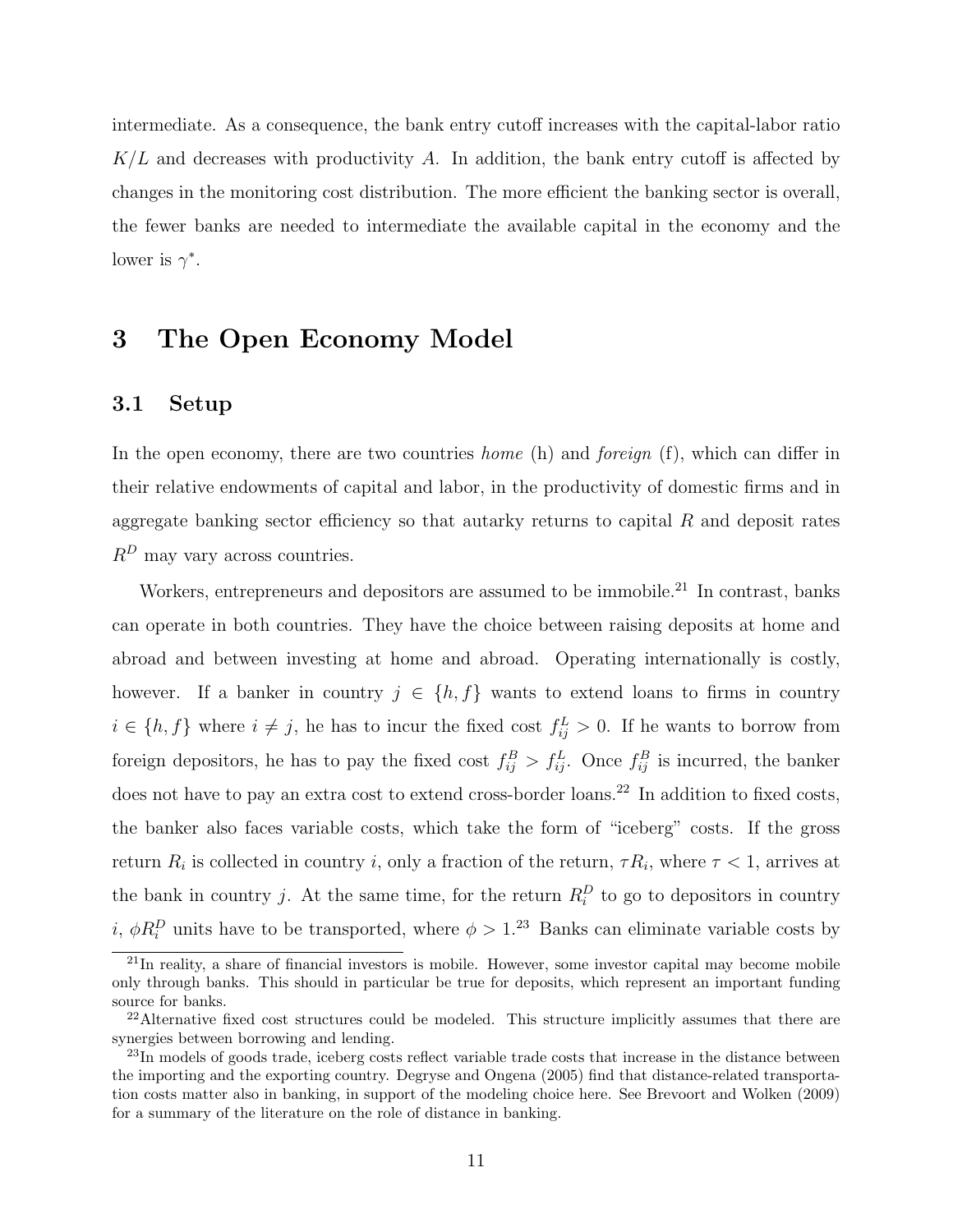intermediate. As a consequence, the bank entry cutoff increases with the capital-labor ratio  $K/L$  and decreases with productivity A. In addition, the bank entry cutoff is affected by changes in the monitoring cost distribution. The more efficient the banking sector is overall, the fewer banks are needed to intermediate the available capital in the economy and the lower is  $\gamma^*$ .

# 3 The Open Economy Model

### 3.1 Setup

In the open economy, there are two countries *home* (h) and *foreign* (f), which can differ in their relative endowments of capital and labor, in the productivity of domestic firms and in aggregate banking sector efficiency so that autarky returns to capital  $R$  and deposit rates  $R^D$  may vary across countries.

Workers, entrepreneurs and depositors are assumed to be immobile. $^{21}$  In contrast, banks can operate in both countries. They have the choice between raising deposits at home and abroad and between investing at home and abroad. Operating internationally is costly, however. If a banker in country  $j \in \{h, f\}$  wants to extend loans to firms in country  $i \in \{h, f\}$  where  $i \neq j$ , he has to incur the fixed cost  $f_{ij}^L > 0$ . If he wants to borrow from foreign depositors, he has to pay the fixed cost  $f_{ij}^B > f_{ij}^L$ . Once  $f_{ij}^B$  is incurred, the banker does not have to pay an extra cost to extend cross-border loans.<sup>22</sup> In addition to fixed costs, the banker also faces variable costs, which take the form of "iceberg" costs. If the gross return  $R_i$  is collected in country i, only a fraction of the return,  $\tau R_i$ , where  $\tau < 1$ , arrives at the bank in country j. At the same time, for the return  $R_i^D$  to go to depositors in country *i*,  $\phi R_i^D$  units have to be transported, where  $\phi > 1$ .<sup>23</sup> Banks can eliminate variable costs by

 $^{21}$ In reality, a share of financial investors is mobile. However, some investor capital may become mobile only through banks. This should in particular be true for deposits, which represent an important funding source for banks.

<sup>&</sup>lt;sup>22</sup>Alternative fixed cost structures could be modeled. This structure implicitly assumes that there are synergies between borrowing and lending.

<sup>&</sup>lt;sup>23</sup>In models of goods trade, iceberg costs reflect variable trade costs that increase in the distance between the importing and the exporting country. Degryse and Ongena (2005) find that distance-related transportation costs matter also in banking, in support of the modeling choice here. See Brevoort and Wolken (2009) for a summary of the literature on the role of distance in banking.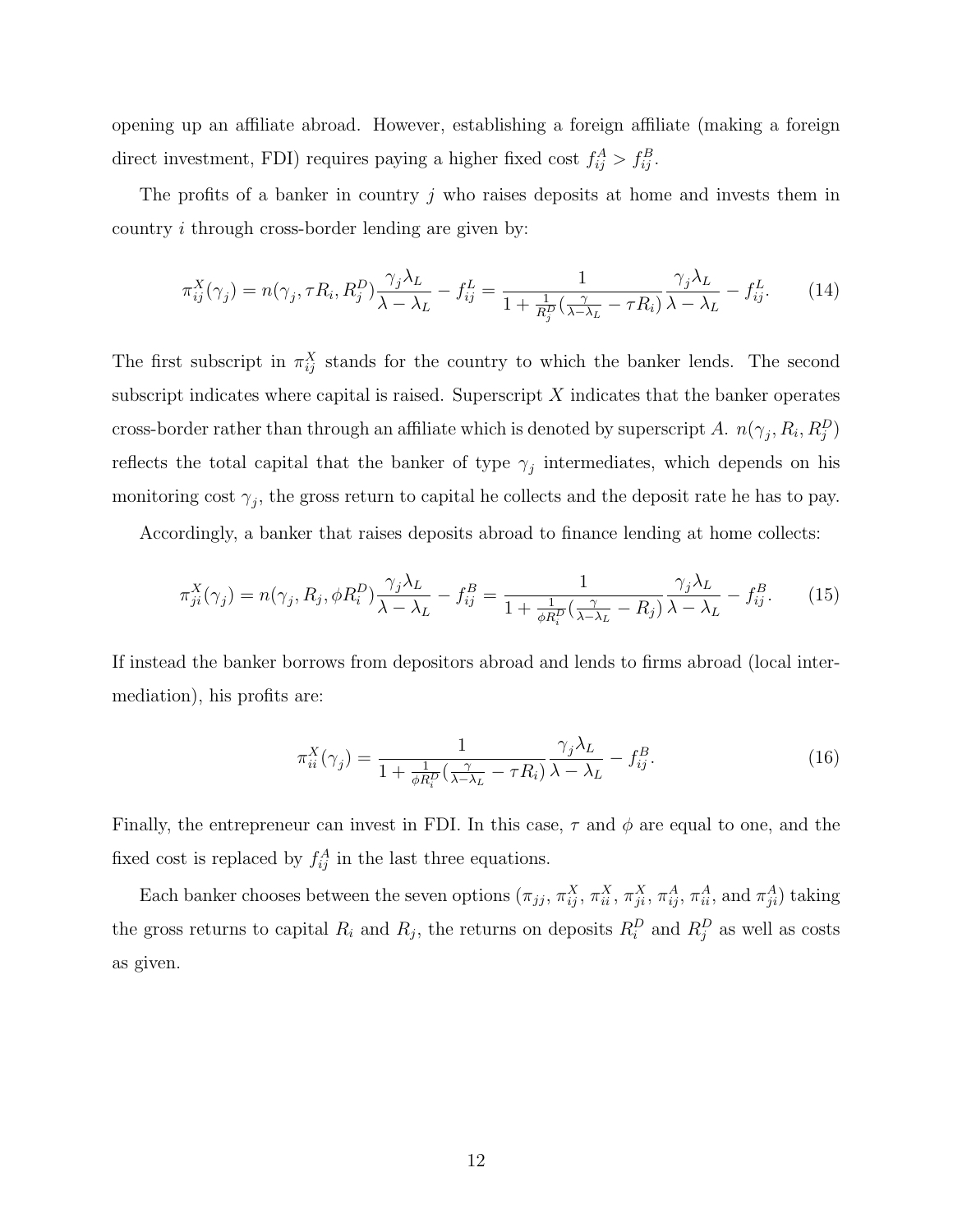opening up an affiliate abroad. However, establishing a foreign affiliate (making a foreign direct investment, FDI) requires paying a higher fixed cost  $f_{ij}^A > f_{ij}^B$ .

The profits of a banker in country  $j$  who raises deposits at home and invests them in country i through cross-border lending are given by:

$$
\pi_{ij}^X(\gamma_j) = n(\gamma_j, \tau R_i, R_j^D) \frac{\gamma_j \lambda_L}{\lambda - \lambda_L} - f_{ij}^L = \frac{1}{1 + \frac{1}{R_j^D} (\frac{\gamma}{\lambda - \lambda_L} - \tau R_i)} \frac{\gamma_j \lambda_L}{\lambda - \lambda_L} - f_{ij}^L.
$$
 (14)

The first subscript in  $\pi_{ij}^X$  stands for the country to which the banker lends. The second subscript indicates where capital is raised. Superscript  $X$  indicates that the banker operates cross-border rather than through an affiliate which is denoted by superscript A.  $n(\gamma_j, R_i, R_j^D)$ reflects the total capital that the banker of type  $\gamma_j$  intermediates, which depends on his monitoring cost  $\gamma_j$ , the gross return to capital he collects and the deposit rate he has to pay.

Accordingly, a banker that raises deposits abroad to finance lending at home collects:

$$
\pi_{ji}^X(\gamma_j) = n(\gamma_j, R_j, \phi R_i^D) \frac{\gamma_j \lambda_L}{\lambda - \lambda_L} - f_{ij}^B = \frac{1}{1 + \frac{1}{\phi R_i^D} (\frac{\gamma}{\lambda - \lambda_L} - R_j)} \frac{\gamma_j \lambda_L}{\lambda - \lambda_L} - f_{ij}^B.
$$
 (15)

If instead the banker borrows from depositors abroad and lends to firms abroad (local intermediation), his profits are:

$$
\pi_{ii}^X(\gamma_j) = \frac{1}{1 + \frac{1}{\phi R_i^D} \left(\frac{\gamma}{\lambda - \lambda_L} - \tau R_i\right)} \frac{\gamma_j \lambda_L}{\lambda - \lambda_L} - f_{ij}^B.
$$
\n(16)

Finally, the entrepreneur can invest in FDI. In this case,  $\tau$  and  $\phi$  are equal to one, and the fixed cost is replaced by  $f_{ij}^A$  in the last three equations.

Each banker chooses between the seven options  $(\pi_{jj}, \pi_{ij}^X, \pi_{ii}^X, \pi_{ji}^X, \pi_{ij}^A, \pi_{ii}^A$ , and  $\pi_{ji}^A$ ) taking the gross returns to capital  $R_i$  and  $R_j$ , the returns on deposits  $R_i^D$  and  $R_j^D$  as well as costs as given.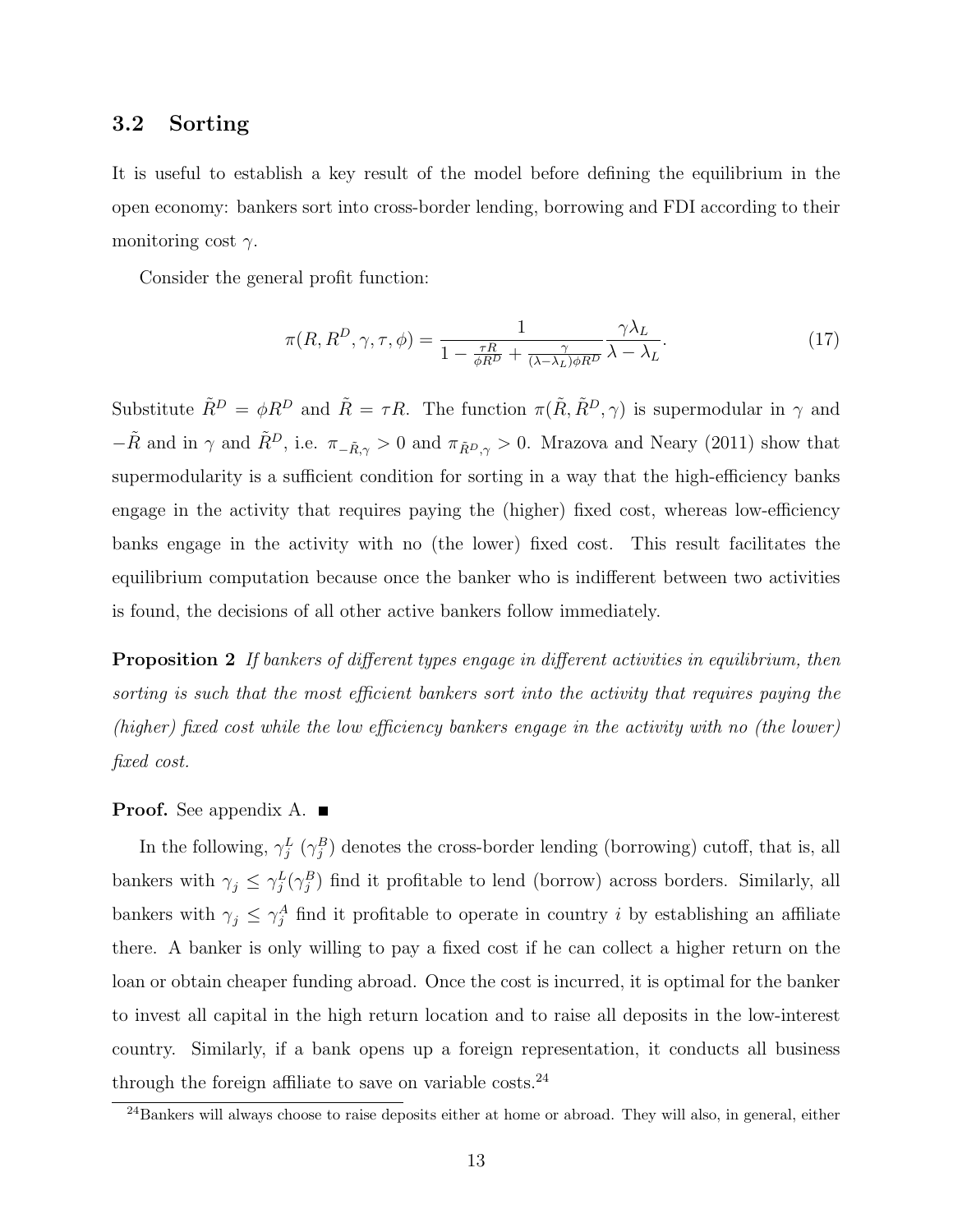### 3.2 Sorting

It is useful to establish a key result of the model before defining the equilibrium in the open economy: bankers sort into cross-border lending, borrowing and FDI according to their monitoring cost  $\gamma$ .

Consider the general profit function:

$$
\pi(R, R^D, \gamma, \tau, \phi) = \frac{1}{1 - \frac{\tau R}{\phi R^D} + \frac{\gamma}{(\lambda - \lambda_L)\phi R^D}} \frac{\gamma \lambda_L}{\lambda - \lambda_L}.
$$
\n(17)

Substitute  $\tilde{R}^D = \phi R^D$  and  $\tilde{R} = \tau R$ . The function  $\pi(\tilde{R}, \tilde{R}^D, \gamma)$  is supermodular in  $\gamma$  and  $-\tilde{R}$  and in  $\gamma$  and  $\tilde{R}^D$ , i.e.  $\pi_{-\tilde{R},\gamma} > 0$  and  $\pi_{\tilde{R}^D,\gamma} > 0$ . Mrazova and Neary (2011) show that supermodularity is a sufficient condition for sorting in a way that the high-efficiency banks engage in the activity that requires paying the (higher) fixed cost, whereas low-efficiency banks engage in the activity with no (the lower) fixed cost. This result facilitates the equilibrium computation because once the banker who is indifferent between two activities is found, the decisions of all other active bankers follow immediately.

**Proposition 2** If bankers of different types engage in different activities in equilibrium, then sorting is such that the most efficient bankers sort into the activity that requires paying the (higher) fixed cost while the low efficiency bankers engage in the activity with no (the lower) fixed cost.

#### **Proof.** See appendix A.  $\blacksquare$

In the following,  $\gamma_j^L(\gamma_j^B)$  denotes the cross-border lending (borrowing) cutoff, that is, all bankers with  $\gamma_j \leq \gamma_j^L(\gamma_j^B)$  find it profitable to lend (borrow) across borders. Similarly, all bankers with  $\gamma_j \leq \gamma_j^A$  find it profitable to operate in country i by establishing an affiliate there. A banker is only willing to pay a fixed cost if he can collect a higher return on the loan or obtain cheaper funding abroad. Once the cost is incurred, it is optimal for the banker to invest all capital in the high return location and to raise all deposits in the low-interest country. Similarly, if a bank opens up a foreign representation, it conducts all business through the foreign affiliate to save on variable costs. $^{24}$ 

 $\frac{24}{24}$ Bankers will always choose to raise deposits either at home or abroad. They will also, in general, either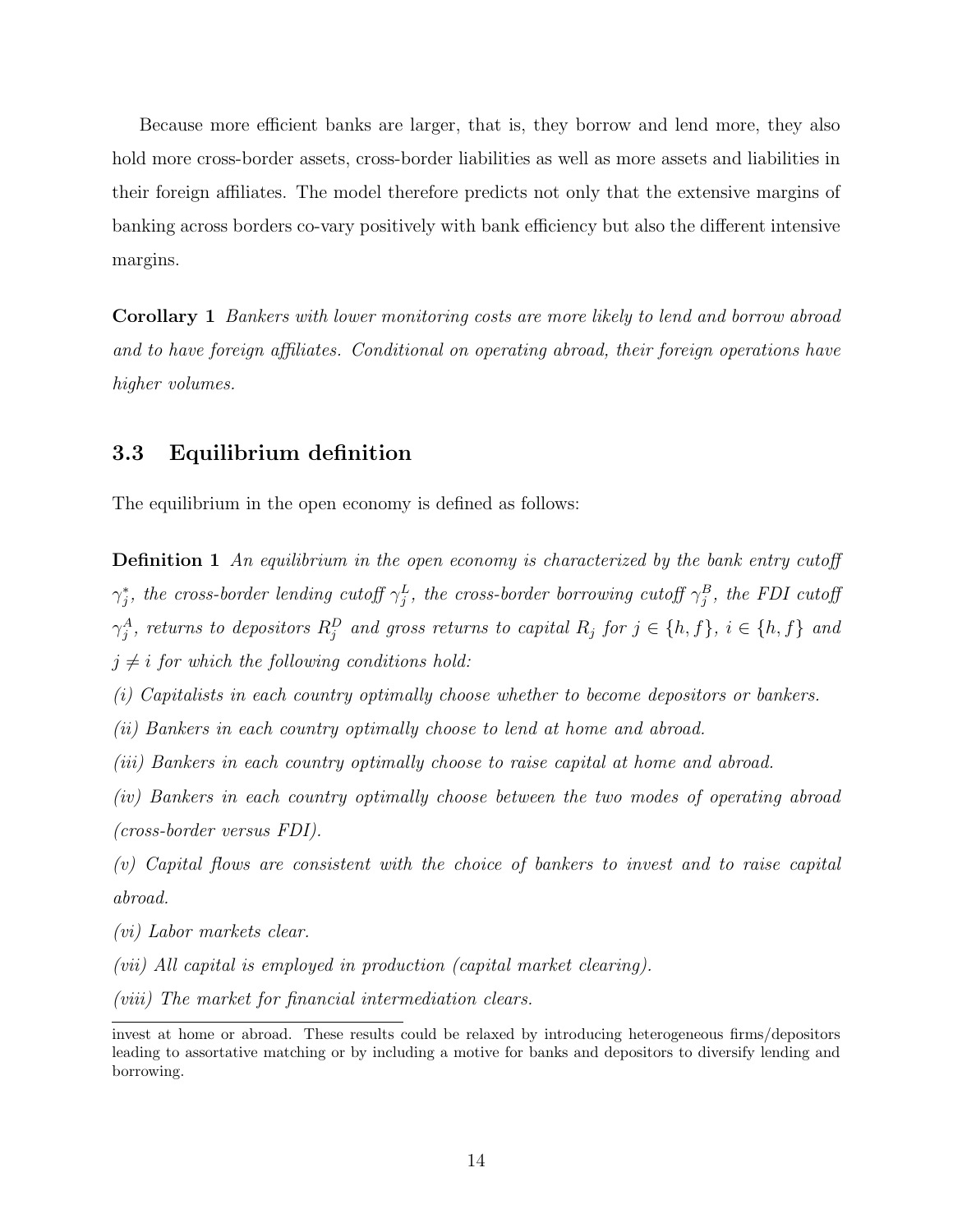Because more efficient banks are larger, that is, they borrow and lend more, they also hold more cross-border assets, cross-border liabilities as well as more assets and liabilities in their foreign affiliates. The model therefore predicts not only that the extensive margins of banking across borders co-vary positively with bank efficiency but also the different intensive margins.

Corollary 1 Bankers with lower monitoring costs are more likely to lend and borrow abroad and to have foreign affiliates. Conditional on operating abroad, their foreign operations have higher volumes.

### 3.3 Equilibrium definition

The equilibrium in the open economy is defined as follows:

**Definition 1** An equilibrium in the open economy is characterized by the bank entry cutoff  $\gamma^*_j$ , the cross-border lending cutoff  $\gamma^L_j$ , the cross-border borrowing cutoff  $\gamma^B_j$ , the FDI cutoff  $\gamma_j^A$ , returns to depositors  $R_j^D$  and gross returns to capital  $R_j$  for  $j \in \{h, f\}$ ,  $i \in \{h, f\}$  and  $j \neq i$  for which the following conditions hold:

(i) Capitalists in each country optimally choose whether to become depositors or bankers.

(ii) Bankers in each country optimally choose to lend at home and abroad.

(iii) Bankers in each country optimally choose to raise capital at home and abroad.

(iv) Bankers in each country optimally choose between the two modes of operating abroad (cross-border versus FDI).

(v) Capital flows are consistent with the choice of bankers to invest and to raise capital abroad.

(vi) Labor markets clear.

(vii) All capital is employed in production (capital market clearing).

(viii) The market for financial intermediation clears.

invest at home or abroad. These results could be relaxed by introducing heterogeneous firms/depositors leading to assortative matching or by including a motive for banks and depositors to diversify lending and borrowing.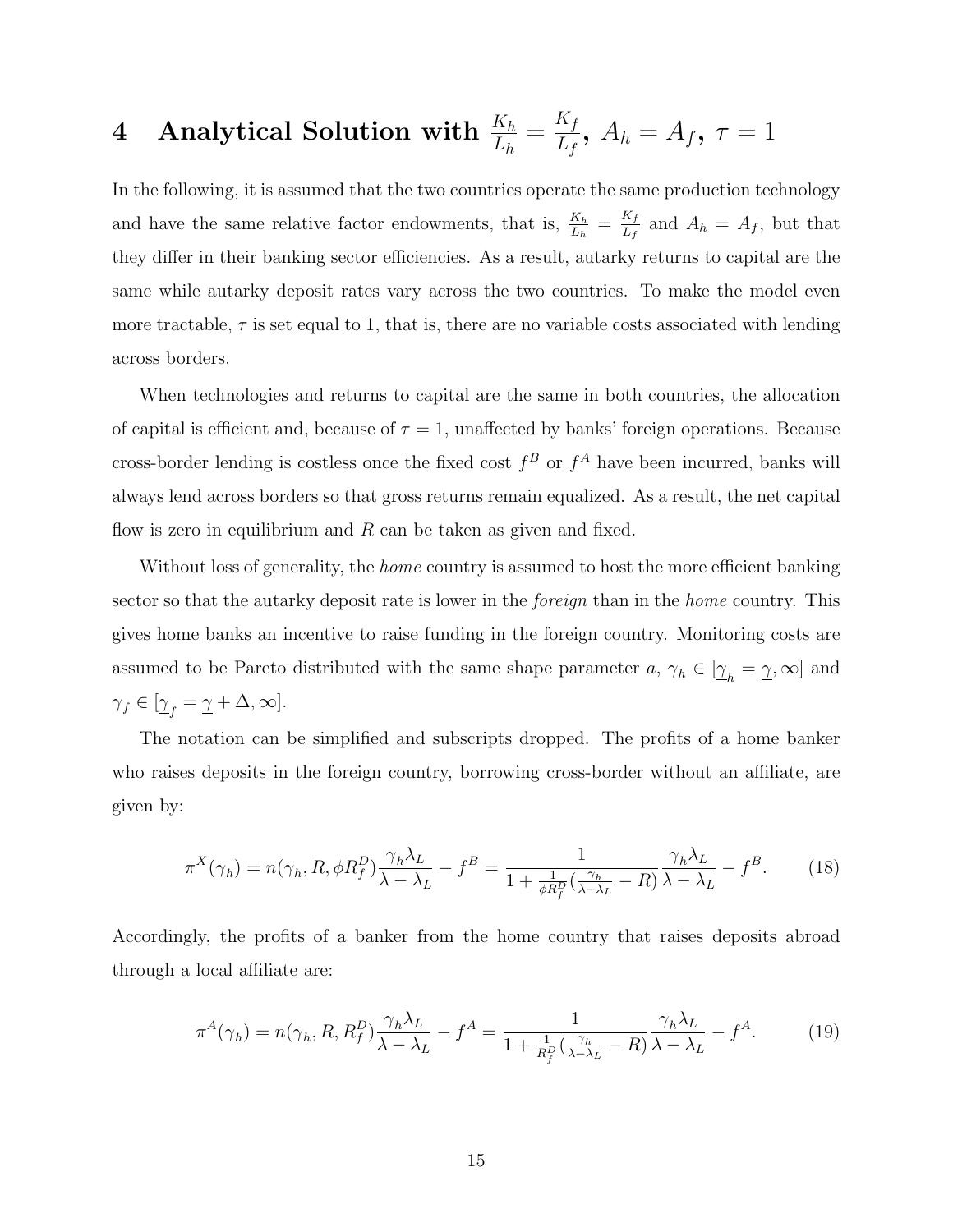## $\quad$  4 Analytical Solution with  $\frac{K_h}{L_h} = \frac{K_f}{L_f}$  $\frac{\Lambda_f}{L_f},\ A_h=A_f,\ \tau=1$

In the following, it is assumed that the two countries operate the same production technology and have the same relative factor endowments, that is,  $\frac{K_h}{L_h} = \frac{K_f}{L_f}$  $\frac{R_f}{L_f}$  and  $A_h = A_f$ , but that they differ in their banking sector efficiencies. As a result, autarky returns to capital are the same while autarky deposit rates vary across the two countries. To make the model even more tractable,  $\tau$  is set equal to 1, that is, there are no variable costs associated with lending across borders.

When technologies and returns to capital are the same in both countries, the allocation of capital is efficient and, because of  $\tau = 1$ , unaffected by banks' foreign operations. Because cross-border lending is costless once the fixed cost  $f^B$  or  $f^A$  have been incurred, banks will always lend across borders so that gross returns remain equalized. As a result, the net capital flow is zero in equilibrium and  $R$  can be taken as given and fixed.

Without loss of generality, the *home* country is assumed to host the more efficient banking sector so that the autarky deposit rate is lower in the *foreign* than in the *home* country. This gives home banks an incentive to raise funding in the foreign country. Monitoring costs are assumed to be Pareto distributed with the same shape parameter  $a, \gamma_h \in [\underline{\gamma}_h = \underline{\gamma}, \infty]$  and  $\gamma_f \in [\underline{\gamma}_f = \underline{\gamma} + \Delta, \infty].$ 

The notation can be simplified and subscripts dropped. The profits of a home banker who raises deposits in the foreign country, borrowing cross-border without an affiliate, are given by:

$$
\pi^X(\gamma_h) = n(\gamma_h, R, \phi R_f^D) \frac{\gamma_h \lambda_L}{\lambda - \lambda_L} - f^B = \frac{1}{1 + \frac{1}{\phi R_f^D} (\frac{\gamma_h}{\lambda - \lambda_L} - R)} \frac{\gamma_h \lambda_L}{\lambda - \lambda_L} - f^B. \tag{18}
$$

Accordingly, the profits of a banker from the home country that raises deposits abroad through a local affiliate are:

$$
\pi^{A}(\gamma_{h}) = n(\gamma_{h}, R, R_{f}^{D}) \frac{\gamma_{h} \lambda_{L}}{\lambda - \lambda_{L}} - f^{A} = \frac{1}{1 + \frac{1}{R_{f}^{D}}(\frac{\gamma_{h}}{\lambda - \lambda_{L}} - R)} \frac{\gamma_{h} \lambda_{L}}{\lambda - \lambda_{L}} - f^{A}.
$$
 (19)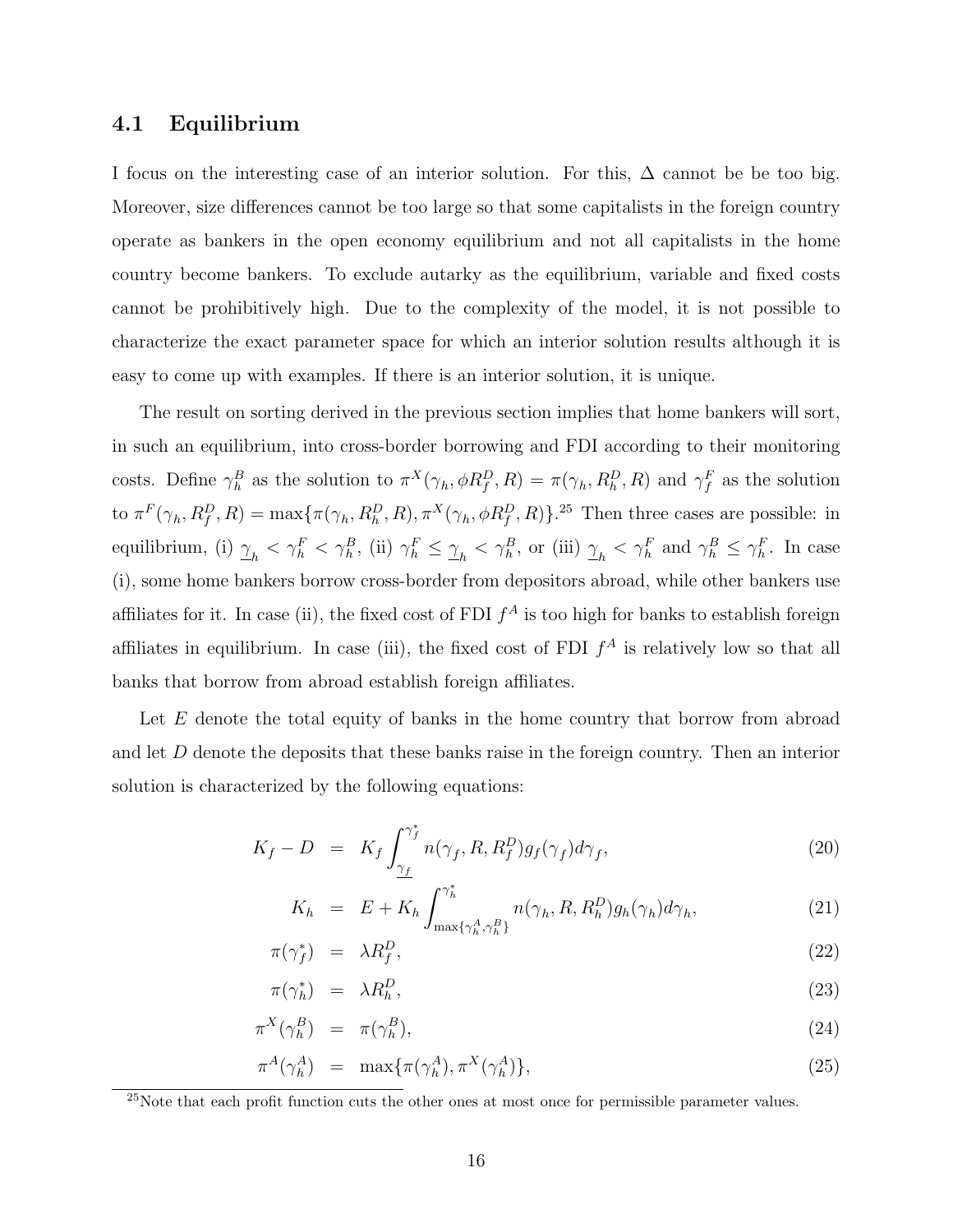### 4.1 Equilibrium

I focus on the interesting case of an interior solution. For this,  $\Delta$  cannot be be too big. Moreover, size differences cannot be too large so that some capitalists in the foreign country operate as bankers in the open economy equilibrium and not all capitalists in the home country become bankers. To exclude autarky as the equilibrium, variable and fixed costs cannot be prohibitively high. Due to the complexity of the model, it is not possible to characterize the exact parameter space for which an interior solution results although it is easy to come up with examples. If there is an interior solution, it is unique.

The result on sorting derived in the previous section implies that home bankers will sort, in such an equilibrium, into cross-border borrowing and FDI according to their monitoring costs. Define  $\gamma_h^B$  as the solution to  $\pi^X(\gamma_h, \phi R_f^D, R) = \pi(\gamma_h, R_h^D, R)$  and  $\gamma_f^F$  as the solution to  $\pi^F(\gamma_h, R_f^D, R) = \max{\pi(\gamma_h, R_h^D, R), \pi^X(\gamma_h, \phi R_f^D, R)}$ .<sup>25</sup> Then three cases are possible: in equilibrium, (i)  $\gamma_h < \gamma_h^F < \gamma_h^B$ , (ii)  $\gamma_h^F \leq \gamma_h < \gamma_h^B$ , or (iii)  $\gamma_h < \gamma_h^F$  and  $\gamma_h^B \leq \gamma_h^F$ . In case (i), some home bankers borrow cross-border from depositors abroad, while other bankers use affiliates for it. In case (ii), the fixed cost of FDI  $f^A$  is too high for banks to establish foreign affiliates in equilibrium. In case (iii), the fixed cost of FDI  $f^A$  is relatively low so that all banks that borrow from abroad establish foreign affiliates.

Let E denote the total equity of banks in the home country that borrow from abroad and let D denote the deposits that these banks raise in the foreign country. Then an interior solution is characterized by the following equations:

$$
K_f - D = K_f \int_{\gamma_f}^{\gamma_f^*} n(\gamma_f, R, R_f^D) g_f(\gamma_f) d\gamma_f, \qquad (20)
$$

$$
K_h = E + K_h \int_{\max\{\gamma_h^A, \gamma_h^B\}}^{\gamma_h^*} n(\gamma_h, R, R_h^D) g_h(\gamma_h) d\gamma_h, \tag{21}
$$

$$
\pi(\gamma_f^*) = \lambda R_f^D,\tag{22}
$$

$$
\pi(\gamma_h^*) = \lambda R_h^D,\tag{23}
$$

$$
\pi^X(\gamma_h^B) = \pi(\gamma_h^B),\tag{24}
$$

$$
\pi^A(\gamma_h^A) = \max{\pi(\gamma_h^A), \pi^X(\gamma_h^A)}, \qquad (25)
$$

<sup>&</sup>lt;sup>25</sup>Note that each profit function cuts the other ones at most once for permissible parameter values.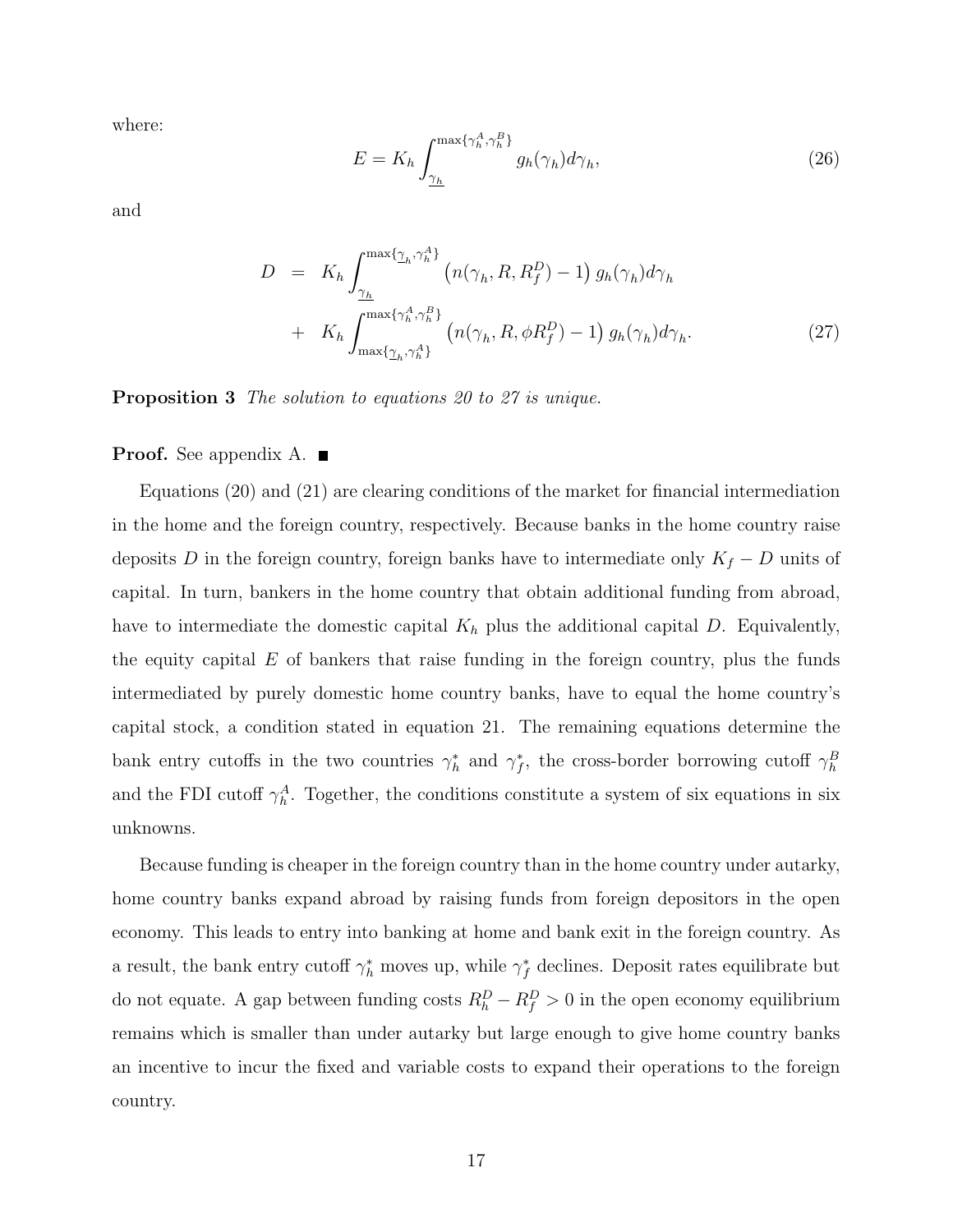where:

$$
E = K_h \int_{\underline{\gamma_h}}^{\max\{\gamma_h^A, \gamma_h^B\}} g_h(\gamma_h) d\gamma_h,\tag{26}
$$

and

$$
D = K_h \int_{\gamma_h}^{\max\{\gamma_h, \gamma_h^A\}} \left( n(\gamma_h, R, R_f^D) - 1 \right) g_h(\gamma_h) d\gamma_h
$$
  
+ 
$$
K_h \int_{\max\{\gamma_h, \gamma_h^A\}}^{\max\{\gamma_h^A, \gamma_h^B\}} \left( n(\gamma_h, R, \phi R_f^D) - 1 \right) g_h(\gamma_h) d\gamma_h.
$$
 (27)

Proposition 3 The solution to equations 20 to 27 is unique.

#### **Proof.** See appendix A.  $\blacksquare$

Equations (20) and (21) are clearing conditions of the market for financial intermediation in the home and the foreign country, respectively. Because banks in the home country raise deposits D in the foreign country, foreign banks have to intermediate only  $K_f - D$  units of capital. In turn, bankers in the home country that obtain additional funding from abroad, have to intermediate the domestic capital  $K_h$  plus the additional capital D. Equivalently, the equity capital  $E$  of bankers that raise funding in the foreign country, plus the funds intermediated by purely domestic home country banks, have to equal the home country's capital stock, a condition stated in equation 21. The remaining equations determine the bank entry cutoffs in the two countries  $\gamma_h^*$  and  $\gamma_f^*$ , the cross-border borrowing cutoff  $\gamma_h^B$ and the FDI cutoff  $\gamma_h^A$ . Together, the conditions constitute a system of six equations in six unknowns.

Because funding is cheaper in the foreign country than in the home country under autarky, home country banks expand abroad by raising funds from foreign depositors in the open economy. This leads to entry into banking at home and bank exit in the foreign country. As a result, the bank entry cutoff  $\gamma_h^*$  moves up, while  $\gamma_f^*$  declines. Deposit rates equilibrate but do not equate. A gap between funding costs  $R_h^D - R_f^D > 0$  in the open economy equilibrium remains which is smaller than under autarky but large enough to give home country banks an incentive to incur the fixed and variable costs to expand their operations to the foreign country.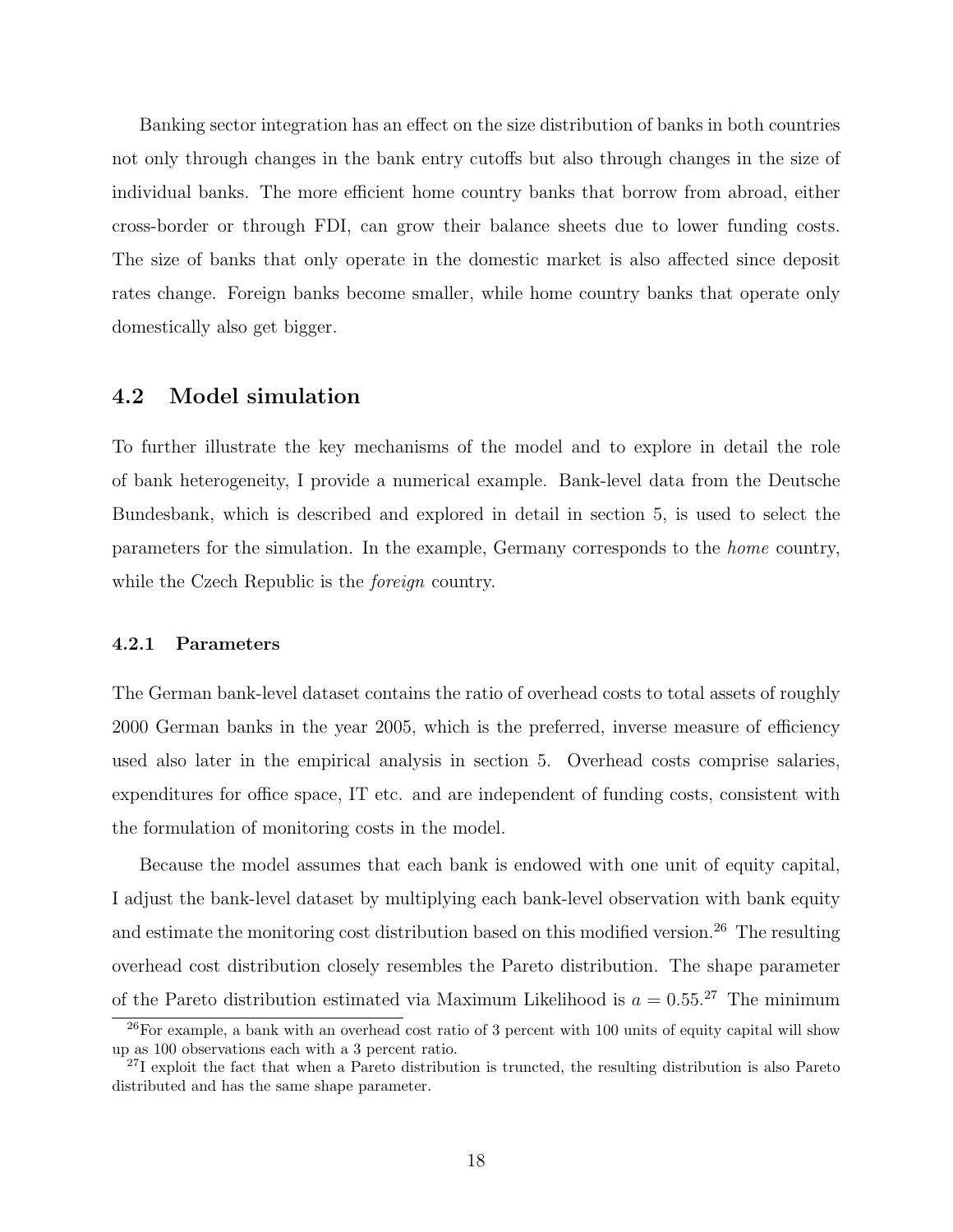Banking sector integration has an effect on the size distribution of banks in both countries not only through changes in the bank entry cutoffs but also through changes in the size of individual banks. The more efficient home country banks that borrow from abroad, either cross-border or through FDI, can grow their balance sheets due to lower funding costs. The size of banks that only operate in the domestic market is also affected since deposit rates change. Foreign banks become smaller, while home country banks that operate only domestically also get bigger.

### 4.2 Model simulation

To further illustrate the key mechanisms of the model and to explore in detail the role of bank heterogeneity, I provide a numerical example. Bank-level data from the Deutsche Bundesbank, which is described and explored in detail in section 5, is used to select the parameters for the simulation. In the example, Germany corresponds to the home country, while the Czech Republic is the *foreign* country.

#### 4.2.1 Parameters

The German bank-level dataset contains the ratio of overhead costs to total assets of roughly 2000 German banks in the year 2005, which is the preferred, inverse measure of efficiency used also later in the empirical analysis in section 5. Overhead costs comprise salaries, expenditures for office space, IT etc. and are independent of funding costs, consistent with the formulation of monitoring costs in the model.

Because the model assumes that each bank is endowed with one unit of equity capital, I adjust the bank-level dataset by multiplying each bank-level observation with bank equity and estimate the monitoring cost distribution based on this modified version.<sup>26</sup> The resulting overhead cost distribution closely resembles the Pareto distribution. The shape parameter of the Pareto distribution estimated via Maximum Likelihood is  $a = 0.55$ <sup>27</sup> The minimum

 $^{26}$ For example, a bank with an overhead cost ratio of 3 percent with 100 units of equity capital will show up as 100 observations each with a 3 percent ratio.

 $^{27}$ I exploit the fact that when a Pareto distribution is truncted, the resulting distribution is also Pareto distributed and has the same shape parameter.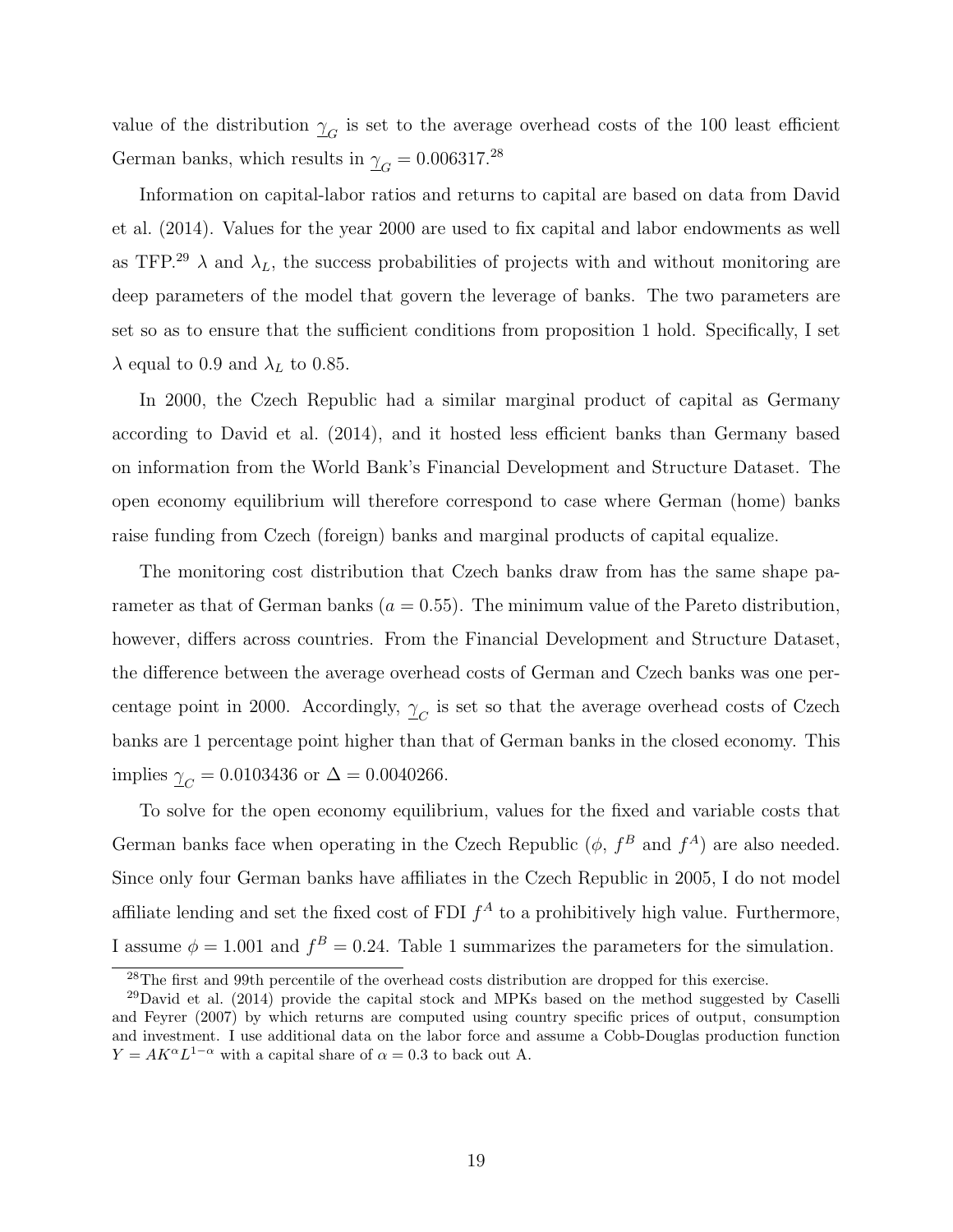value of the distribution  $\gamma_G$  is set to the average overhead costs of the 100 least efficient German banks, which results in  $\gamma_G = 0.006317.^{28}$ 

Information on capital-labor ratios and returns to capital are based on data from David et al. (2014). Values for the year 2000 are used to fix capital and labor endowments as well as TFP.<sup>29</sup>  $\lambda$  and  $\lambda_L$ , the success probabilities of projects with and without monitoring are deep parameters of the model that govern the leverage of banks. The two parameters are set so as to ensure that the sufficient conditions from proposition 1 hold. Specifically, I set  $\lambda$  equal to 0.9 and  $\lambda_L$  to 0.85.

In 2000, the Czech Republic had a similar marginal product of capital as Germany according to David et al. (2014), and it hosted less efficient banks than Germany based on information from the World Bank's Financial Development and Structure Dataset. The open economy equilibrium will therefore correspond to case where German (home) banks raise funding from Czech (foreign) banks and marginal products of capital equalize.

The monitoring cost distribution that Czech banks draw from has the same shape parameter as that of German banks ( $a = 0.55$ ). The minimum value of the Pareto distribution, however, differs across countries. From the Financial Development and Structure Dataset, the difference between the average overhead costs of German and Czech banks was one percentage point in 2000. Accordingly,  $\gamma_C$  is set so that the average overhead costs of Czech banks are 1 percentage point higher than that of German banks in the closed economy. This implies  $\gamma_C = 0.0103436$  or  $\Delta = 0.0040266$ .

To solve for the open economy equilibrium, values for the fixed and variable costs that German banks face when operating in the Czech Republic  $(\phi, f^B$  and  $f^A)$  are also needed. Since only four German banks have affiliates in the Czech Republic in 2005, I do not model affiliate lending and set the fixed cost of FDI  $f^A$  to a prohibitively high value. Furthermore, I assume  $\phi = 1.001$  and  $f^B = 0.24$ . Table 1 summarizes the parameters for the simulation.

<sup>&</sup>lt;sup>28</sup>The first and 99th percentile of the overhead costs distribution are dropped for this exercise.

<sup>&</sup>lt;sup>29</sup>David et al. (2014) provide the capital stock and MPKs based on the method suggested by Caselli and Feyrer (2007) by which returns are computed using country specific prices of output, consumption and investment. I use additional data on the labor force and assume a Cobb-Douglas production function  $Y = AK^{\alpha}L^{1-\alpha}$  with a capital share of  $\alpha = 0.3$  to back out A.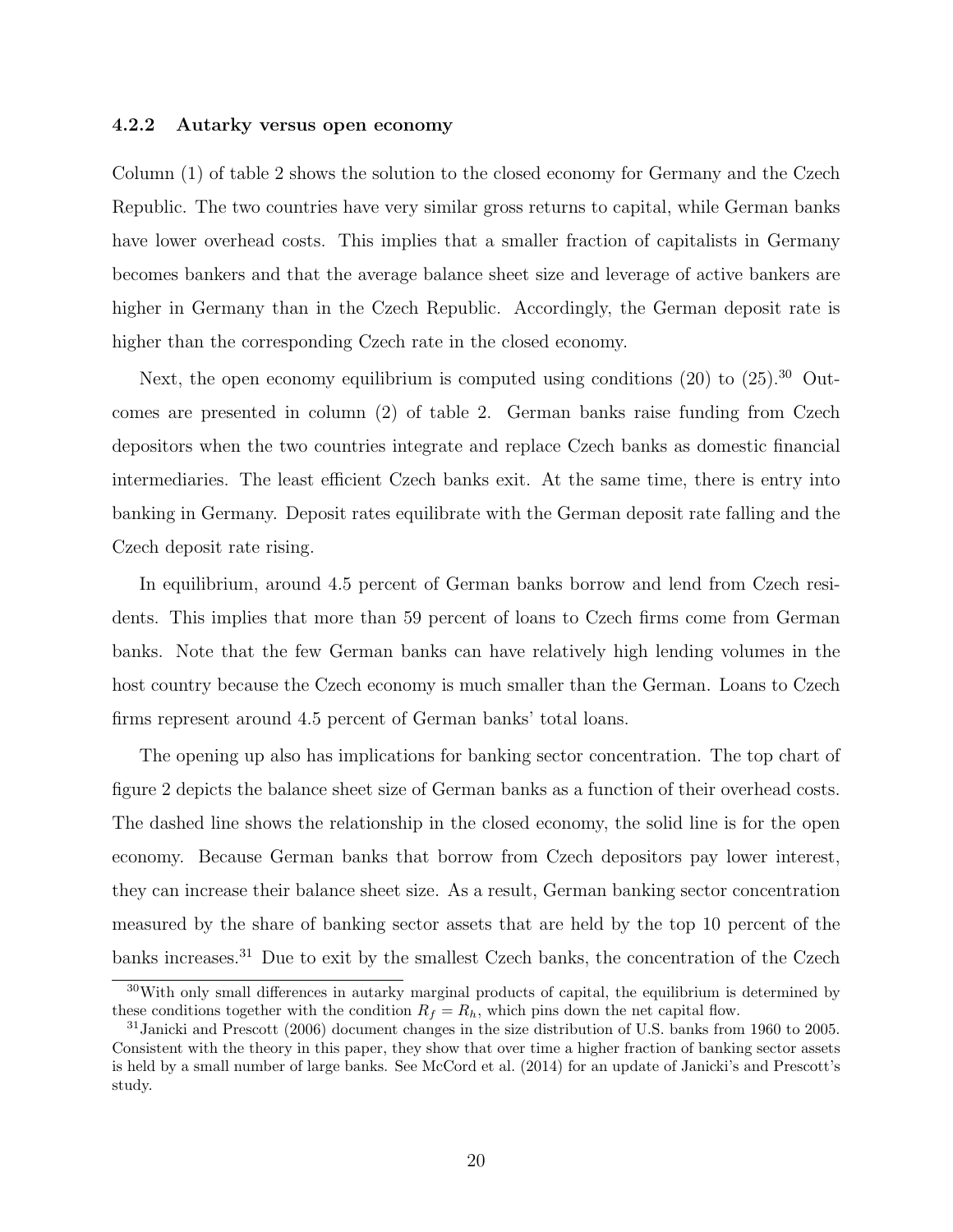#### 4.2.2 Autarky versus open economy

Column (1) of table 2 shows the solution to the closed economy for Germany and the Czech Republic. The two countries have very similar gross returns to capital, while German banks have lower overhead costs. This implies that a smaller fraction of capitalists in Germany becomes bankers and that the average balance sheet size and leverage of active bankers are higher in Germany than in the Czech Republic. Accordingly, the German deposit rate is higher than the corresponding Czech rate in the closed economy.

Next, the open economy equilibrium is computed using conditions  $(20)$  to  $(25)$ .<sup>30</sup> Outcomes are presented in column (2) of table 2. German banks raise funding from Czech depositors when the two countries integrate and replace Czech banks as domestic financial intermediaries. The least efficient Czech banks exit. At the same time, there is entry into banking in Germany. Deposit rates equilibrate with the German deposit rate falling and the Czech deposit rate rising.

In equilibrium, around 4.5 percent of German banks borrow and lend from Czech residents. This implies that more than 59 percent of loans to Czech firms come from German banks. Note that the few German banks can have relatively high lending volumes in the host country because the Czech economy is much smaller than the German. Loans to Czech firms represent around 4.5 percent of German banks' total loans.

The opening up also has implications for banking sector concentration. The top chart of figure 2 depicts the balance sheet size of German banks as a function of their overhead costs. The dashed line shows the relationship in the closed economy, the solid line is for the open economy. Because German banks that borrow from Czech depositors pay lower interest, they can increase their balance sheet size. As a result, German banking sector concentration measured by the share of banking sector assets that are held by the top 10 percent of the banks increases.<sup>31</sup> Due to exit by the smallest Czech banks, the concentration of the Czech

 $30$ With only small differences in autarky marginal products of capital, the equilibrium is determined by these conditions together with the condition  $R_f = R_h$ , which pins down the net capital flow.

<sup>31</sup>Janicki and Prescott (2006) document changes in the size distribution of U.S. banks from 1960 to 2005. Consistent with the theory in this paper, they show that over time a higher fraction of banking sector assets is held by a small number of large banks. See McCord et al. (2014) for an update of Janicki's and Prescott's study.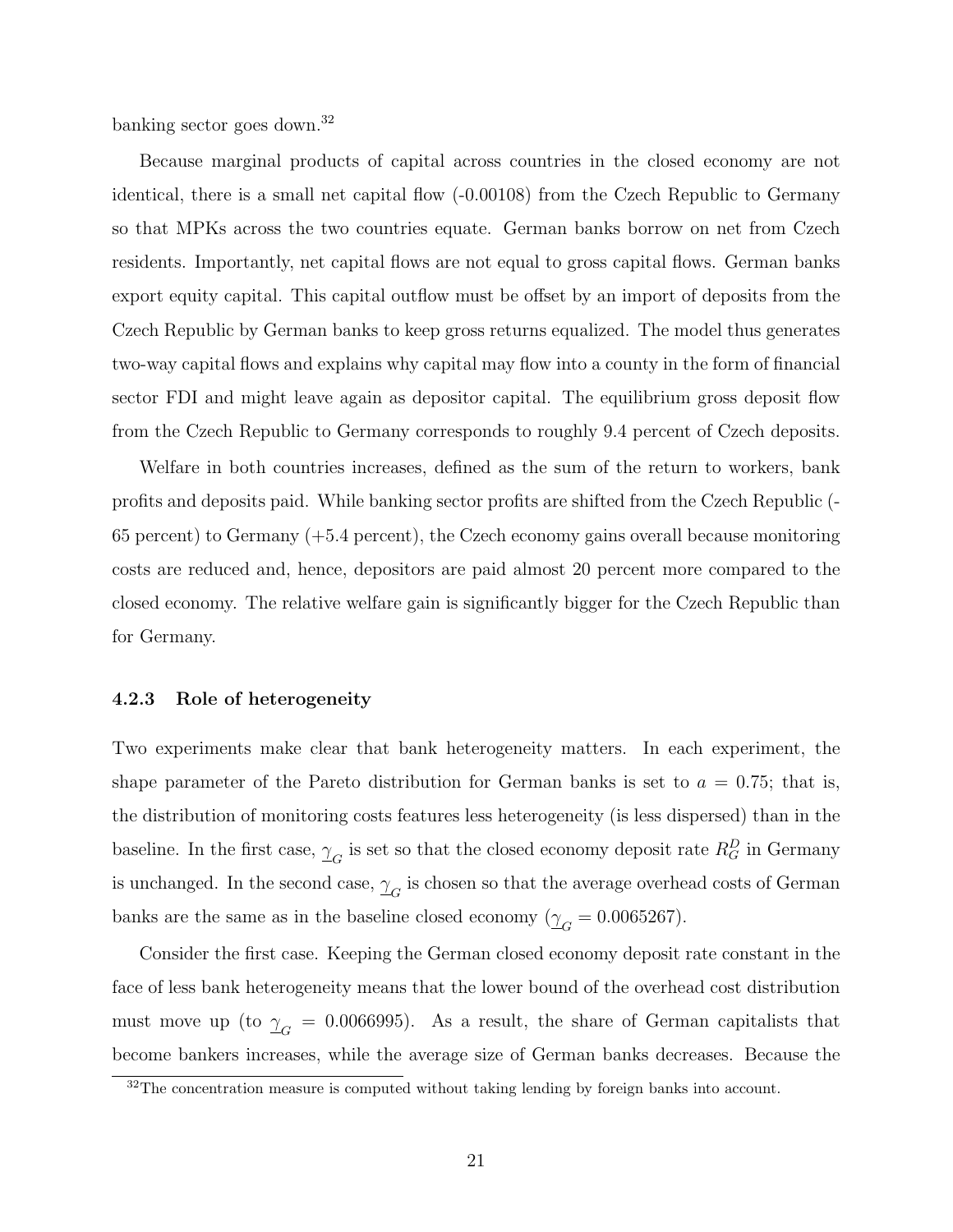banking sector goes down.<sup>32</sup>

Because marginal products of capital across countries in the closed economy are not identical, there is a small net capital flow (-0.00108) from the Czech Republic to Germany so that MPKs across the two countries equate. German banks borrow on net from Czech residents. Importantly, net capital flows are not equal to gross capital flows. German banks export equity capital. This capital outflow must be offset by an import of deposits from the Czech Republic by German banks to keep gross returns equalized. The model thus generates two-way capital flows and explains why capital may flow into a county in the form of financial sector FDI and might leave again as depositor capital. The equilibrium gross deposit flow from the Czech Republic to Germany corresponds to roughly 9.4 percent of Czech deposits.

Welfare in both countries increases, defined as the sum of the return to workers, bank profits and deposits paid. While banking sector profits are shifted from the Czech Republic (- 65 percent) to Germany (+5.4 percent), the Czech economy gains overall because monitoring costs are reduced and, hence, depositors are paid almost 20 percent more compared to the closed economy. The relative welfare gain is significantly bigger for the Czech Republic than for Germany.

#### 4.2.3 Role of heterogeneity

Two experiments make clear that bank heterogeneity matters. In each experiment, the shape parameter of the Pareto distribution for German banks is set to  $a = 0.75$ ; that is, the distribution of monitoring costs features less heterogeneity (is less dispersed) than in the baseline. In the first case,  $\frac{\gamma}{16}$  is set so that the closed economy deposit rate  $R_G^D$  in Germany is unchanged. In the second case,  $\gamma_{G}$  is chosen so that the average overhead costs of German banks are the same as in the baseline closed economy ( $\gamma_G = 0.0065267$ ).

Consider the first case. Keeping the German closed economy deposit rate constant in the face of less bank heterogeneity means that the lower bound of the overhead cost distribution must move up (to  $\gamma_G = 0.0066995$ ). As a result, the share of German capitalists that become bankers increases, while the average size of German banks decreases. Because the

 $32$ The concentration measure is computed without taking lending by foreign banks into account.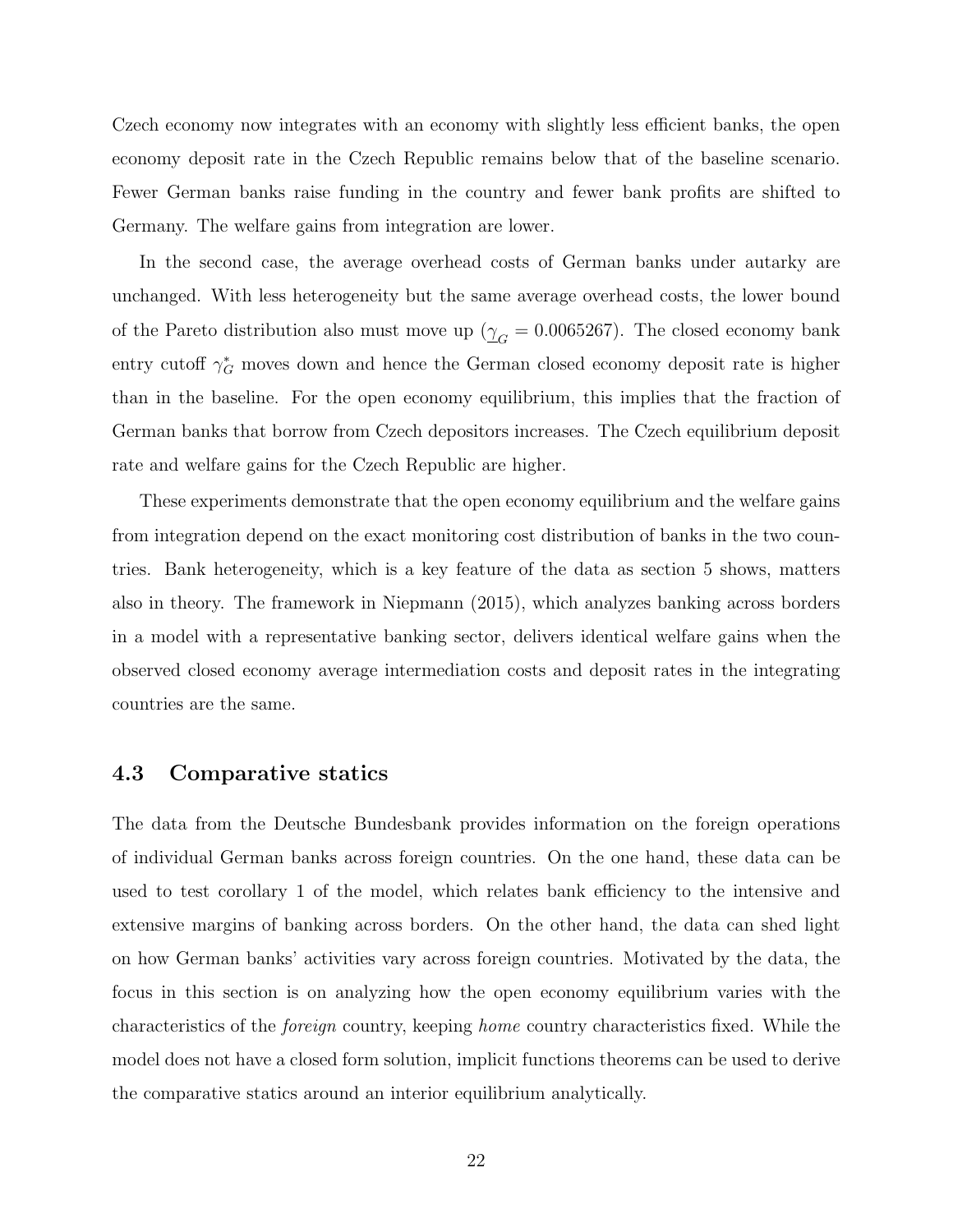Czech economy now integrates with an economy with slightly less efficient banks, the open economy deposit rate in the Czech Republic remains below that of the baseline scenario. Fewer German banks raise funding in the country and fewer bank profits are shifted to Germany. The welfare gains from integration are lower.

In the second case, the average overhead costs of German banks under autarky are unchanged. With less heterogeneity but the same average overhead costs, the lower bound of the Pareto distribution also must move up ( $\gamma_G = 0.0065267$ ). The closed economy bank entry cutoff  $\gamma_G^*$  moves down and hence the German closed economy deposit rate is higher than in the baseline. For the open economy equilibrium, this implies that the fraction of German banks that borrow from Czech depositors increases. The Czech equilibrium deposit rate and welfare gains for the Czech Republic are higher.

These experiments demonstrate that the open economy equilibrium and the welfare gains from integration depend on the exact monitoring cost distribution of banks in the two countries. Bank heterogeneity, which is a key feature of the data as section 5 shows, matters also in theory. The framework in Niepmann (2015), which analyzes banking across borders in a model with a representative banking sector, delivers identical welfare gains when the observed closed economy average intermediation costs and deposit rates in the integrating countries are the same.

### 4.3 Comparative statics

The data from the Deutsche Bundesbank provides information on the foreign operations of individual German banks across foreign countries. On the one hand, these data can be used to test corollary 1 of the model, which relates bank efficiency to the intensive and extensive margins of banking across borders. On the other hand, the data can shed light on how German banks' activities vary across foreign countries. Motivated by the data, the focus in this section is on analyzing how the open economy equilibrium varies with the characteristics of the foreign country, keeping home country characteristics fixed. While the model does not have a closed form solution, implicit functions theorems can be used to derive the comparative statics around an interior equilibrium analytically.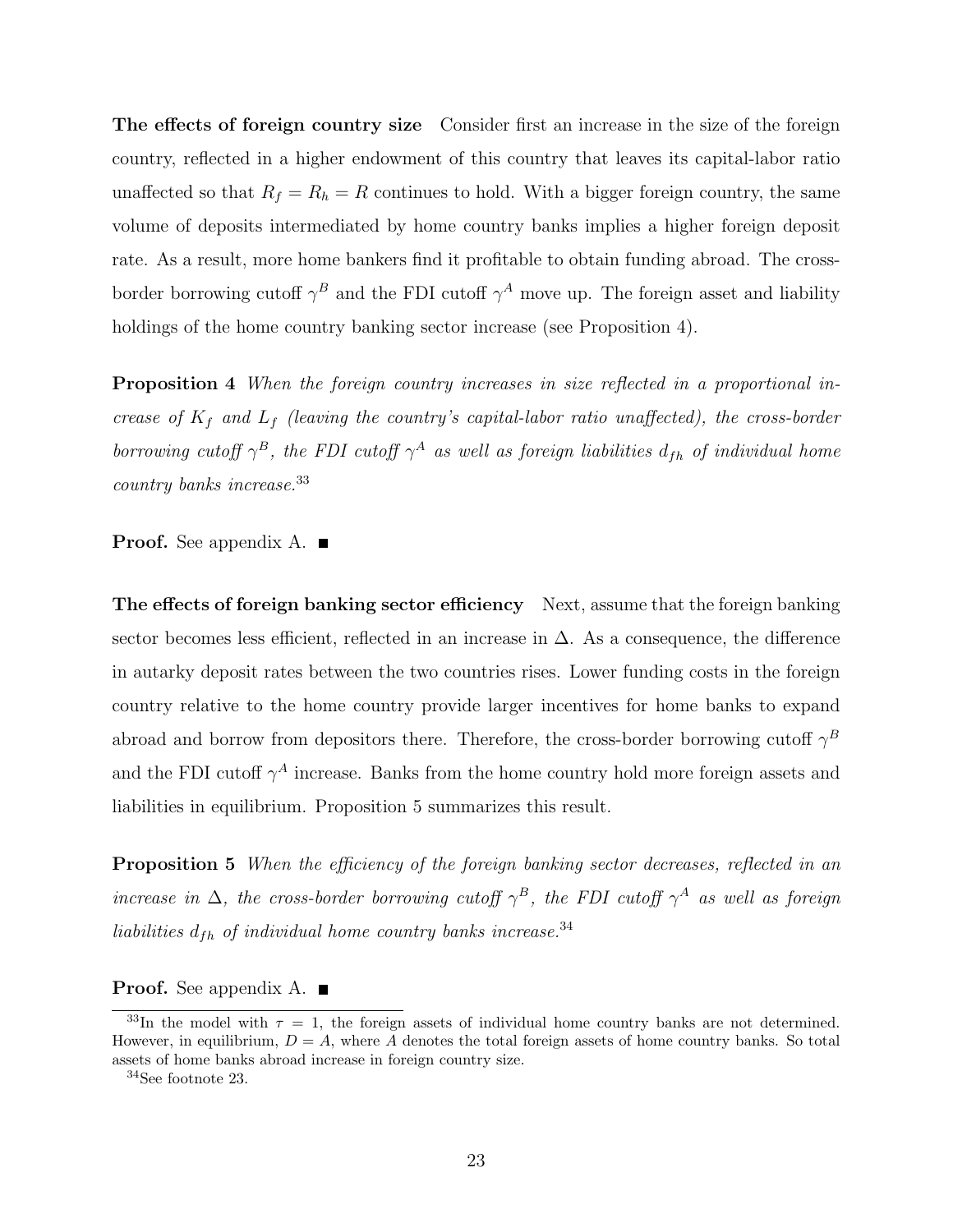The effects of foreign country size Consider first an increase in the size of the foreign country, reflected in a higher endowment of this country that leaves its capital-labor ratio unaffected so that  $R_f = R_h = R$  continues to hold. With a bigger foreign country, the same volume of deposits intermediated by home country banks implies a higher foreign deposit rate. As a result, more home bankers find it profitable to obtain funding abroad. The crossborder borrowing cutoff  $\gamma^B$  and the FDI cutoff  $\gamma^A$  move up. The foreign asset and liability holdings of the home country banking sector increase (see Proposition 4).

Proposition 4 When the foreign country increases in size reflected in a proportional increase of  $K_f$  and  $L_f$  (leaving the country's capital-labor ratio unaffected), the cross-border borrowing cutoff  $\gamma^B$ , the FDI cutoff  $\gamma^A$  as well as foreign liabilities  $d_{fh}$  of individual home country banks increase.<sup>33</sup>

**Proof.** See appendix A.  $\blacksquare$ 

The effects of foreign banking sector efficiency Next, assume that the foreign banking sector becomes less efficient, reflected in an increase in  $\Delta$ . As a consequence, the difference in autarky deposit rates between the two countries rises. Lower funding costs in the foreign country relative to the home country provide larger incentives for home banks to expand abroad and borrow from depositors there. Therefore, the cross-border borrowing cutoff  $\gamma^B$ and the FDI cutoff  $\gamma^A$  increase. Banks from the home country hold more foreign assets and liabilities in equilibrium. Proposition 5 summarizes this result.

**Proposition 5** When the efficiency of the foreign banking sector decreases, reflected in an increase in  $\Delta$ , the cross-border borrowing cutoff  $\gamma^B$ , the FDI cutoff  $\gamma^A$  as well as foreign liabilities  $d_{fh}$  of individual home country banks increase.<sup>34</sup>

**Proof.** See appendix A.  $\blacksquare$ 

<sup>&</sup>lt;sup>33</sup>In the model with  $\tau = 1$ , the foreign assets of individual home country banks are not determined. However, in equilibrium,  $D = A$ , where A denotes the total foreign assets of home country banks. So total assets of home banks abroad increase in foreign country size.

<sup>34</sup>See footnote 23.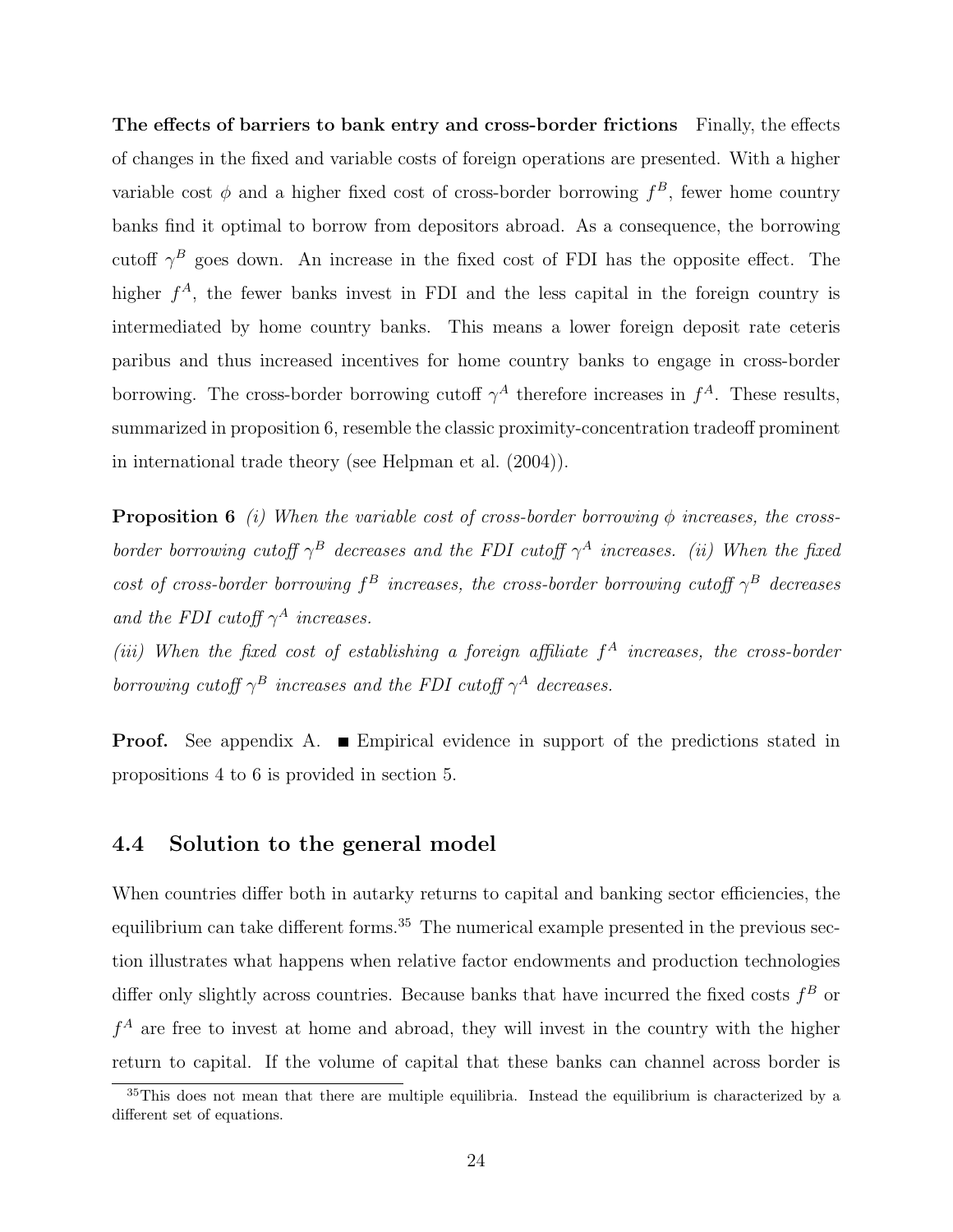The effects of barriers to bank entry and cross-border frictions Finally, the effects of changes in the fixed and variable costs of foreign operations are presented. With a higher variable cost  $\phi$  and a higher fixed cost of cross-border borrowing  $f^B$ , fewer home country banks find it optimal to borrow from depositors abroad. As a consequence, the borrowing cutoff  $\gamma^B$  goes down. An increase in the fixed cost of FDI has the opposite effect. The higher  $f^A$ , the fewer banks invest in FDI and the less capital in the foreign country is intermediated by home country banks. This means a lower foreign deposit rate ceteris paribus and thus increased incentives for home country banks to engage in cross-border borrowing. The cross-border borrowing cutoff  $\gamma^A$  therefore increases in  $f^A$ . These results, summarized in proposition 6, resemble the classic proximity-concentration tradeoff prominent in international trade theory (see Helpman et al. (2004)).

**Proposition 6** (i) When the variable cost of cross-border borrowing  $\phi$  increases, the crossborder borrowing cutoff  $\gamma^B$  decreases and the FDI cutoff  $\gamma^A$  increases. (ii) When the fixed cost of cross-border borrowing  $f^B$  increases, the cross-border borrowing cutoff  $\gamma^B$  decreases and the FDI cutoff  $\gamma^A$  increases.

(iii) When the fixed cost of establishing a foreign affiliate  $f^A$  increases, the cross-border borrowing cutoff  $\gamma^B$  increases and the FDI cutoff  $\gamma^A$  decreases.

**Proof.** See appendix A. **E**mpirical evidence in support of the predictions stated in propositions 4 to 6 is provided in section 5.

### 4.4 Solution to the general model

When countries differ both in autarky returns to capital and banking sector efficiencies, the equilibrium can take different forms.<sup>35</sup> The numerical example presented in the previous section illustrates what happens when relative factor endowments and production technologies differ only slightly across countries. Because banks that have incurred the fixed costs  $f^B$  or  $f<sup>A</sup>$  are free to invest at home and abroad, they will invest in the country with the higher return to capital. If the volume of capital that these banks can channel across border is

<sup>&</sup>lt;sup>35</sup>This does not mean that there are multiple equilibria. Instead the equilibrium is characterized by a different set of equations.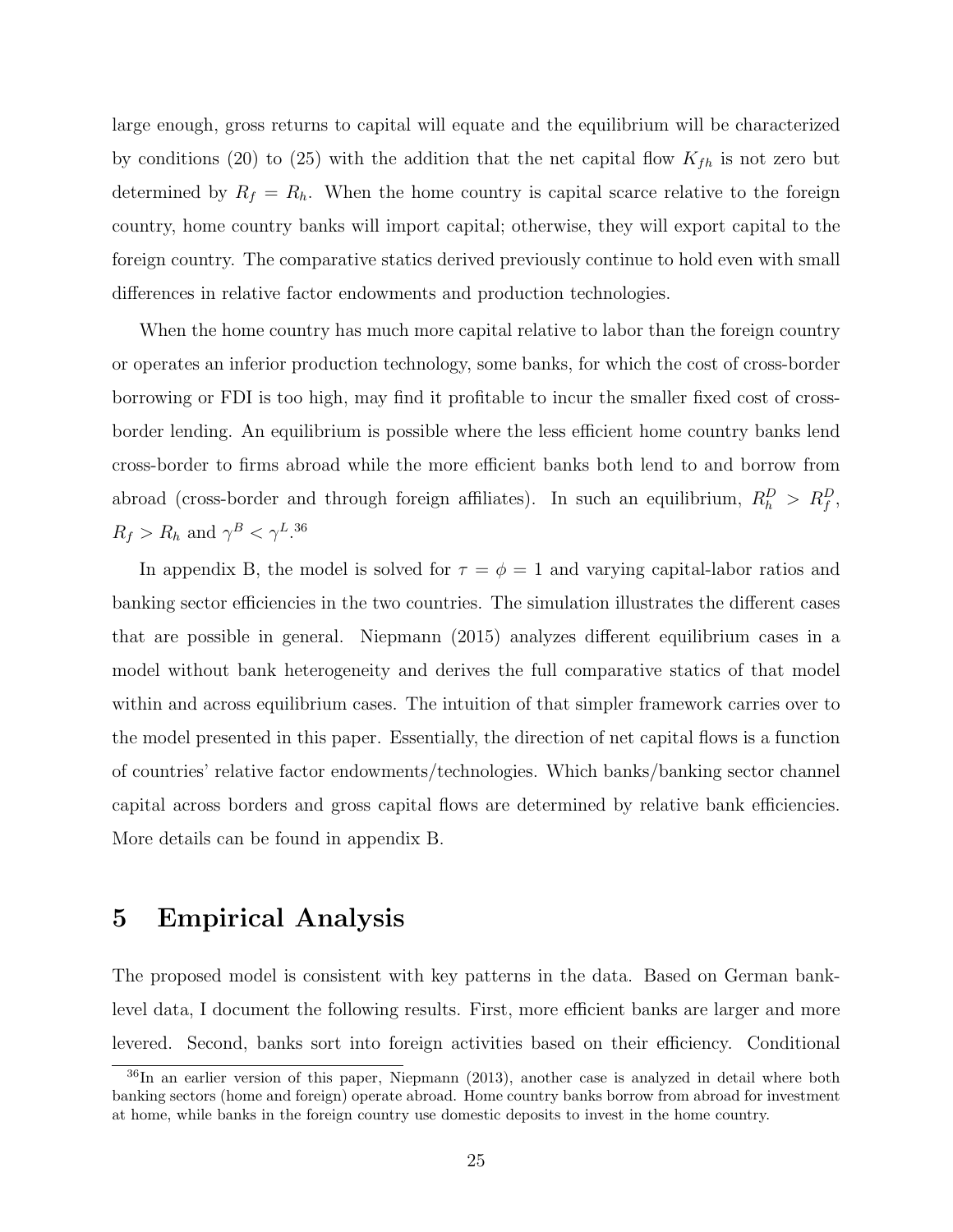large enough, gross returns to capital will equate and the equilibrium will be characterized by conditions (20) to (25) with the addition that the net capital flow  $K_{fh}$  is not zero but determined by  $R_f = R_h$ . When the home country is capital scarce relative to the foreign country, home country banks will import capital; otherwise, they will export capital to the foreign country. The comparative statics derived previously continue to hold even with small differences in relative factor endowments and production technologies.

When the home country has much more capital relative to labor than the foreign country or operates an inferior production technology, some banks, for which the cost of cross-border borrowing or FDI is too high, may find it profitable to incur the smaller fixed cost of crossborder lending. An equilibrium is possible where the less efficient home country banks lend cross-border to firms abroad while the more efficient banks both lend to and borrow from abroad (cross-border and through foreign affiliates). In such an equilibrium,  $R_h^D > R_f^D$ ,  $R_f > R_h$  and  $\gamma^B < \gamma^L$ .<sup>36</sup>

In appendix B, the model is solved for  $\tau = \phi = 1$  and varying capital-labor ratios and banking sector efficiencies in the two countries. The simulation illustrates the different cases that are possible in general. Niepmann (2015) analyzes different equilibrium cases in a model without bank heterogeneity and derives the full comparative statics of that model within and across equilibrium cases. The intuition of that simpler framework carries over to the model presented in this paper. Essentially, the direction of net capital flows is a function of countries' relative factor endowments/technologies. Which banks/banking sector channel capital across borders and gross capital flows are determined by relative bank efficiencies. More details can be found in appendix B.

## 5 Empirical Analysis

The proposed model is consistent with key patterns in the data. Based on German banklevel data, I document the following results. First, more efficient banks are larger and more levered. Second, banks sort into foreign activities based on their efficiency. Conditional

<sup>36</sup>In an earlier version of this paper, Niepmann (2013), another case is analyzed in detail where both banking sectors (home and foreign) operate abroad. Home country banks borrow from abroad for investment at home, while banks in the foreign country use domestic deposits to invest in the home country.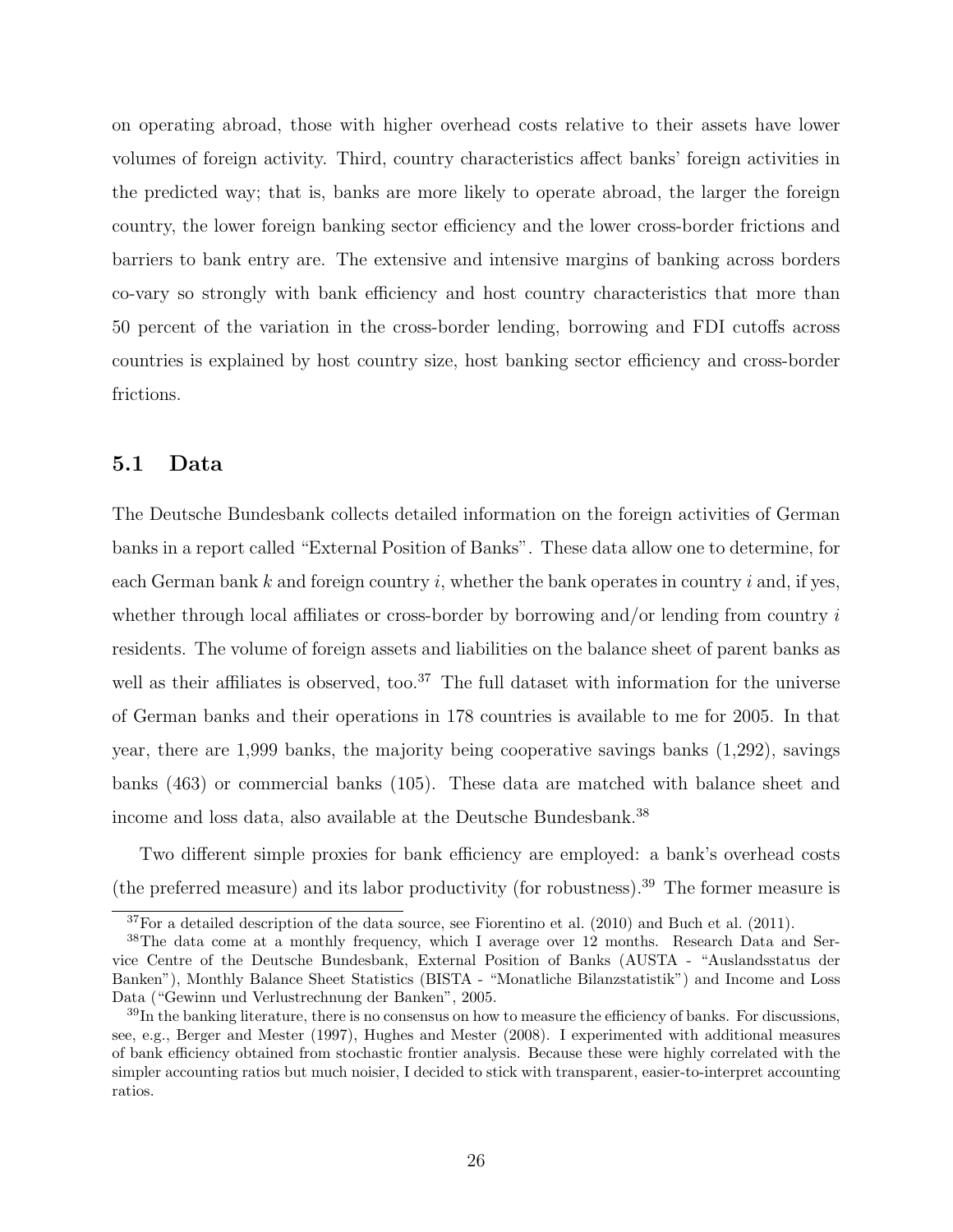on operating abroad, those with higher overhead costs relative to their assets have lower volumes of foreign activity. Third, country characteristics affect banks' foreign activities in the predicted way; that is, banks are more likely to operate abroad, the larger the foreign country, the lower foreign banking sector efficiency and the lower cross-border frictions and barriers to bank entry are. The extensive and intensive margins of banking across borders co-vary so strongly with bank efficiency and host country characteristics that more than 50 percent of the variation in the cross-border lending, borrowing and FDI cutoffs across countries is explained by host country size, host banking sector efficiency and cross-border frictions.

### 5.1 Data

The Deutsche Bundesbank collects detailed information on the foreign activities of German banks in a report called "External Position of Banks". These data allow one to determine, for each German bank k and foreign country i, whether the bank operates in country i and, if yes, whether through local affiliates or cross-border by borrowing and/or lending from country  $i$ residents. The volume of foreign assets and liabilities on the balance sheet of parent banks as well as their affiliates is observed, too.<sup>37</sup> The full dataset with information for the universe of German banks and their operations in 178 countries is available to me for 2005. In that year, there are 1,999 banks, the majority being cooperative savings banks (1,292), savings banks (463) or commercial banks (105). These data are matched with balance sheet and income and loss data, also available at the Deutsche Bundesbank.<sup>38</sup>

Two different simple proxies for bank efficiency are employed: a bank's overhead costs (the preferred measure) and its labor productivity (for robustness).<sup>39</sup> The former measure is

<sup>37</sup>For a detailed description of the data source, see Fiorentino et al. (2010) and Buch et al. (2011).

<sup>38</sup>The data come at a monthly frequency, which I average over 12 months. Research Data and Service Centre of the Deutsche Bundesbank, External Position of Banks (AUSTA - "Auslandsstatus der Banken"), Monthly Balance Sheet Statistics (BISTA - "Monatliche Bilanzstatistik") and Income and Loss Data ("Gewinn und Verlustrechnung der Banken", 2005.

 $39$ In the banking literature, there is no consensus on how to measure the efficiency of banks. For discussions, see, e.g., Berger and Mester (1997), Hughes and Mester (2008). I experimented with additional measures of bank efficiency obtained from stochastic frontier analysis. Because these were highly correlated with the simpler accounting ratios but much noisier, I decided to stick with transparent, easier-to-interpret accounting ratios.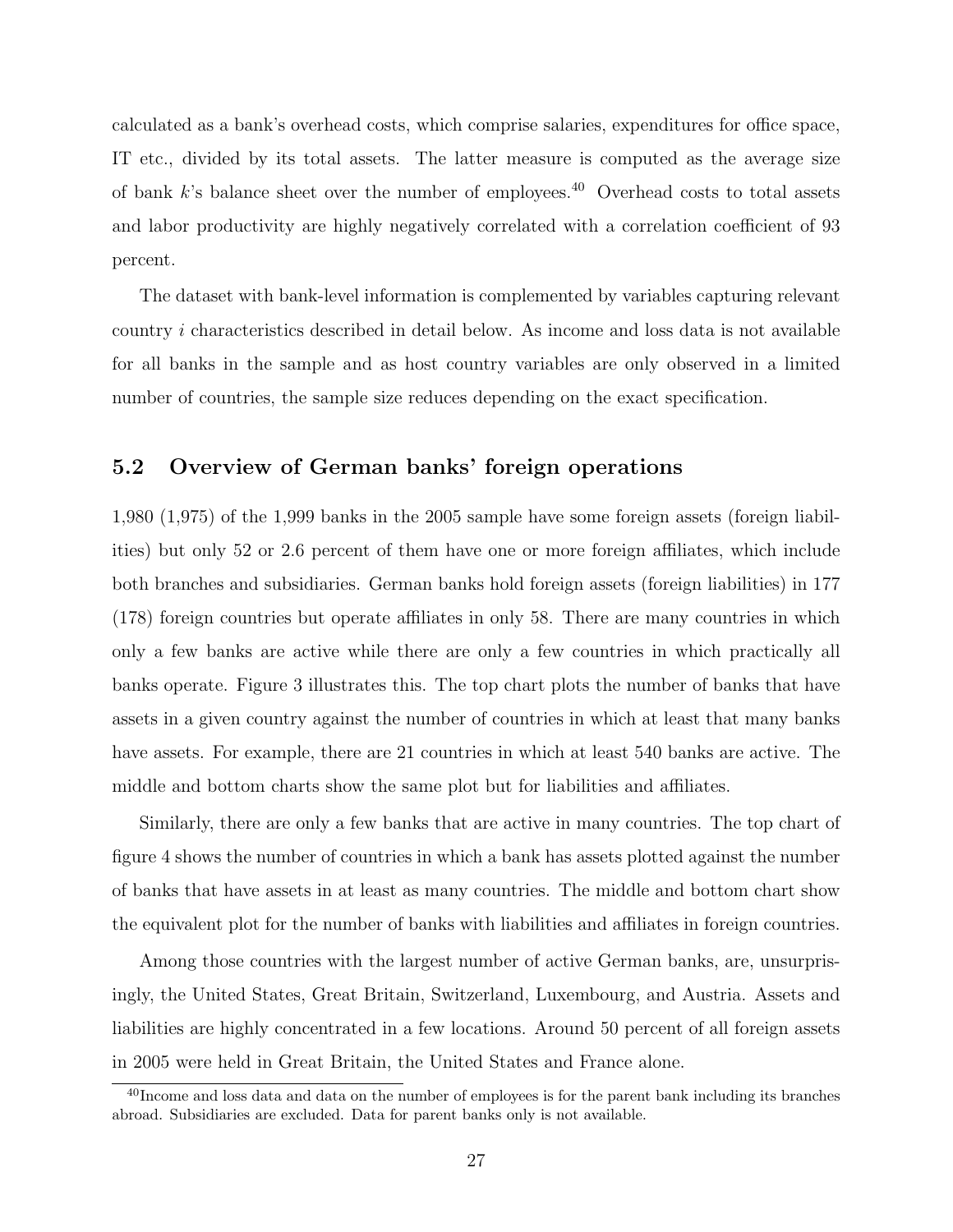calculated as a bank's overhead costs, which comprise salaries, expenditures for office space, IT etc., divided by its total assets. The latter measure is computed as the average size of bank  $k$ 's balance sheet over the number of employees.<sup>40</sup> Overhead costs to total assets and labor productivity are highly negatively correlated with a correlation coefficient of 93 percent.

The dataset with bank-level information is complemented by variables capturing relevant country i characteristics described in detail below. As income and loss data is not available for all banks in the sample and as host country variables are only observed in a limited number of countries, the sample size reduces depending on the exact specification.

### 5.2 Overview of German banks' foreign operations

1,980 (1,975) of the 1,999 banks in the 2005 sample have some foreign assets (foreign liabilities) but only 52 or 2.6 percent of them have one or more foreign affiliates, which include both branches and subsidiaries. German banks hold foreign assets (foreign liabilities) in 177 (178) foreign countries but operate affiliates in only 58. There are many countries in which only a few banks are active while there are only a few countries in which practically all banks operate. Figure 3 illustrates this. The top chart plots the number of banks that have assets in a given country against the number of countries in which at least that many banks have assets. For example, there are 21 countries in which at least 540 banks are active. The middle and bottom charts show the same plot but for liabilities and affiliates.

Similarly, there are only a few banks that are active in many countries. The top chart of figure 4 shows the number of countries in which a bank has assets plotted against the number of banks that have assets in at least as many countries. The middle and bottom chart show the equivalent plot for the number of banks with liabilities and affiliates in foreign countries.

Among those countries with the largest number of active German banks, are, unsurprisingly, the United States, Great Britain, Switzerland, Luxembourg, and Austria. Assets and liabilities are highly concentrated in a few locations. Around 50 percent of all foreign assets in 2005 were held in Great Britain, the United States and France alone.

<sup>&</sup>lt;sup>40</sup>Income and loss data and data on the number of employees is for the parent bank including its branches abroad. Subsidiaries are excluded. Data for parent banks only is not available.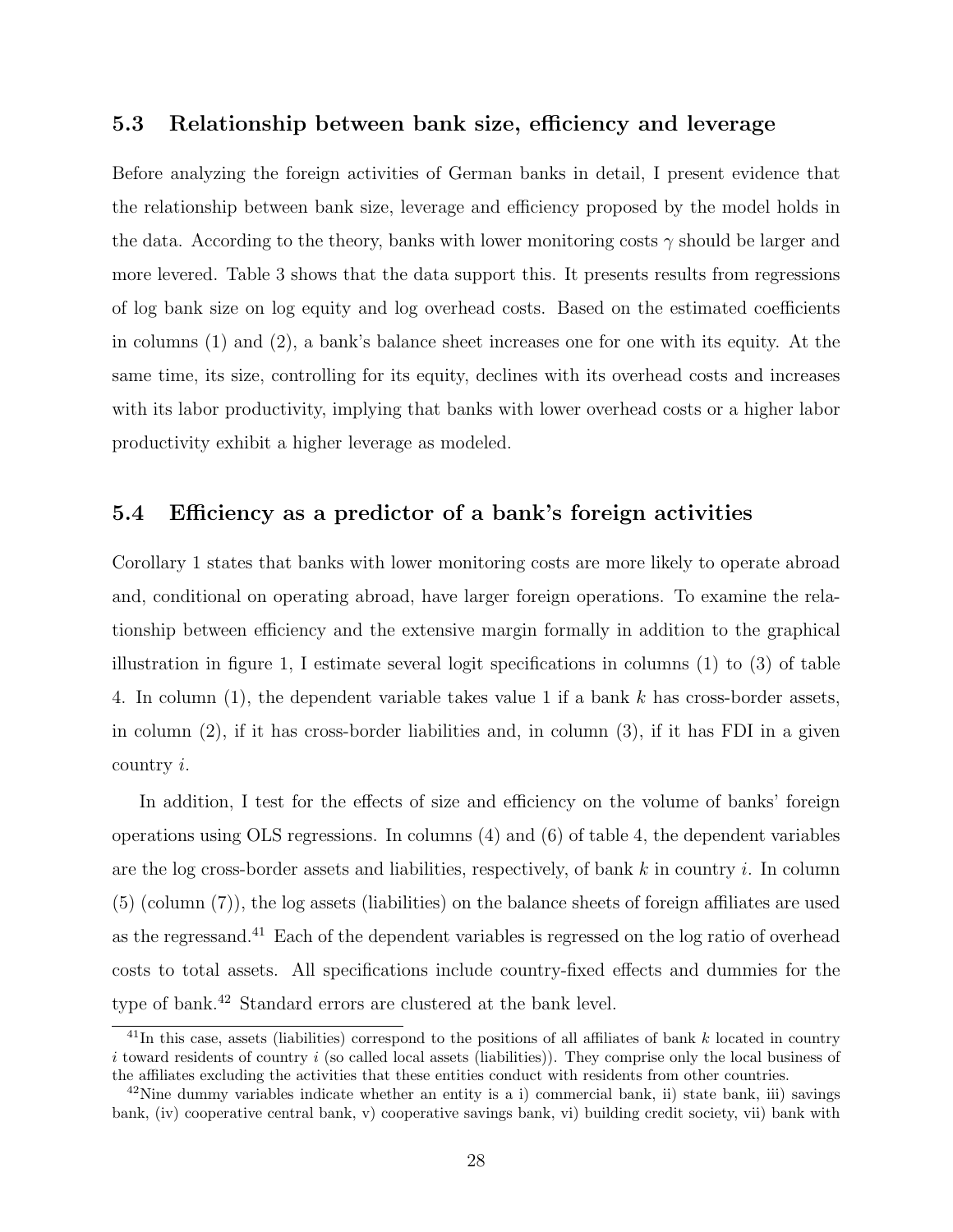### 5.3 Relationship between bank size, efficiency and leverage

Before analyzing the foreign activities of German banks in detail, I present evidence that the relationship between bank size, leverage and efficiency proposed by the model holds in the data. According to the theory, banks with lower monitoring costs  $\gamma$  should be larger and more levered. Table 3 shows that the data support this. It presents results from regressions of log bank size on log equity and log overhead costs. Based on the estimated coefficients in columns (1) and (2), a bank's balance sheet increases one for one with its equity. At the same time, its size, controlling for its equity, declines with its overhead costs and increases with its labor productivity, implying that banks with lower overhead costs or a higher labor productivity exhibit a higher leverage as modeled.

### 5.4 Efficiency as a predictor of a bank's foreign activities

Corollary 1 states that banks with lower monitoring costs are more likely to operate abroad and, conditional on operating abroad, have larger foreign operations. To examine the relationship between efficiency and the extensive margin formally in addition to the graphical illustration in figure 1, I estimate several logit specifications in columns (1) to (3) of table 4. In column (1), the dependent variable takes value 1 if a bank k has cross-border assets, in column (2), if it has cross-border liabilities and, in column (3), if it has FDI in a given country i.

In addition, I test for the effects of size and efficiency on the volume of banks' foreign operations using OLS regressions. In columns (4) and (6) of table 4, the dependent variables are the log cross-border assets and liabilities, respectively, of bank  $k$  in country i. In column (5) (column (7)), the log assets (liabilities) on the balance sheets of foreign affiliates are used as the regressand.<sup>41</sup> Each of the dependent variables is regressed on the log ratio of overhead costs to total assets. All specifications include country-fixed effects and dummies for the type of bank.<sup>42</sup> Standard errors are clustered at the bank level.

<sup>&</sup>lt;sup>41</sup>In this case, assets (liabilities) correspond to the positions of all affiliates of bank k located in country  $i$  toward residents of country  $i$  (so called local assets (liabilities)). They comprise only the local business of the affiliates excluding the activities that these entities conduct with residents from other countries.

 $^{42}$ Nine dummy variables indicate whether an entity is a i) commercial bank, ii) state bank, iii) savings bank, (iv) cooperative central bank, v) cooperative savings bank, vi) building credit society, vii) bank with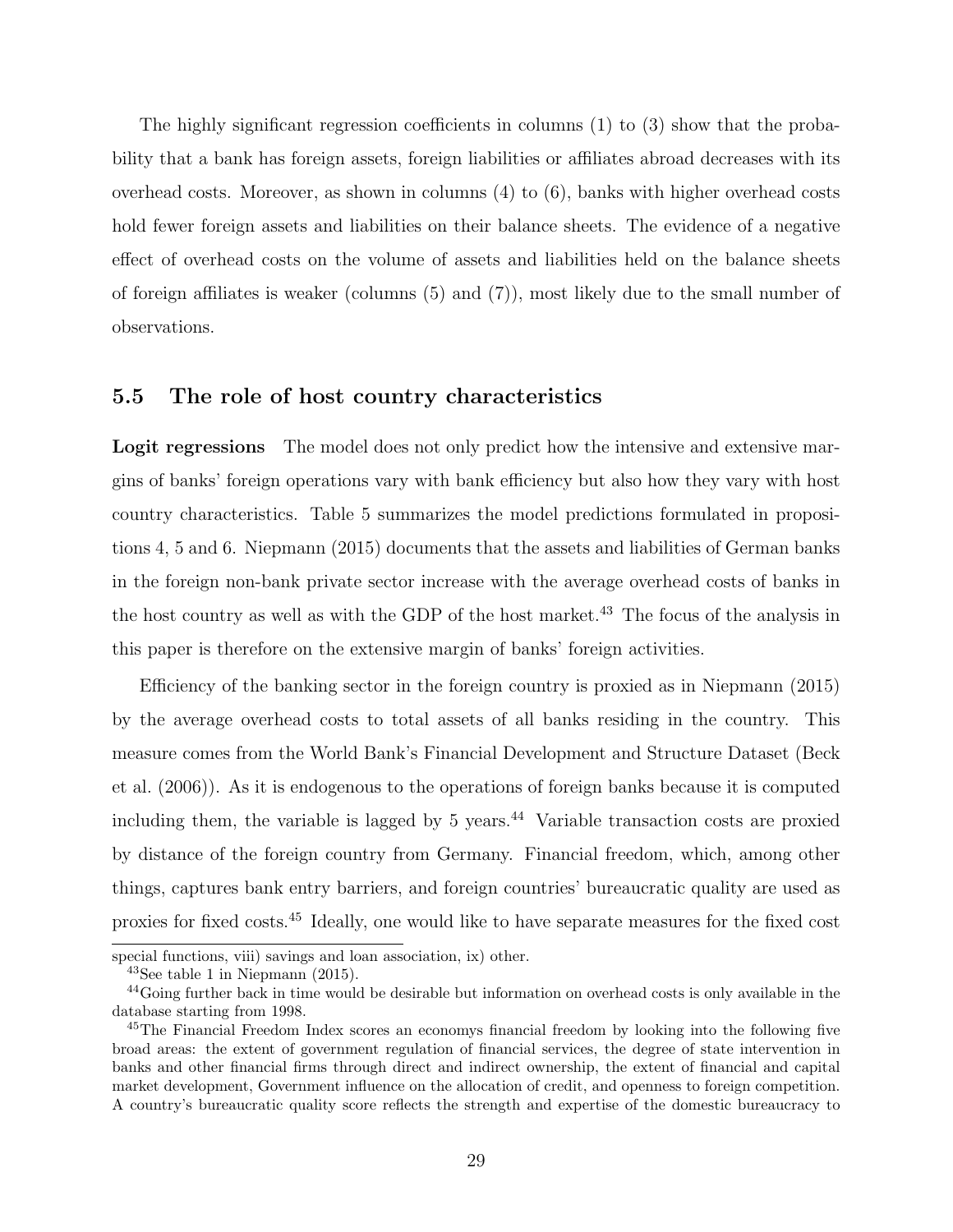The highly significant regression coefficients in columns (1) to (3) show that the probability that a bank has foreign assets, foreign liabilities or affiliates abroad decreases with its overhead costs. Moreover, as shown in columns (4) to (6), banks with higher overhead costs hold fewer foreign assets and liabilities on their balance sheets. The evidence of a negative effect of overhead costs on the volume of assets and liabilities held on the balance sheets of foreign affiliates is weaker (columns (5) and (7)), most likely due to the small number of observations.

### 5.5 The role of host country characteristics

Logit regressions The model does not only predict how the intensive and extensive margins of banks' foreign operations vary with bank efficiency but also how they vary with host country characteristics. Table 5 summarizes the model predictions formulated in propositions 4, 5 and 6. Niepmann (2015) documents that the assets and liabilities of German banks in the foreign non-bank private sector increase with the average overhead costs of banks in the host country as well as with the GDP of the host market.<sup>43</sup> The focus of the analysis in this paper is therefore on the extensive margin of banks' foreign activities.

Efficiency of the banking sector in the foreign country is proxied as in Niepmann (2015) by the average overhead costs to total assets of all banks residing in the country. This measure comes from the World Bank's Financial Development and Structure Dataset (Beck et al. (2006)). As it is endogenous to the operations of foreign banks because it is computed including them, the variable is lagged by  $5$  years.<sup>44</sup> Variable transaction costs are proxied by distance of the foreign country from Germany. Financial freedom, which, among other things, captures bank entry barriers, and foreign countries' bureaucratic quality are used as proxies for fixed costs.<sup>45</sup> Ideally, one would like to have separate measures for the fixed cost

special functions, viii) savings and loan association, ix) other.

<sup>43</sup>See table 1 in Niepmann (2015).

<sup>44</sup>Going further back in time would be desirable but information on overhead costs is only available in the database starting from 1998.

<sup>&</sup>lt;sup>45</sup>The Financial Freedom Index scores an economys financial freedom by looking into the following five broad areas: the extent of government regulation of financial services, the degree of state intervention in banks and other financial firms through direct and indirect ownership, the extent of financial and capital market development, Government influence on the allocation of credit, and openness to foreign competition. A country's bureaucratic quality score reflects the strength and expertise of the domestic bureaucracy to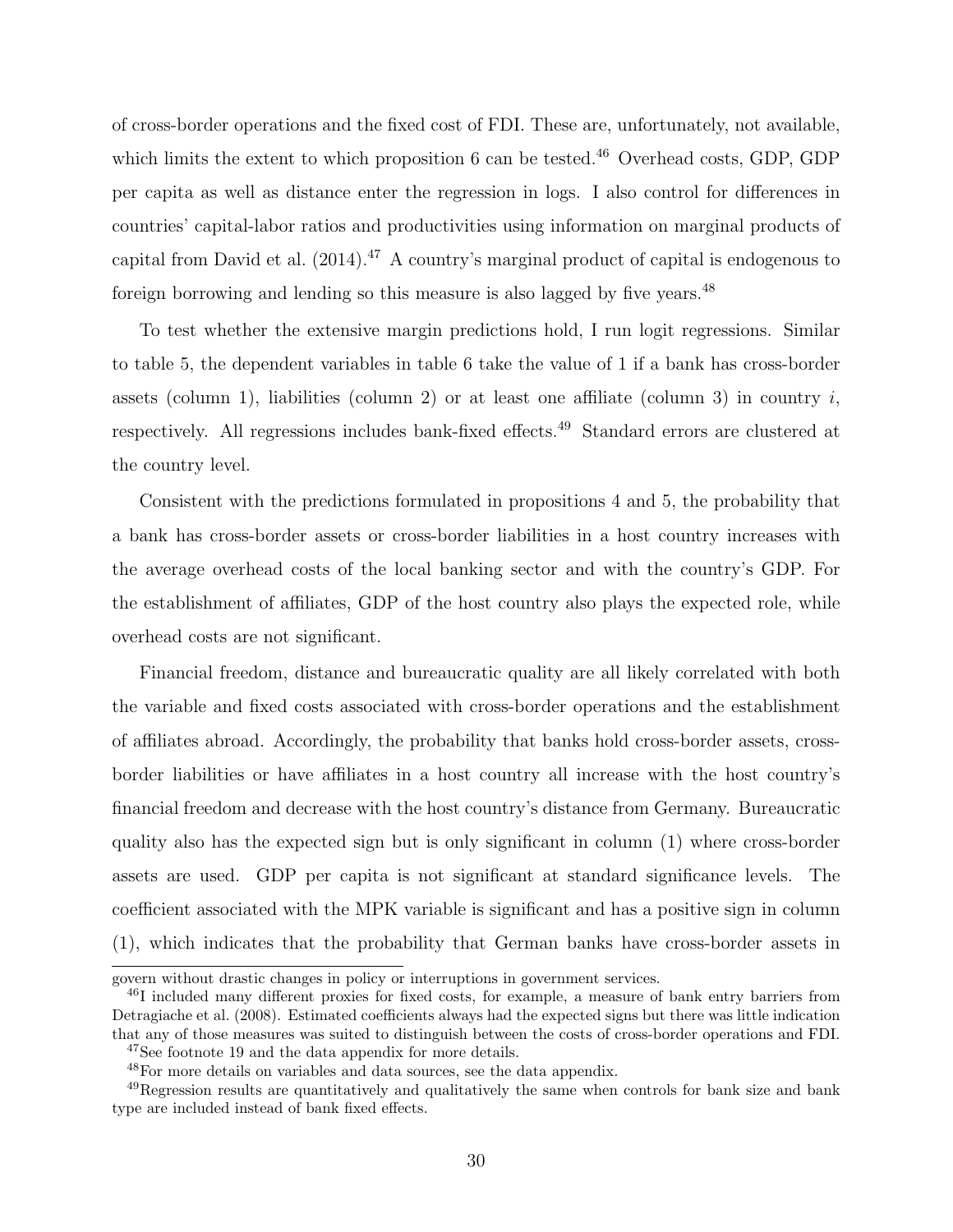of cross-border operations and the fixed cost of FDI. These are, unfortunately, not available, which limits the extent to which proposition 6 can be tested.<sup>46</sup> Overhead costs, GDP, GDP per capita as well as distance enter the regression in logs. I also control for differences in countries' capital-labor ratios and productivities using information on marginal products of capital from David et al.  $(2014).<sup>47</sup>$  A country's marginal product of capital is endogenous to foreign borrowing and lending so this measure is also lagged by five years.<sup>48</sup>

To test whether the extensive margin predictions hold, I run logit regressions. Similar to table 5, the dependent variables in table 6 take the value of 1 if a bank has cross-border assets (column 1), liabilities (column 2) or at least one affiliate (column 3) in country  $i$ , respectively. All regressions includes bank-fixed effects.<sup>49</sup> Standard errors are clustered at the country level.

Consistent with the predictions formulated in propositions 4 and 5, the probability that a bank has cross-border assets or cross-border liabilities in a host country increases with the average overhead costs of the local banking sector and with the country's GDP. For the establishment of affiliates, GDP of the host country also plays the expected role, while overhead costs are not significant.

Financial freedom, distance and bureaucratic quality are all likely correlated with both the variable and fixed costs associated with cross-border operations and the establishment of affiliates abroad. Accordingly, the probability that banks hold cross-border assets, crossborder liabilities or have affiliates in a host country all increase with the host country's financial freedom and decrease with the host country's distance from Germany. Bureaucratic quality also has the expected sign but is only significant in column (1) where cross-border assets are used. GDP per capita is not significant at standard significance levels. The coefficient associated with the MPK variable is significant and has a positive sign in column (1), which indicates that the probability that German banks have cross-border assets in

govern without drastic changes in policy or interruptions in government services.

<sup>46</sup>I included many different proxies for fixed costs, for example, a measure of bank entry barriers from Detragiache et al. (2008). Estimated coefficients always had the expected signs but there was little indication that any of those measures was suited to distinguish between the costs of cross-border operations and FDI.

<sup>47</sup>See footnote 19 and the data appendix for more details.

<sup>48</sup>For more details on variables and data sources, see the data appendix.

<sup>49</sup>Regression results are quantitatively and qualitatively the same when controls for bank size and bank type are included instead of bank fixed effects.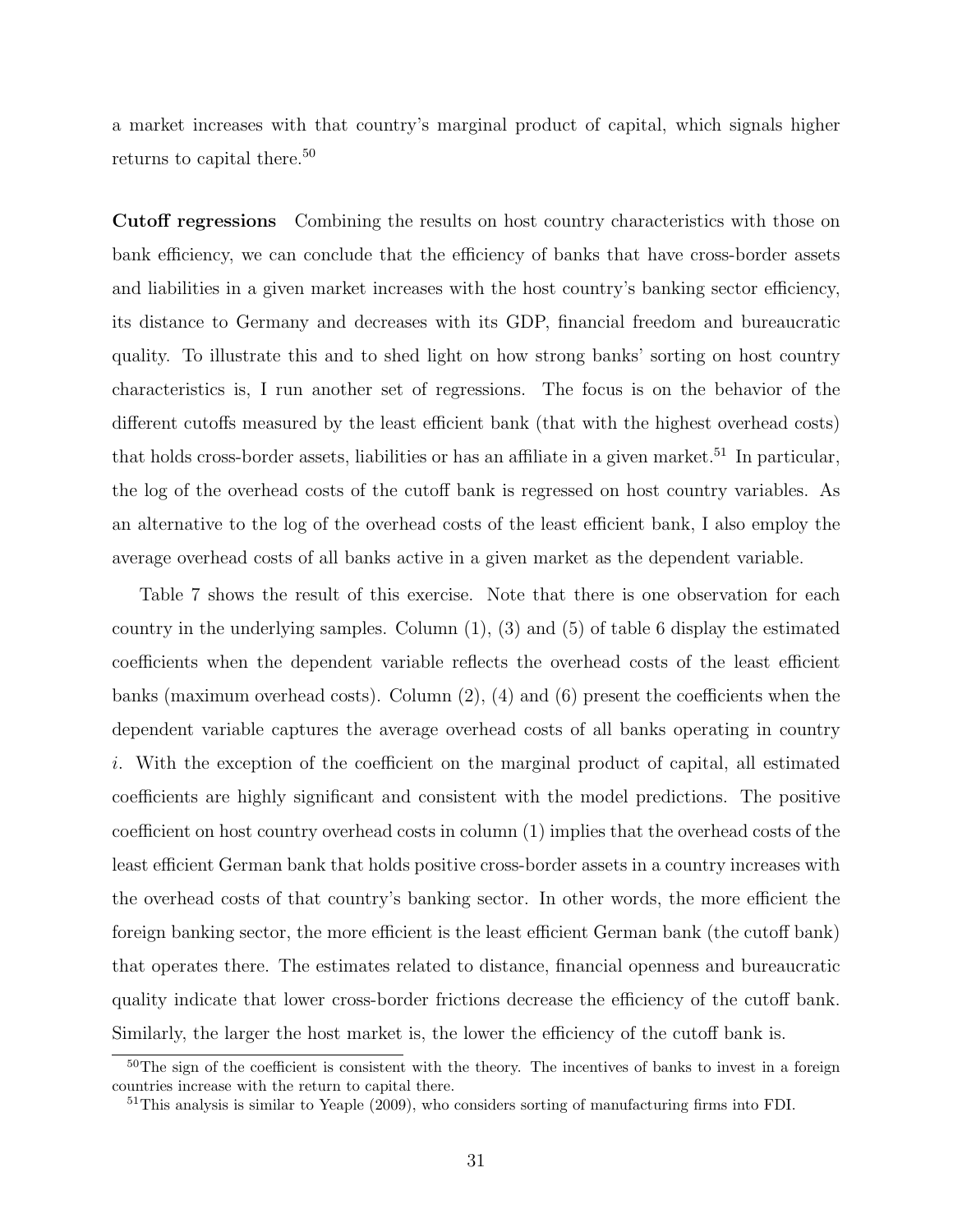a market increases with that country's marginal product of capital, which signals higher returns to capital there.<sup>50</sup>

Cutoff regressions Combining the results on host country characteristics with those on bank efficiency, we can conclude that the efficiency of banks that have cross-border assets and liabilities in a given market increases with the host country's banking sector efficiency, its distance to Germany and decreases with its GDP, financial freedom and bureaucratic quality. To illustrate this and to shed light on how strong banks' sorting on host country characteristics is, I run another set of regressions. The focus is on the behavior of the different cutoffs measured by the least efficient bank (that with the highest overhead costs) that holds cross-border assets, liabilities or has an affiliate in a given market.<sup>51</sup> In particular, the log of the overhead costs of the cutoff bank is regressed on host country variables. As an alternative to the log of the overhead costs of the least efficient bank, I also employ the average overhead costs of all banks active in a given market as the dependent variable.

Table 7 shows the result of this exercise. Note that there is one observation for each country in the underlying samples. Column  $(1)$ ,  $(3)$  and  $(5)$  of table 6 display the estimated coefficients when the dependent variable reflects the overhead costs of the least efficient banks (maximum overhead costs). Column  $(2)$ ,  $(4)$  and  $(6)$  present the coefficients when the dependent variable captures the average overhead costs of all banks operating in country i. With the exception of the coefficient on the marginal product of capital, all estimated coefficients are highly significant and consistent with the model predictions. The positive coefficient on host country overhead costs in column (1) implies that the overhead costs of the least efficient German bank that holds positive cross-border assets in a country increases with the overhead costs of that country's banking sector. In other words, the more efficient the foreign banking sector, the more efficient is the least efficient German bank (the cutoff bank) that operates there. The estimates related to distance, financial openness and bureaucratic quality indicate that lower cross-border frictions decrease the efficiency of the cutoff bank. Similarly, the larger the host market is, the lower the efficiency of the cutoff bank is.

<sup>&</sup>lt;sup>50</sup>The sign of the coefficient is consistent with the theory. The incentives of banks to invest in a foreign countries increase with the return to capital there.

 $51$ This analysis is similar to Yeaple (2009), who considers sorting of manufacturing firms into FDI.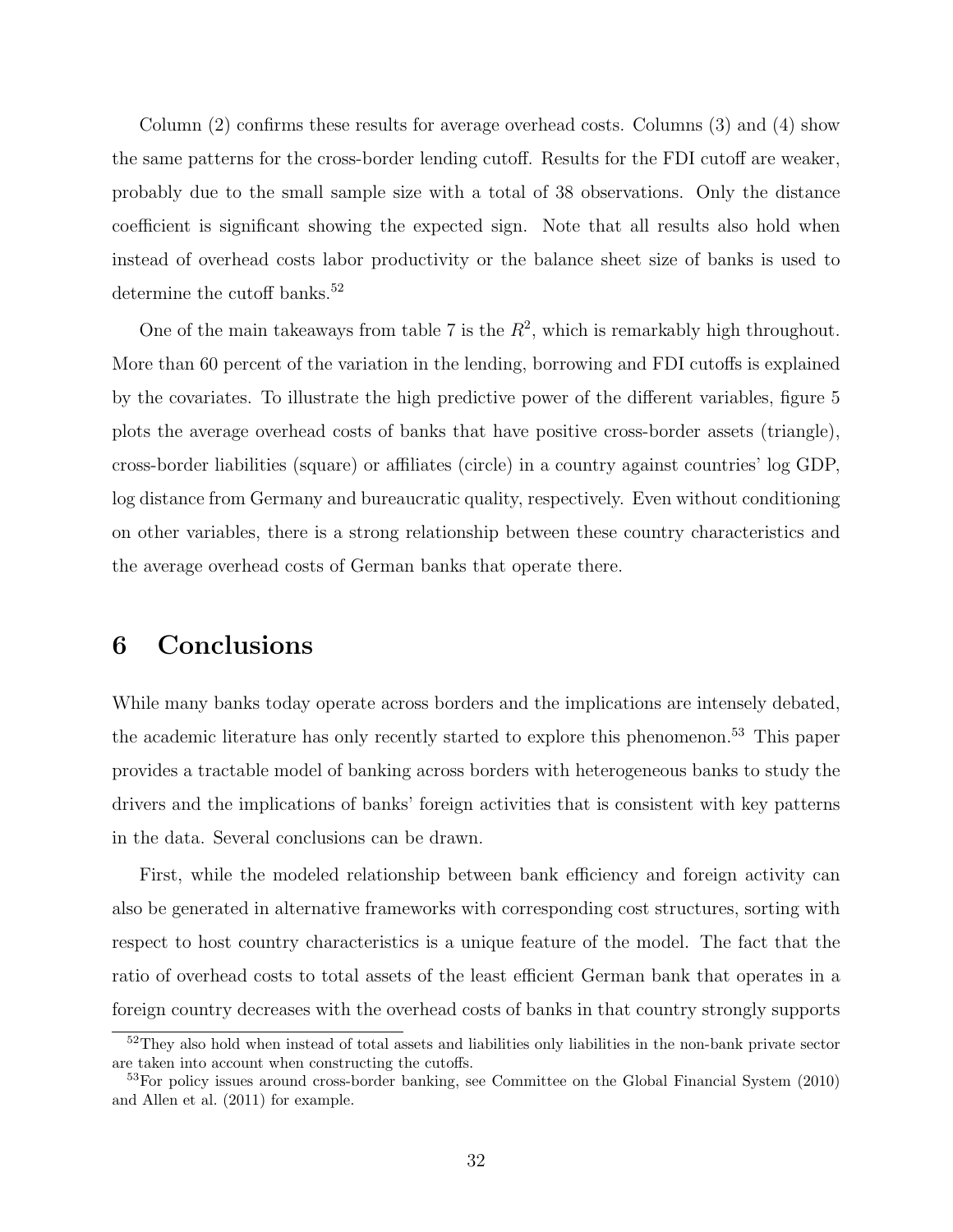Column (2) confirms these results for average overhead costs. Columns (3) and (4) show the same patterns for the cross-border lending cutoff. Results for the FDI cutoff are weaker, probably due to the small sample size with a total of 38 observations. Only the distance coefficient is significant showing the expected sign. Note that all results also hold when instead of overhead costs labor productivity or the balance sheet size of banks is used to determine the cutoff banks.<sup>52</sup>

One of the main takeaways from table 7 is the  $R^2$ , which is remarkably high throughout. More than 60 percent of the variation in the lending, borrowing and FDI cutoffs is explained by the covariates. To illustrate the high predictive power of the different variables, figure 5 plots the average overhead costs of banks that have positive cross-border assets (triangle), cross-border liabilities (square) or affiliates (circle) in a country against countries' log GDP, log distance from Germany and bureaucratic quality, respectively. Even without conditioning on other variables, there is a strong relationship between these country characteristics and the average overhead costs of German banks that operate there.

# 6 Conclusions

While many banks today operate across borders and the implications are intensely debated, the academic literature has only recently started to explore this phenomenon.<sup>53</sup> This paper provides a tractable model of banking across borders with heterogeneous banks to study the drivers and the implications of banks' foreign activities that is consistent with key patterns in the data. Several conclusions can be drawn.

First, while the modeled relationship between bank efficiency and foreign activity can also be generated in alternative frameworks with corresponding cost structures, sorting with respect to host country characteristics is a unique feature of the model. The fact that the ratio of overhead costs to total assets of the least efficient German bank that operates in a foreign country decreases with the overhead costs of banks in that country strongly supports

<sup>52</sup>They also hold when instead of total assets and liabilities only liabilities in the non-bank private sector are taken into account when constructing the cutoffs.

<sup>53</sup>For policy issues around cross-border banking, see Committee on the Global Financial System (2010) and Allen et al. (2011) for example.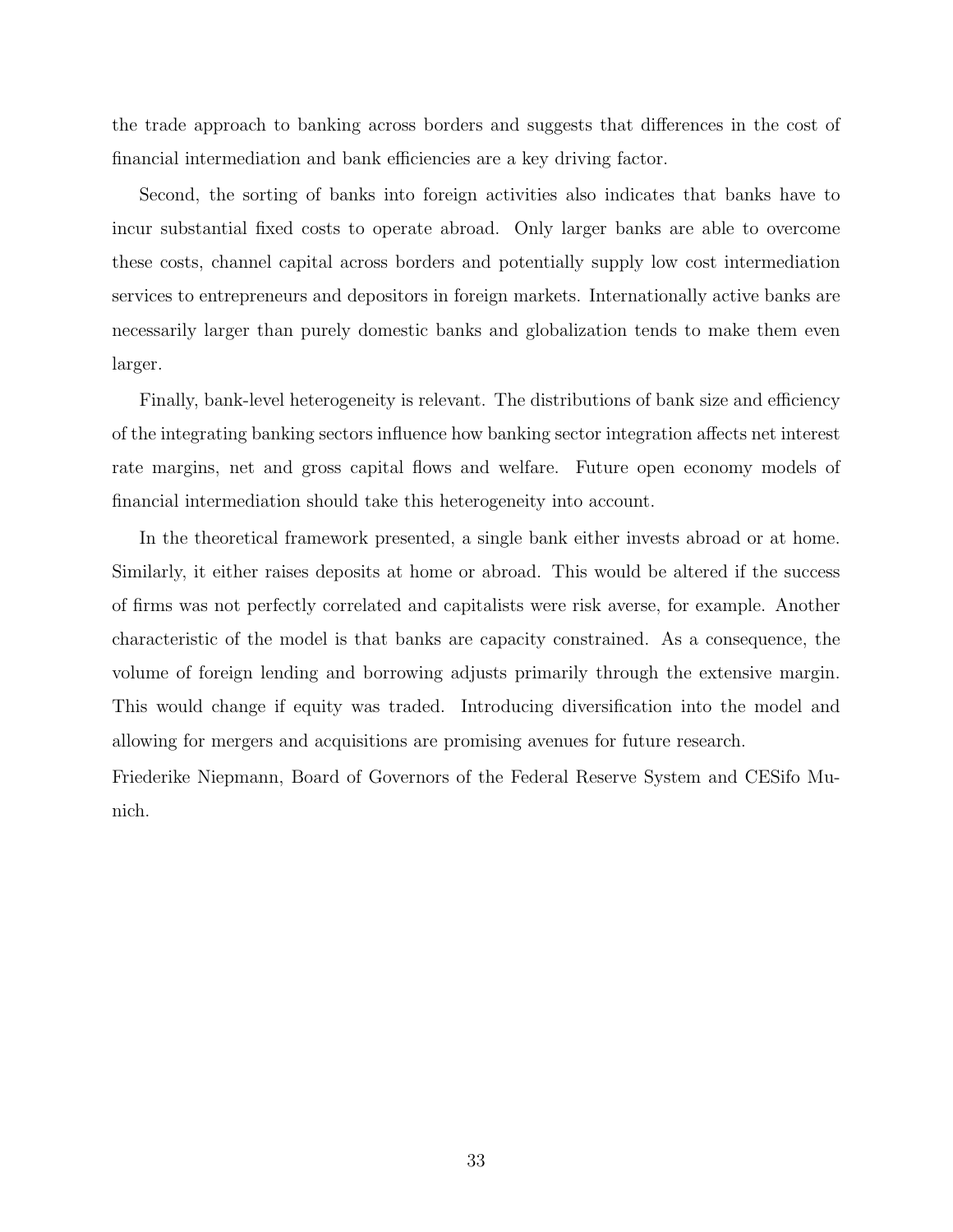the trade approach to banking across borders and suggests that differences in the cost of financial intermediation and bank efficiencies are a key driving factor.

Second, the sorting of banks into foreign activities also indicates that banks have to incur substantial fixed costs to operate abroad. Only larger banks are able to overcome these costs, channel capital across borders and potentially supply low cost intermediation services to entrepreneurs and depositors in foreign markets. Internationally active banks are necessarily larger than purely domestic banks and globalization tends to make them even larger.

Finally, bank-level heterogeneity is relevant. The distributions of bank size and efficiency of the integrating banking sectors influence how banking sector integration affects net interest rate margins, net and gross capital flows and welfare. Future open economy models of financial intermediation should take this heterogeneity into account.

In the theoretical framework presented, a single bank either invests abroad or at home. Similarly, it either raises deposits at home or abroad. This would be altered if the success of firms was not perfectly correlated and capitalists were risk averse, for example. Another characteristic of the model is that banks are capacity constrained. As a consequence, the volume of foreign lending and borrowing adjusts primarily through the extensive margin. This would change if equity was traded. Introducing diversification into the model and allowing for mergers and acquisitions are promising avenues for future research.

Friederike Niepmann, Board of Governors of the Federal Reserve System and CESifo Munich.

33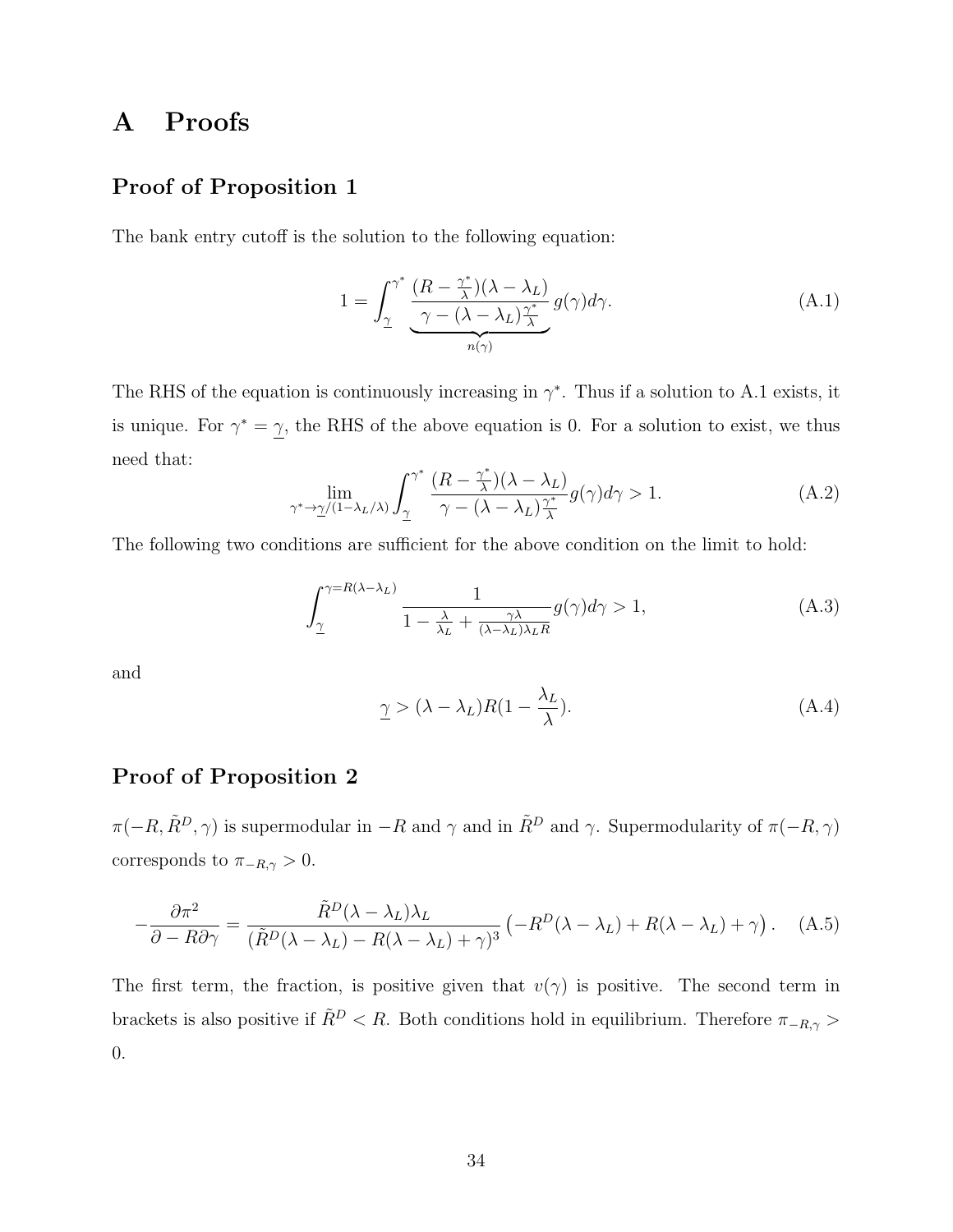# A Proofs

### Proof of Proposition 1

The bank entry cutoff is the solution to the following equation:

$$
1 = \int_{\underline{\gamma}}^{\gamma^*} \underbrace{\frac{(R - \frac{\gamma^*}{\lambda})(\lambda - \lambda_L)}{\gamma - (\lambda - \lambda_L)\frac{\gamma^*}{\lambda}} g(\gamma) d\gamma}_{n(\gamma)}.
$$
\n(A.1)

The RHS of the equation is continuously increasing in  $\gamma^*$ . Thus if a solution to A.1 exists, it is unique. For  $\gamma^* = \gamma$ , the RHS of the above equation is 0. For a solution to exist, we thus need that:

$$
\lim_{\gamma^* \to \underline{\gamma}/(1-\lambda_L/\lambda)} \int_{\underline{\gamma}}^{\gamma^*} \frac{(R - \frac{\gamma^*}{\lambda})(\lambda - \lambda_L)}{\gamma - (\lambda - \lambda_L)\frac{\gamma^*}{\lambda}} g(\gamma) d\gamma > 1.
$$
 (A.2)

The following two conditions are sufficient for the above condition on the limit to hold:

$$
\int_{\underline{\gamma}}^{\gamma=R(\lambda-\lambda_L)} \frac{1}{1-\frac{\lambda}{\lambda_L}+\frac{\gamma\lambda}{(\lambda-\lambda_L)\lambda_L R}} g(\gamma)d\gamma > 1,
$$
\n(A.3)

and

$$
\underline{\gamma} > (\lambda - \lambda_L)R(1 - \frac{\lambda_L}{\lambda}).
$$
\n(A.4)

### Proof of Proposition 2

 $\pi(-R, \tilde{R}^D, \gamma)$  is supermodular in  $-R$  and  $\gamma$  and in  $\tilde{R}^D$  and  $\gamma$ . Supermodularity of  $\pi(-R, \gamma)$ corresponds to  $\pi_{-R,\gamma}>0.$ 

$$
-\frac{\partial \pi^2}{\partial - R \partial \gamma} = \frac{\tilde{R}^D (\lambda - \lambda_L) \lambda_L}{(\tilde{R}^D (\lambda - \lambda_L) - R(\lambda - \lambda_L) + \gamma)^3} \left( -R^D (\lambda - \lambda_L) + R(\lambda - \lambda_L) + \gamma \right). \tag{A.5}
$$

The first term, the fraction, is positive given that  $v(\gamma)$  is positive. The second term in brackets is also positive if  $\tilde{R}^{D} < R$ . Both conditions hold in equilibrium. Therefore  $\pi_{-R,\gamma} >$ 0.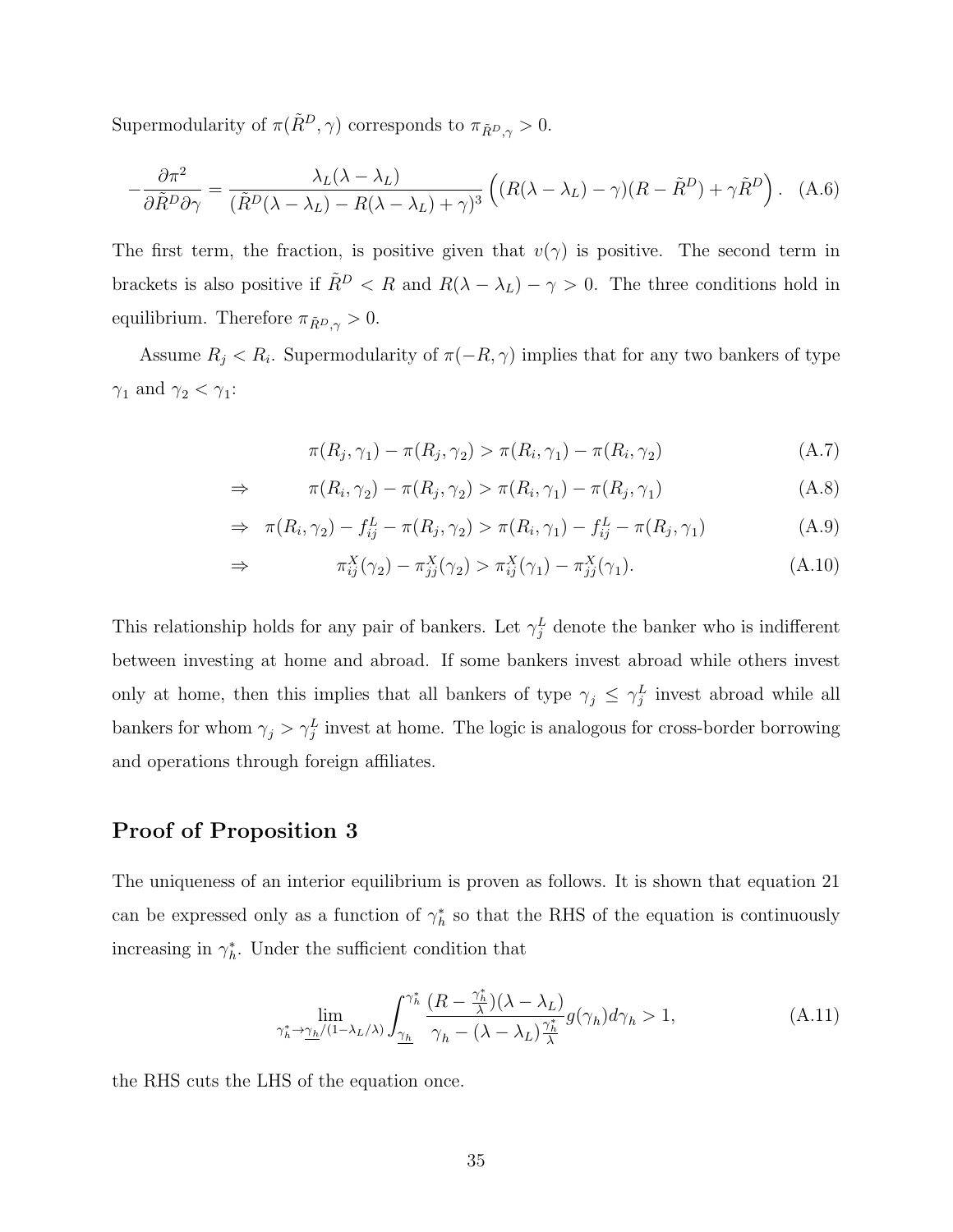Supermodularity of  $\pi(\tilde{R}^D, \gamma)$  corresponds to  $\pi_{\tilde{R}^D, \gamma} > 0$ .

$$
-\frac{\partial \pi^2}{\partial \tilde{R}^D \partial \gamma} = \frac{\lambda_L (\lambda - \lambda_L)}{(\tilde{R}^D (\lambda - \lambda_L) - R(\lambda - \lambda_L) + \gamma)^3} \left( (R(\lambda - \lambda_L) - \gamma)(R - \tilde{R}^D) + \gamma \tilde{R}^D \right). \tag{A.6}
$$

The first term, the fraction, is positive given that  $v(\gamma)$  is positive. The second term in brackets is also positive if  $\tilde{R}^D < R$  and  $R(\lambda - \lambda_L) - \gamma > 0$ . The three conditions hold in equilibrium. Therefore  $\pi_{\tilde{R}^D,\gamma} > 0$ .

Assume  $R_j < R_i$ . Supermodularity of  $\pi(-R, \gamma)$  implies that for any two bankers of type  $\gamma_1$  and  $\gamma_2 < \gamma_1$ :

$$
\pi(R_j, \gamma_1) - \pi(R_j, \gamma_2) > \pi(R_i, \gamma_1) - \pi(R_i, \gamma_2)
$$
\n(A.7)

$$
\Rightarrow \qquad \pi(R_i, \gamma_2) - \pi(R_j, \gamma_2) > \pi(R_i, \gamma_1) - \pi(R_j, \gamma_1) \tag{A.8}
$$

$$
\Rightarrow \ \pi(R_i, \gamma_2) - f_{ij}^L - \pi(R_j, \gamma_2) > \pi(R_i, \gamma_1) - f_{ij}^L - \pi(R_j, \gamma_1)
$$
\n(A.9)

$$
\Rightarrow \qquad \pi_{ij}^X(\gamma_2) - \pi_{jj}^X(\gamma_2) > \pi_{ij}^X(\gamma_1) - \pi_{jj}^X(\gamma_1). \tag{A.10}
$$

This relationship holds for any pair of bankers. Let  $\gamma_j^L$  denote the banker who is indifferent between investing at home and abroad. If some bankers invest abroad while others invest only at home, then this implies that all bankers of type  $\gamma_j \leq \gamma_j^L$  invest abroad while all bankers for whom  $\gamma_j > \gamma_j^L$  invest at home. The logic is analogous for cross-border borrowing and operations through foreign affiliates.

### Proof of Proposition 3

The uniqueness of an interior equilibrium is proven as follows. It is shown that equation 21 can be expressed only as a function of  $\gamma_h^*$  so that the RHS of the equation is continuously increasing in  $\gamma_h^*$ . Under the sufficient condition that

$$
\lim_{\gamma_h^* \to \underline{\gamma_h} / (1 - \lambda_L/\lambda)} \int_{\underline{\gamma_h}}^{\gamma_h^*} \frac{(R - \frac{\gamma_h^*}{\lambda})(\lambda - \lambda_L)}{\gamma_h - (\lambda - \lambda_L)\frac{\gamma_h^*}{\lambda}} g(\gamma_h) d\gamma_h > 1,
$$
\n(A.11)

the RHS cuts the LHS of the equation once.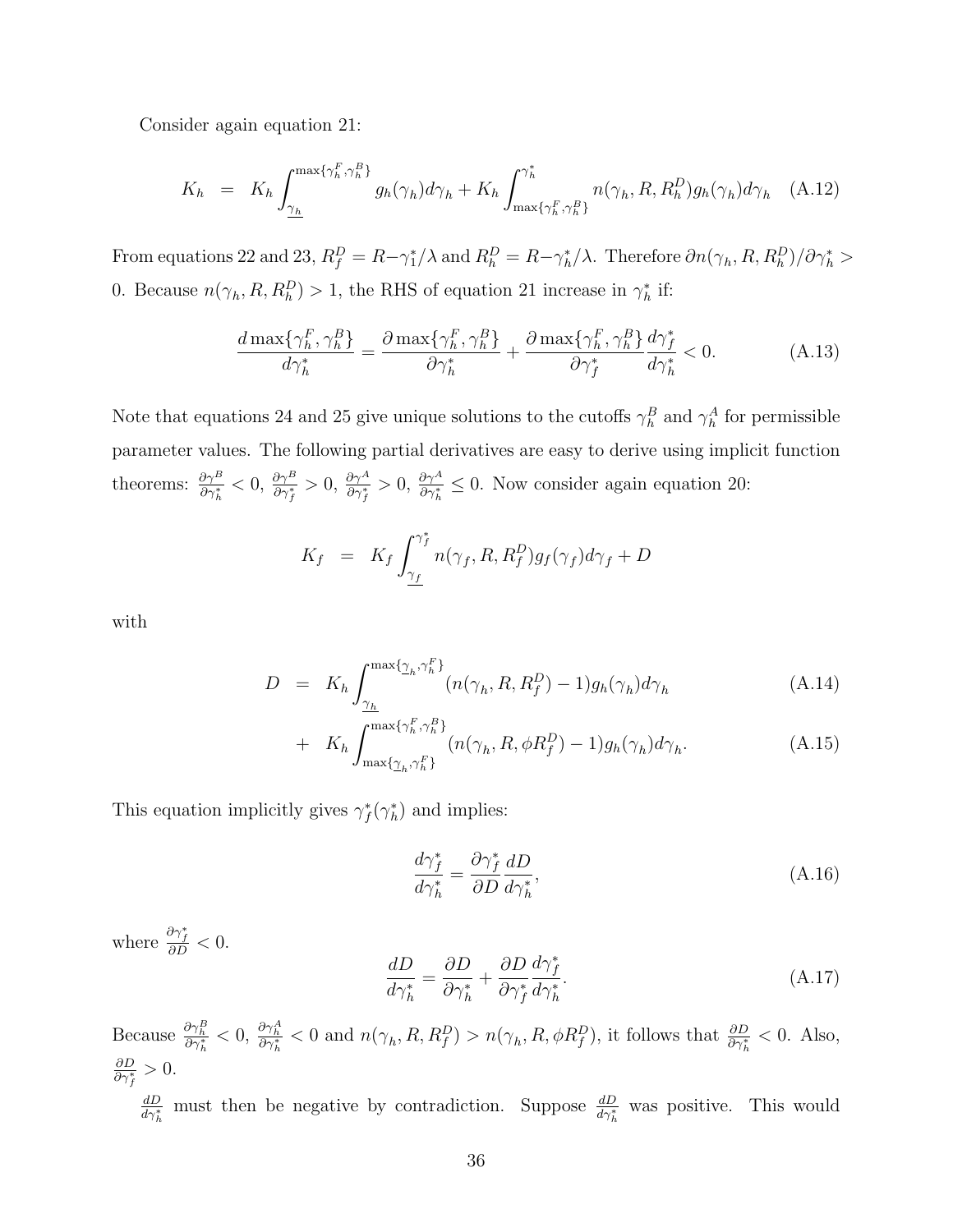Consider again equation 21:

$$
K_h = K_h \int_{\underline{\gamma_h}}^{\max\{\gamma_h^F, \gamma_h^B\}} g_h(\gamma_h) d\gamma_h + K_h \int_{\max\{\gamma_h^F, \gamma_h^B\}}^{\gamma_h^*} n(\gamma_h, R, R_h^D) g_h(\gamma_h) d\gamma_h \quad (A.12)
$$

From equations 22 and 23,  $R_f^D = R - \gamma_1^* / \lambda$  and  $R_h^D = R - \gamma_h^* / \lambda$ . Therefore  $\partial n(\gamma_h, R, R_h^D) / \partial \gamma_h^* >$ 0. Because  $n(\gamma_h, R, R_h^D) > 1$ , the RHS of equation 21 increase in  $\gamma_h^*$  if:

$$
\frac{d\max\{\gamma_h^F, \gamma_h^B\}}{d\gamma_h^*} = \frac{\partial \max\{\gamma_h^F, \gamma_h^B\}}{\partial \gamma_h^*} + \frac{\partial \max\{\gamma_h^F, \gamma_h^B\}}{\partial \gamma_f^*} \frac{d\gamma_f^*}{d\gamma_h^*} < 0. \tag{A.13}
$$

Note that equations 24 and 25 give unique solutions to the cutoffs  $\gamma_h^B$  and  $\gamma_h^A$  for permissible parameter values. The following partial derivatives are easy to derive using implicit function theorems:  $\frac{\partial \gamma^B}{\partial \gamma_i^*}$  < 0,  $\frac{\partial \gamma^B}{\partial \gamma_i^*}$  > 0,  $\frac{\partial \gamma^A}{\partial \gamma_i^*}$   $\leq$  0. Now consider again equation 20:

$$
K_f = K_f \int_{\underline{\gamma_f}}^{\gamma_f^*} n(\gamma_f, R, R_f^D) g_f(\gamma_f) d\gamma_f + D
$$

with

$$
D = K_h \int_{\underline{\gamma_h}}^{\max\{\underline{\gamma}_h, \gamma_h^F\}} (n(\gamma_h, R, R_f^D) - 1) g_h(\gamma_h) d\gamma_h \tag{A.14}
$$

+ 
$$
K_h \int_{\max\{\gamma_h, \gamma_h^F\}}^{\max\{\gamma_h^F, \gamma_h^B\}} (n(\gamma_h, R, \phi R_f^D) - 1) g_h(\gamma_h) d\gamma_h.
$$
 (A.15)

This equation implicitly gives  $\gamma_f^*(\gamma_h^*)$  and implies:

$$
\frac{d\gamma_f^*}{d\gamma_h^*} = \frac{\partial \gamma_f^*}{\partial D} \frac{dD}{d\gamma_h^*},\tag{A.16}
$$

where  $\frac{\partial \gamma_f^*}{\partial D} < 0$ .

$$
\frac{dD}{d\gamma_h^*} = \frac{\partial D}{\partial \gamma_h^*} + \frac{\partial D}{\partial \gamma_f^*} \frac{d\gamma_f^*}{d\gamma_h^*}.\tag{A.17}
$$

Because  $\frac{\partial \gamma_h^B}{\partial \gamma_h^*} < 0$ ,  $\frac{\partial \gamma_h^A}{\partial \gamma_h^*} < 0$  and  $n(\gamma_h, R, R_f^D) > n(\gamma_h, R, \phi R_f^D)$ , it follows that  $\frac{\partial D}{\partial \gamma_h^*} < 0$ . Also,  $\frac{\partial D}{\partial \gamma_f^*} > 0.$ 

 $\frac{dD}{d\gamma_h^*}$  must then be negative by contradiction. Suppose  $\frac{dD}{d\gamma_h^*}$  was positive. This would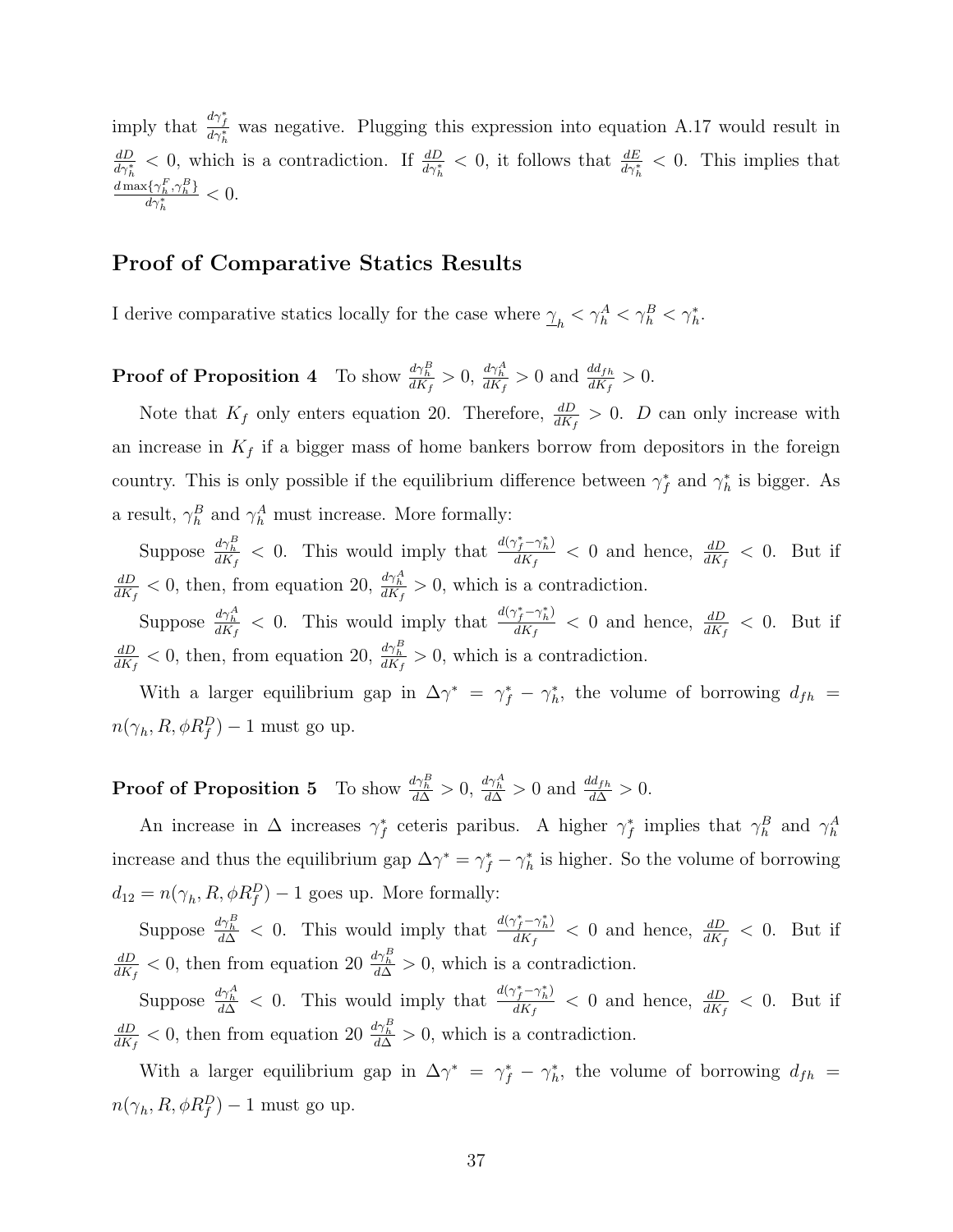imply that  $\frac{d\gamma_f^*}{d\gamma_h^*}$  was negative. Plugging this expression into equation A.17 would result in  $\frac{dD}{d\gamma_h^*}$  < 0, which is a contradiction. If  $\frac{dD}{d\gamma_h^*}$  < 0, it follows that  $\frac{dE}{d\gamma_h^*}$  < 0. This implies that  $\frac{d \max\{\gamma_h^F,\gamma_h^B\}}{h}$  $\frac{\partial \{\gamma_h^*, \gamma_h^-\}}{\partial \gamma_h^*} < 0.$ 

### Proof of Comparative Statics Results

I derive comparative statics locally for the case where  $\gamma_h < \gamma_h^A < \gamma_h^B < \gamma_h^*$ .

**Proof of Proposition 4** To show  $\frac{d\gamma_h^B}{dK_f} > 0$ ,  $\frac{d\gamma_h^A}{dK_f} > 0$  and  $\frac{dd_{fh}}{dK_f} > 0$ .

Note that  $K_f$  only enters equation 20. Therefore,  $\frac{dD}{dK_f} > 0$ . D can only increase with an increase in  $K_f$  if a bigger mass of home bankers borrow from depositors in the foreign country. This is only possible if the equilibrium difference between  $\gamma_f^*$  and  $\gamma_h^*$  is bigger. As a result,  $\gamma_h^B$  and  $\gamma_h^A$  must increase. More formally:

Suppose  $\frac{d\gamma_h^B}{dK_f} < 0$ . This would imply that  $\frac{d(\gamma_f^* - \gamma_h^*)}{dK_f}$  $\frac{dN_f - \gamma_h}{dK_f} < 0$  and hence,  $\frac{dD}{dK_f} < 0$ . But if  $dD$  $\frac{dD}{dK_f}$  < 0, then, from equation 20,  $\frac{d\gamma_h^A}{dK_f}$  > 0, which is a contradiction.

Suppose  $\frac{d\gamma_h^A}{dK_f} < 0$ . This would imply that  $\frac{d(\gamma_f^* - \gamma_h^*)}{dK_f}$  $\frac{dN_f - \gamma_h}{dK_f} < 0$  and hence,  $\frac{dD}{dK_f} < 0$ . But if  $dD$  $\frac{dD}{dK_f}$  < 0, then, from equation 20,  $\frac{d\gamma_B^B}{dK_f}$  > 0, which is a contradiction.

With a larger equilibrium gap in  $\Delta \gamma^* = \gamma_f^* - \gamma_h^*$ , the volume of borrowing  $d_{fh} =$  $n(\gamma_h, R, \phi R_f^D) - 1$  must go up.

**Proof of Proposition 5** To show  $\frac{d\gamma_h^B}{d\Delta} > 0$ ,  $\frac{d\gamma_h^A}{d\Delta} > 0$  and  $\frac{dd_{fh}}{d\Delta} > 0$ .

An increase in  $\Delta$  increases  $\gamma_f^*$  ceteris paribus. A higher  $\gamma_f^*$  implies that  $\gamma_h^B$  and  $\gamma_h^A$ increase and thus the equilibrium gap  $\Delta \gamma^* = \gamma_f^* - \gamma_h^*$  is higher. So the volume of borrowing  $d_{12} = n(\gamma_h, R, \phi R_f^D) - 1$  goes up. More formally:

Suppose  $\frac{d\gamma_h^B}{d\Delta} < 0$ . This would imply that  $\frac{d(\gamma_f^* - \gamma_h^*)}{dK_f}$  $\frac{dV_f - \gamma_h}{dK_f} < 0$  and hence,  $\frac{dD}{dK_f} < 0$ . But if  $dD$  $\frac{dD}{dK_f}$  < 0, then from equation 20  $\frac{d\gamma_B^B}{d\Delta}$  > 0, which is a contradiction.

Suppose  $\frac{d\gamma_h^A}{d\Delta} < 0$ . This would imply that  $\frac{d(\gamma_f^* - \gamma_h^*)}{dK_f}$  $\frac{dV_f - \gamma_h}{dK_f} < 0$  and hence,  $\frac{dD}{dK_f} < 0$ . But if  $dD$  $\frac{dD}{dK_f}$  < 0, then from equation 20  $\frac{d\gamma_B^B}{d\Delta}$  > 0, which is a contradiction.

With a larger equilibrium gap in  $\Delta \gamma^* = \gamma_f^* - \gamma_h^*$ , the volume of borrowing  $d_{fh} =$  $n(\gamma_h, R, \phi R_f^D) - 1$  must go up.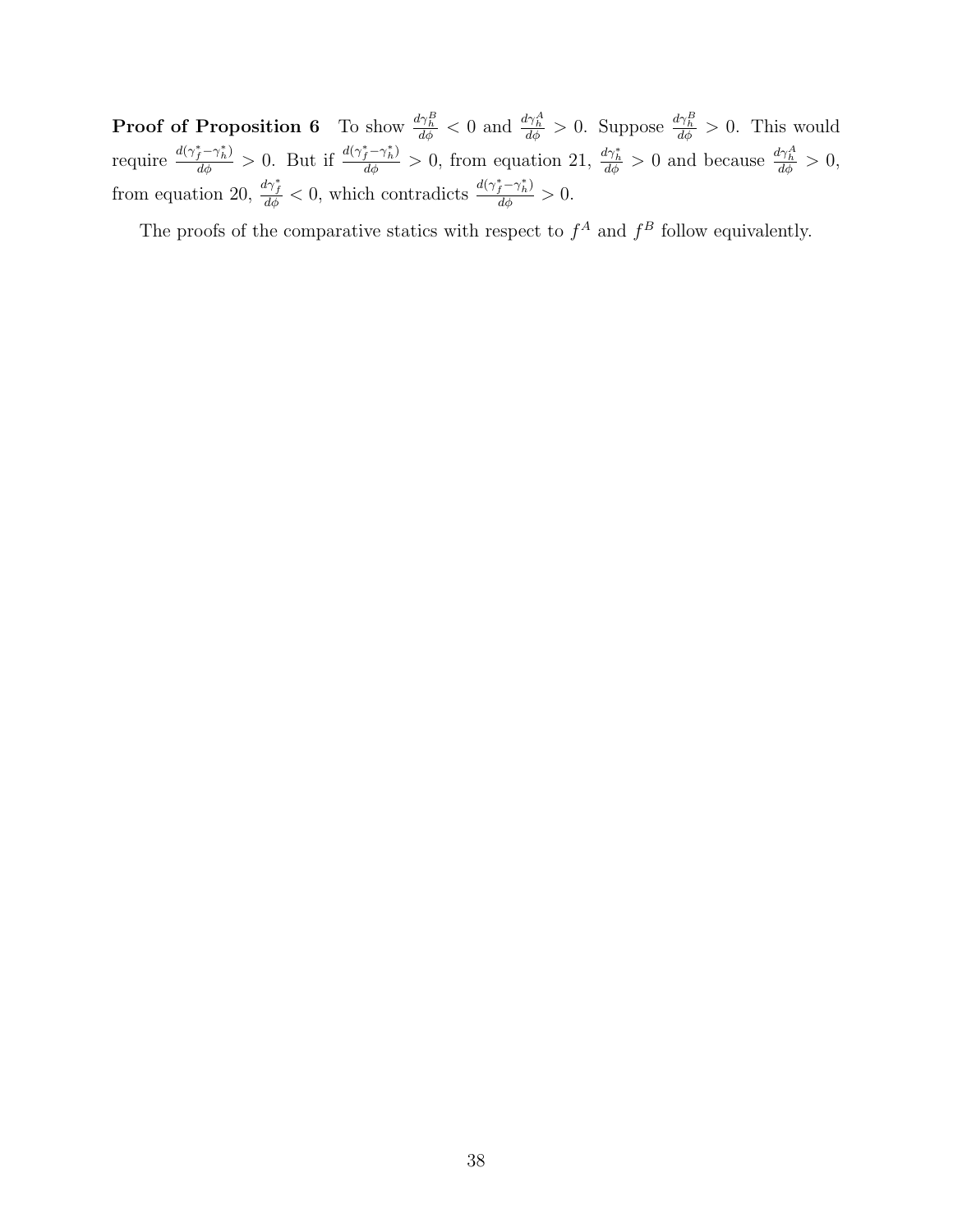**Proof of Proposition 6** To show  $\frac{d\gamma_B^B}{d\phi} < 0$  and  $\frac{d\gamma_A^A}{d\phi} > 0$ . Suppose  $\frac{d\gamma_B^B}{d\phi} > 0$ . This would require  $\frac{d(\gamma_f^*-\gamma_h^*)}{d\phi} > 0$ . But if  $\frac{d(\gamma_f^*-\gamma_h^*)}{d\phi} > 0$ , from equation 21,  $\frac{d\gamma_h^*}{d\phi} > 0$  and because  $\frac{d\gamma_h^A}{d\phi} > 0$ , from equation 20,  $\frac{d\gamma_f^*}{d\phi} < 0$ , which contradicts  $\frac{d(\gamma_f^* - \gamma_h^*)}{d\phi} > 0$ .

The proofs of the comparative statics with respect to  $f^A$  and  $f^B$  follow equivalently.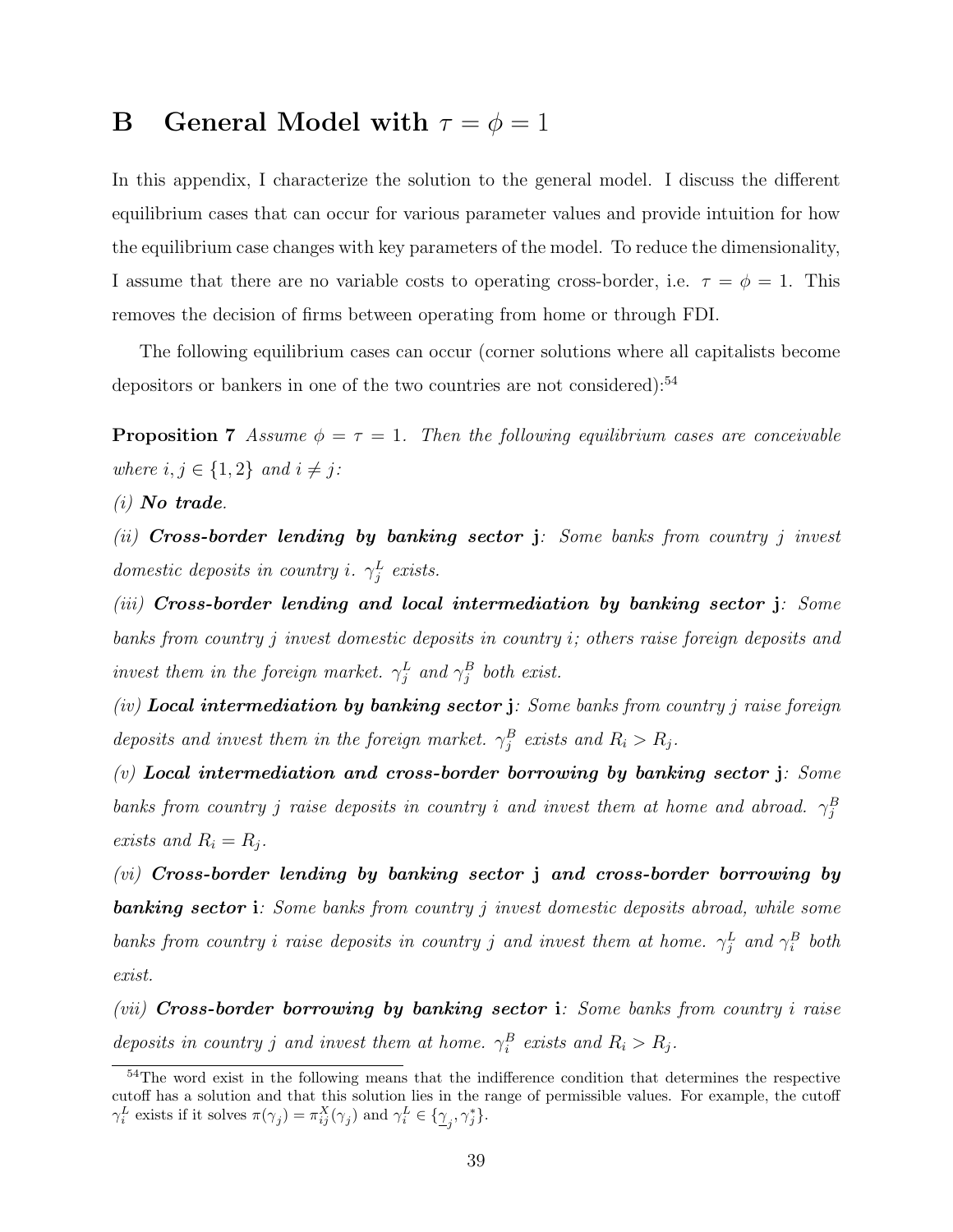# **B** General Model with  $\tau = \phi = 1$

In this appendix, I characterize the solution to the general model. I discuss the different equilibrium cases that can occur for various parameter values and provide intuition for how the equilibrium case changes with key parameters of the model. To reduce the dimensionality, I assume that there are no variable costs to operating cross-border, i.e.  $\tau = \phi = 1$ . This removes the decision of firms between operating from home or through FDI.

The following equilibrium cases can occur (corner solutions where all capitalists become depositors or bankers in one of the two countries are not considered): $54$ 

**Proposition 7** Assume  $\phi = \tau = 1$ . Then the following equilibrium cases are conceivable where  $i, j \in \{1, 2\}$  and  $i \neq j$ :

 $(i)$  No trade.

(ii) Cross-border lending by banking sector  $\mathbf{j}$ : Some banks from country j invest domestic deposits in country i.  $\gamma_j^L$  exists.

 $(iii)$  Cross-border lending and local intermediation by banking sector  $j$ : Some banks from country j invest domestic deposits in country i; others raise foreign deposits and invest them in the foreign market.  $\gamma_j^L$  and  $\gamma_j^B$  both exist.

 $(iv)$  Local intermediation by banking sector j: Some banks from country j raise foreign deposits and invest them in the foreign market.  $\gamma_j^B$  exists and  $R_i > R_j$ .

 $(v)$  Local intermediation and cross-border borrowing by banking sector j: Some banks from country j raise deposits in country i and invest them at home and abroad.  $\gamma_j^B$ exists and  $R_i = R_j$ .

 $(vi)$  Cross-border lending by banking sector j and cross-border borrowing by **banking sector i**: Some banks from country j invest domestic deposits abroad, while some banks from country i raise deposits in country j and invest them at home.  $\gamma_j^L$  and  $\gamma_i^B$  both exist.

 $(vii)$  Cross-border borrowing by banking sector i: Some banks from country i raise deposits in country j and invest them at home.  $\gamma_i^B$  exists and  $R_i > R_j$ .

<sup>54</sup>The word exist in the following means that the indifference condition that determines the respective cutoff has a solution and that this solution lies in the range of permissible values. For example, the cutoff  $\gamma_i^L$  exists if it solves  $\pi(\gamma_j) = \pi_{ij}^X(\gamma_j)$  and  $\gamma_i^L \in {\{\gamma_j, \gamma_j^*\}}$ .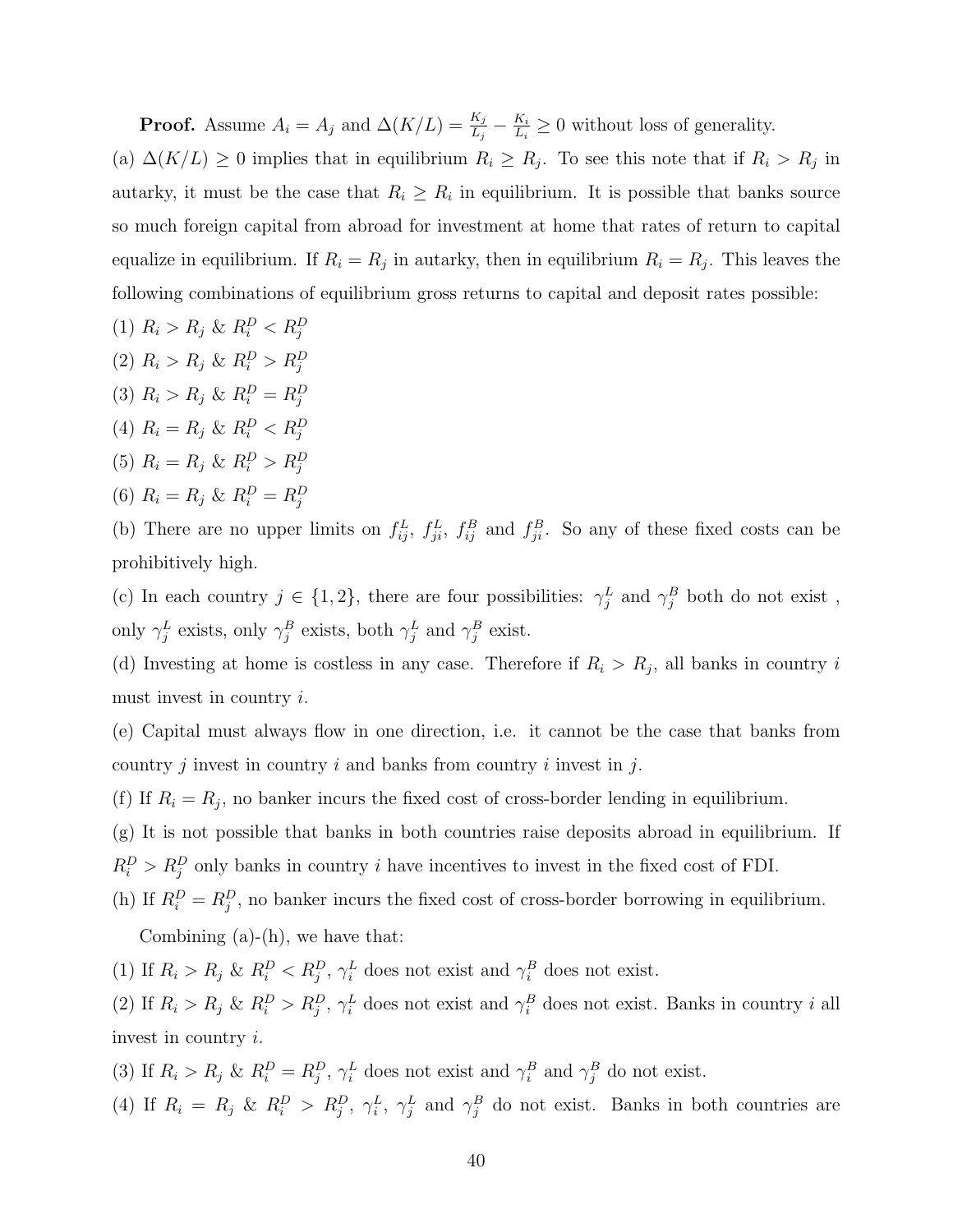**Proof.** Assume  $A_i = A_j$  and  $\Delta(K/L) = \frac{K_j}{L_j} - \frac{K_i}{L_i}$  $\frac{K_i}{L_i} \geq 0$  without loss of generality. (a)  $\Delta(K/L) \geq 0$  implies that in equilibrium  $R_i \geq R_j$ . To see this note that if  $R_i > R_j$  in autarky, it must be the case that  $R_i \geq R_i$  in equilibrium. It is possible that banks source so much foreign capital from abroad for investment at home that rates of return to capital equalize in equilibrium. If  $R_i = R_j$  in autarky, then in equilibrium  $R_i = R_j$ . This leaves the following combinations of equilibrium gross returns to capital and deposit rates possible:

- (1)  $R_i > R_j \& R_i^D < R_j^D$
- (2)  $R_i > R_j \& R_i^D > R_j^D$
- (3)  $R_i > R_j \& R_i^D = R_j^D$
- (4)  $R_i = R_j \& R_i^D < R_j^D$
- (5)  $R_i = R_j \& R_i^D > R_j^D$
- (6)  $R_i = R_j \& R_i^D = R_j^D$

(b) There are no upper limits on  $f_{ij}^L$ ,  $f_{ji}^L$ ,  $f_{ij}^B$  and  $f_{ji}^B$ . So any of these fixed costs can be prohibitively high.

(c) In each country  $j \in \{1,2\}$ , there are four possibilities:  $\gamma_j^L$  and  $\gamma_j^B$  both do not exist, only  $\gamma_j^L$  exists, only  $\gamma_j^B$  exists, both  $\gamma_j^L$  and  $\gamma_j^B$  exist.

(d) Investing at home is costless in any case. Therefore if  $R_i > R_j$ , all banks in country i must invest in country i.

(e) Capital must always flow in one direction, i.e. it cannot be the case that banks from country j invest in country i and banks from country i invest in j.

(f) If  $R_i = R_j$ , no banker incurs the fixed cost of cross-border lending in equilibrium.

(g) It is not possible that banks in both countries raise deposits abroad in equilibrium. If  $R_i^D > R_j^D$  only banks in country *i* have incentives to invest in the fixed cost of FDI.

(h) If  $R_i^D = R_j^D$ , no banker incurs the fixed cost of cross-border borrowing in equilibrium. Combining  $(a)-(h)$ , we have that:

(1) If  $R_i > R_j$  &  $R_i^D < R_j^D$ ,  $\gamma_i^L$  does not exist and  $\gamma_i^B$  does not exist.

(2) If  $R_i > R_j$  &  $R_i^D > R_j^D$ ,  $\gamma_i^L$  does not exist and  $\gamma_i^B$  does not exist. Banks in country i all invest in country i.

(3) If  $R_i > R_j$  &  $R_i^D = R_j^D$ ,  $\gamma_i^L$  does not exist and  $\gamma_i^B$  and  $\gamma_j^B$  do not exist.

(4) If  $R_i = R_j \& R_i^D > R_j^D, \gamma_i^L, \gamma_j^L \text{ and } \gamma_j^B \text{ do not exist. Banks in both countries are }$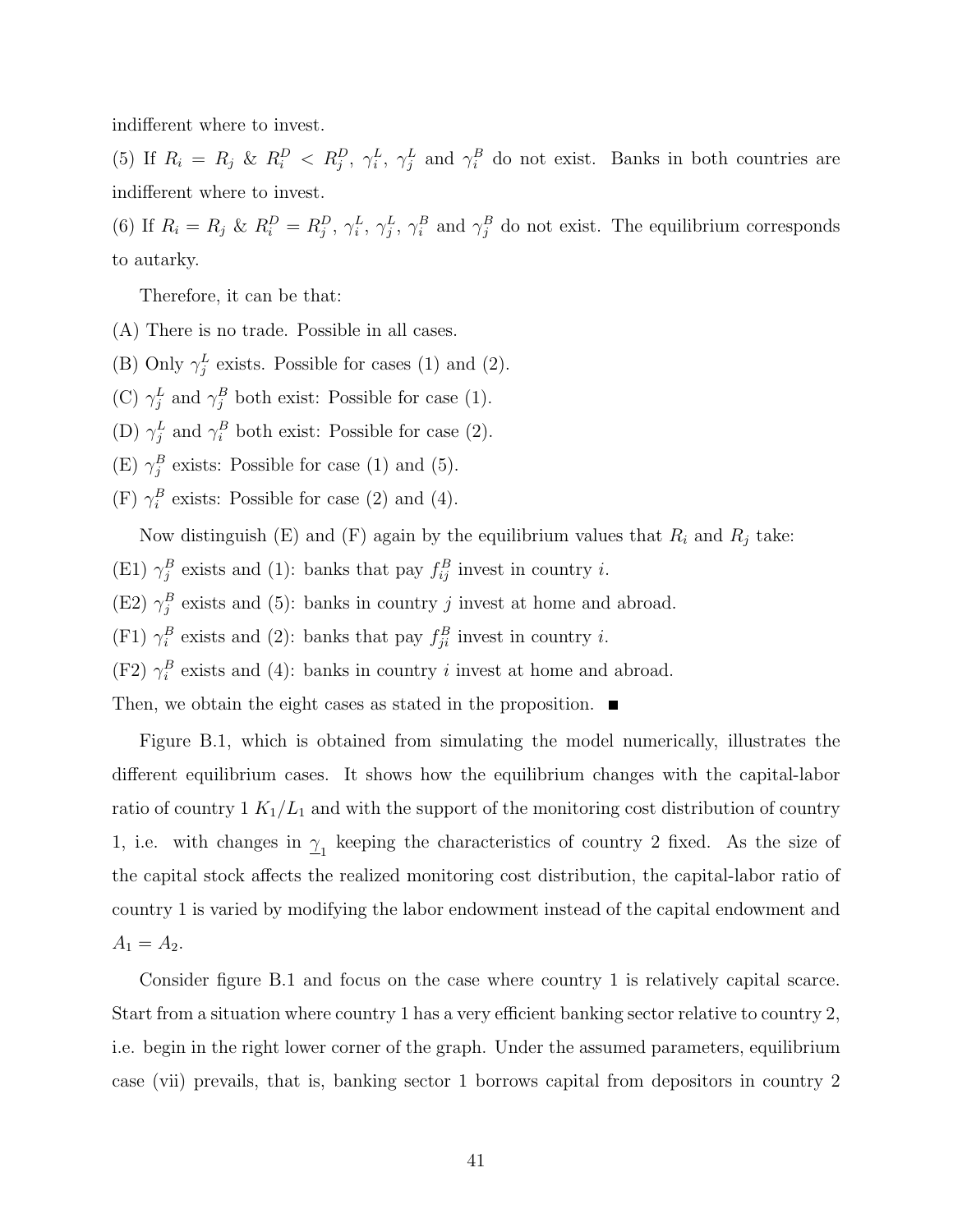indifferent where to invest.

(5) If  $R_i = R_j$  &  $R_i^D < R_j^D$ ,  $\gamma_i^L$ ,  $\gamma_j^L$  and  $\gamma_i^B$  do not exist. Banks in both countries are indifferent where to invest.

(6) If  $R_i = R_j$  &  $R_i^D = R_j^D$ ,  $\gamma_i^L$ ,  $\gamma_j^L$ ,  $\gamma_i^B$  and  $\gamma_j^B$  do not exist. The equilibrium corresponds to autarky.

Therefore, it can be that:

- (A) There is no trade. Possible in all cases.
- (B) Only  $\gamma_j^L$  exists. Possible for cases (1) and (2).

(C)  $\gamma_j^L$  and  $\gamma_j^B$  both exist: Possible for case (1).

- (D)  $\gamma_j^L$  and  $\gamma_i^B$  both exist: Possible for case (2).
- (E)  $\gamma_j^B$  exists: Possible for case (1) and (5).
- (F)  $\gamma_i^B$  exists: Possible for case (2) and (4).

Now distinguish (E) and (F) again by the equilibrium values that  $R_i$  and  $R_j$  take:

- (E1)  $\gamma_j^B$  exists and (1): banks that pay  $f_{ij}^B$  invest in country *i*.
- (E2)  $\gamma_j^B$  exists and (5): banks in country j invest at home and abroad.
- (F1)  $\gamma_i^B$  exists and (2): banks that pay  $f_{ji}^B$  invest in country *i*.
- (F2)  $\gamma_i^B$  exists and (4): banks in country *i* invest at home and abroad.

Then, we obtain the eight cases as stated in the proposition.  $\blacksquare$ 

Figure B.1, which is obtained from simulating the model numerically, illustrates the different equilibrium cases. It shows how the equilibrium changes with the capital-labor ratio of country  $1 K_1/L_1$  and with the support of the monitoring cost distribution of country 1, i.e. with changes in  $\gamma_1$  keeping the characteristics of country 2 fixed. As the size of the capital stock affects the realized monitoring cost distribution, the capital-labor ratio of country 1 is varied by modifying the labor endowment instead of the capital endowment and  $A_1 = A_2.$ 

Consider figure B.1 and focus on the case where country 1 is relatively capital scarce. Start from a situation where country 1 has a very efficient banking sector relative to country 2, i.e. begin in the right lower corner of the graph. Under the assumed parameters, equilibrium case (vii) prevails, that is, banking sector 1 borrows capital from depositors in country 2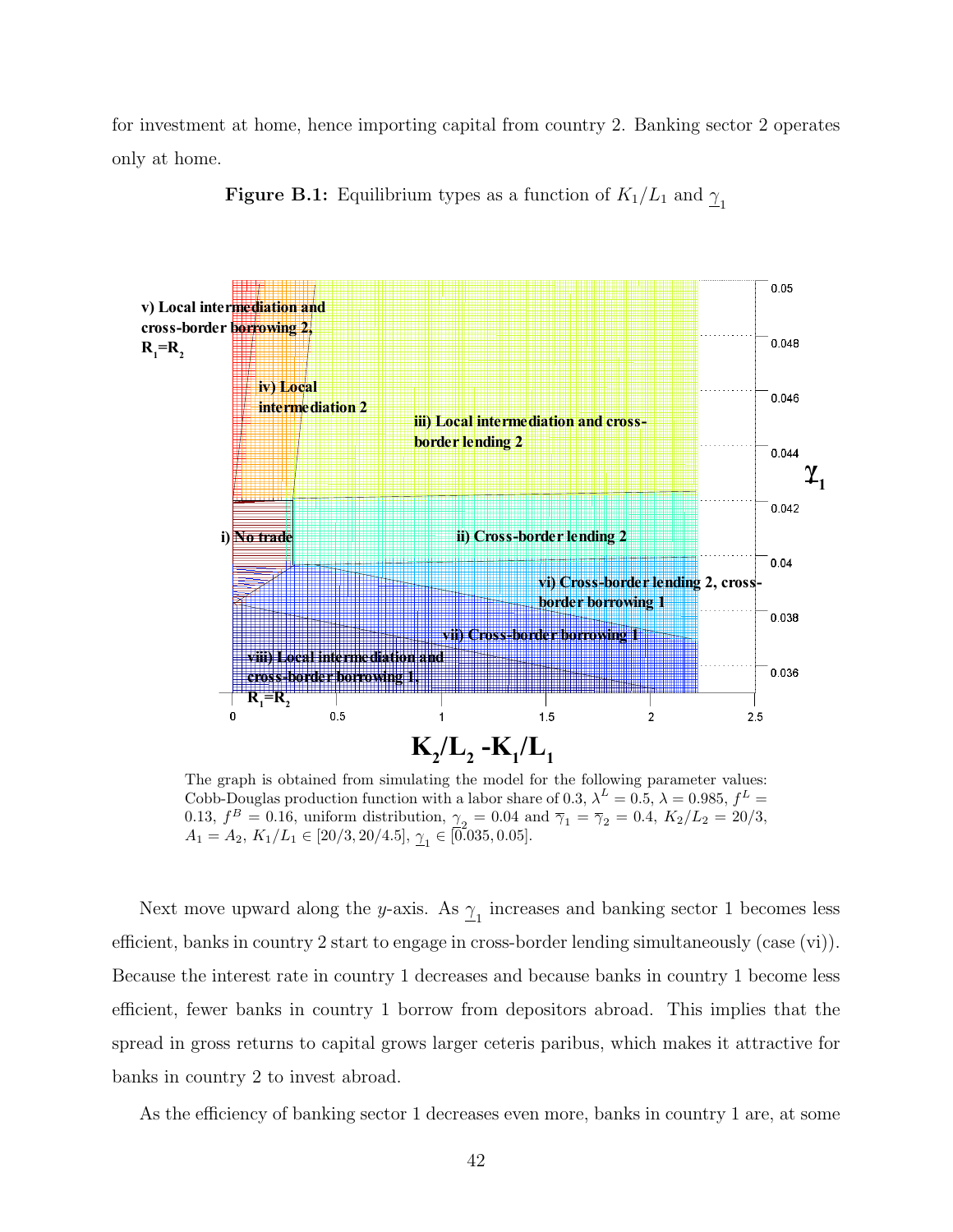for investment at home, hence importing capital from country 2. Banking sector 2 operates only at home.



**Figure B.1:** Equilibrium types as a function of  $K_1/L_1$  and  $\gamma_1$ 

The graph is obtained from simulating the model for the following parameter values: Cobb-Douglas production function with a labor share of 0.3,  $\lambda^L = 0.5$ ,  $\lambda = 0.985$ ,  $f^L =$ 0.13,  $f^B = 0.16$ , uniform distribution,  $\gamma_2 = 0.04$  and  $\overline{\gamma}_1 = \overline{\gamma}_2 = 0.4$ ,  $K_2/L_2 = 20/3$ ,  $A_1 = A_2, K_1/L_1 \in [20/3, 20/4.5], \underline{\gamma}_1 \in [0.035, 0.05].$ 

Next move upward along the y-axis. As  $\gamma_1$  increases and banking sector 1 becomes less efficient, banks in country 2 start to engage in cross-border lending simultaneously (case (vi)). Because the interest rate in country 1 decreases and because banks in country 1 become less efficient, fewer banks in country 1 borrow from depositors abroad. This implies that the spread in gross returns to capital grows larger ceteris paribus, which makes it attractive for banks in country 2 to invest abroad.

As the efficiency of banking sector 1 decreases even more, banks in country 1 are, at some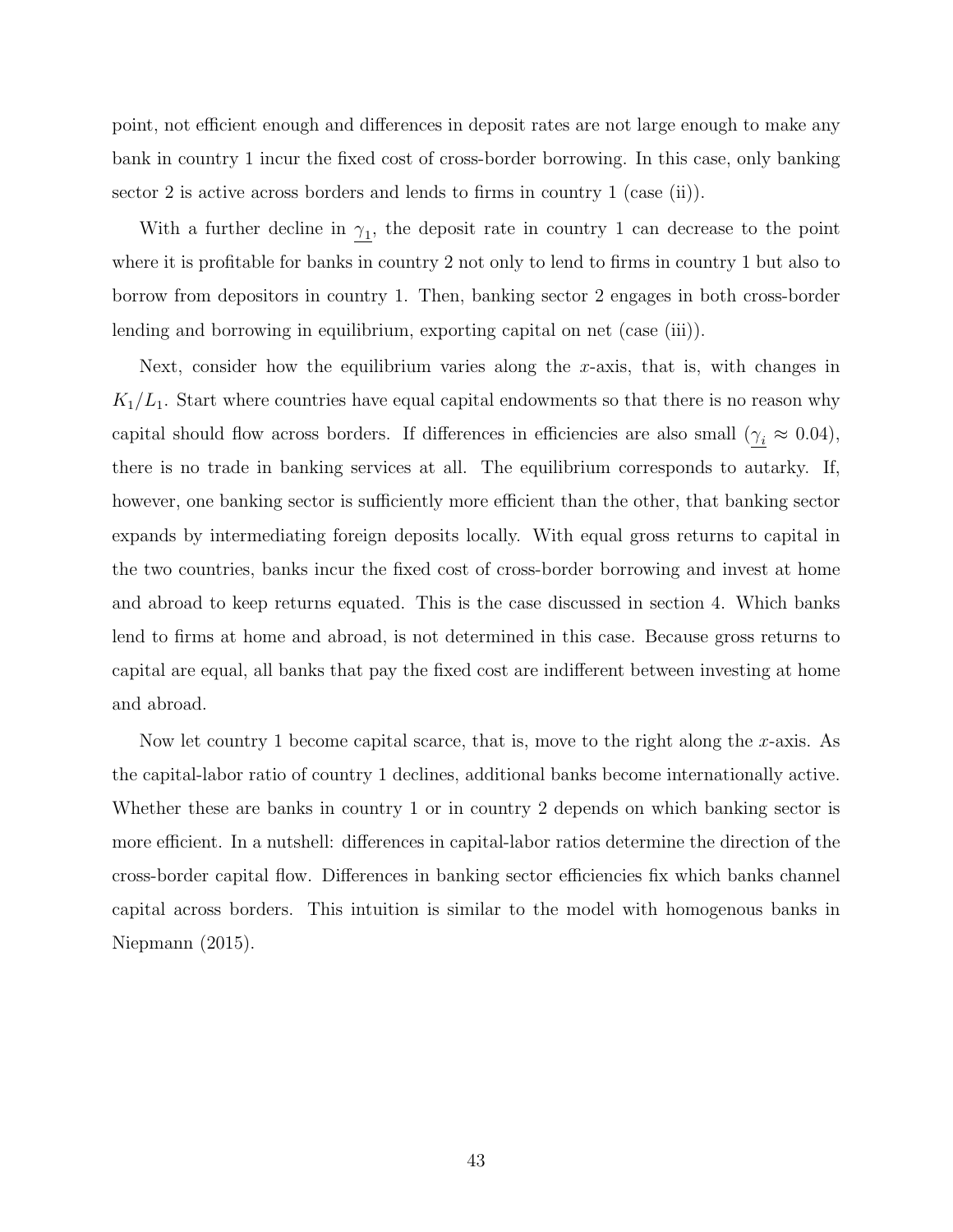point, not efficient enough and differences in deposit rates are not large enough to make any bank in country 1 incur the fixed cost of cross-border borrowing. In this case, only banking sector 2 is active across borders and lends to firms in country 1 (case (ii)).

With a further decline in  $\gamma_1$ , the deposit rate in country 1 can decrease to the point where it is profitable for banks in country 2 not only to lend to firms in country 1 but also to borrow from depositors in country 1. Then, banking sector 2 engages in both cross-border lending and borrowing in equilibrium, exporting capital on net (case (iii)).

Next, consider how the equilibrium varies along the x-axis, that is, with changes in  $K_1/L_1$ . Start where countries have equal capital endowments so that there is no reason why capital should flow across borders. If differences in efficiencies are also small ( $\gamma_i \approx 0.04$ ), there is no trade in banking services at all. The equilibrium corresponds to autarky. If, however, one banking sector is sufficiently more efficient than the other, that banking sector expands by intermediating foreign deposits locally. With equal gross returns to capital in the two countries, banks incur the fixed cost of cross-border borrowing and invest at home and abroad to keep returns equated. This is the case discussed in section 4. Which banks lend to firms at home and abroad, is not determined in this case. Because gross returns to capital are equal, all banks that pay the fixed cost are indifferent between investing at home and abroad.

Now let country 1 become capital scarce, that is, move to the right along the x-axis. As the capital-labor ratio of country 1 declines, additional banks become internationally active. Whether these are banks in country 1 or in country 2 depends on which banking sector is more efficient. In a nutshell: differences in capital-labor ratios determine the direction of the cross-border capital flow. Differences in banking sector efficiencies fix which banks channel capital across borders. This intuition is similar to the model with homogenous banks in Niepmann (2015).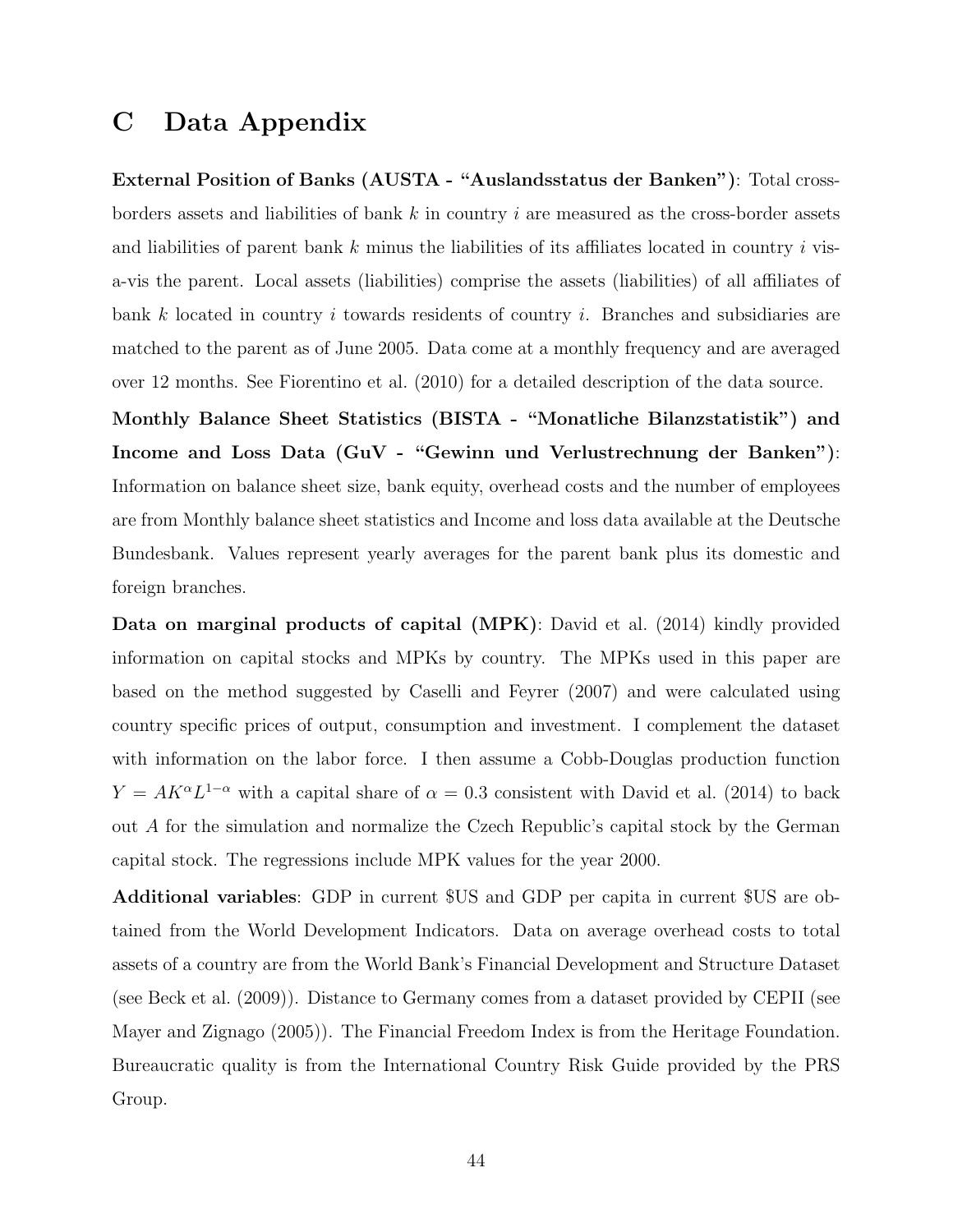# C Data Appendix

External Position of Banks (AUSTA - "Auslandsstatus der Banken"): Total crossborders assets and liabilities of bank  $k$  in country i are measured as the cross-border assets and liabilities of parent bank  $k$  minus the liabilities of its affiliates located in country  $i$  visa-vis the parent. Local assets (liabilities) comprise the assets (liabilities) of all affiliates of bank k located in country i towards residents of country i. Branches and subsidiaries are matched to the parent as of June 2005. Data come at a monthly frequency and are averaged over 12 months. See Fiorentino et al. (2010) for a detailed description of the data source.

Monthly Balance Sheet Statistics (BISTA - "Monatliche Bilanzstatistik") and Income and Loss Data (GuV - "Gewinn und Verlustrechnung der Banken"): Information on balance sheet size, bank equity, overhead costs and the number of employees are from Monthly balance sheet statistics and Income and loss data available at the Deutsche Bundesbank. Values represent yearly averages for the parent bank plus its domestic and foreign branches.

Data on marginal products of capital (MPK): David et al. (2014) kindly provided information on capital stocks and MPKs by country. The MPKs used in this paper are based on the method suggested by Caselli and Feyrer (2007) and were calculated using country specific prices of output, consumption and investment. I complement the dataset with information on the labor force. I then assume a Cobb-Douglas production function  $Y = AK^{\alpha}L^{1-\alpha}$  with a capital share of  $\alpha = 0.3$  consistent with David et al. (2014) to back out A for the simulation and normalize the Czech Republic's capital stock by the German capital stock. The regressions include MPK values for the year 2000.

Additional variables: GDP in current \$US and GDP per capita in current \$US are obtained from the World Development Indicators. Data on average overhead costs to total assets of a country are from the World Bank's Financial Development and Structure Dataset (see Beck et al. (2009)). Distance to Germany comes from a dataset provided by CEPII (see Mayer and Zignago (2005)). The Financial Freedom Index is from the Heritage Foundation. Bureaucratic quality is from the International Country Risk Guide provided by the PRS Group.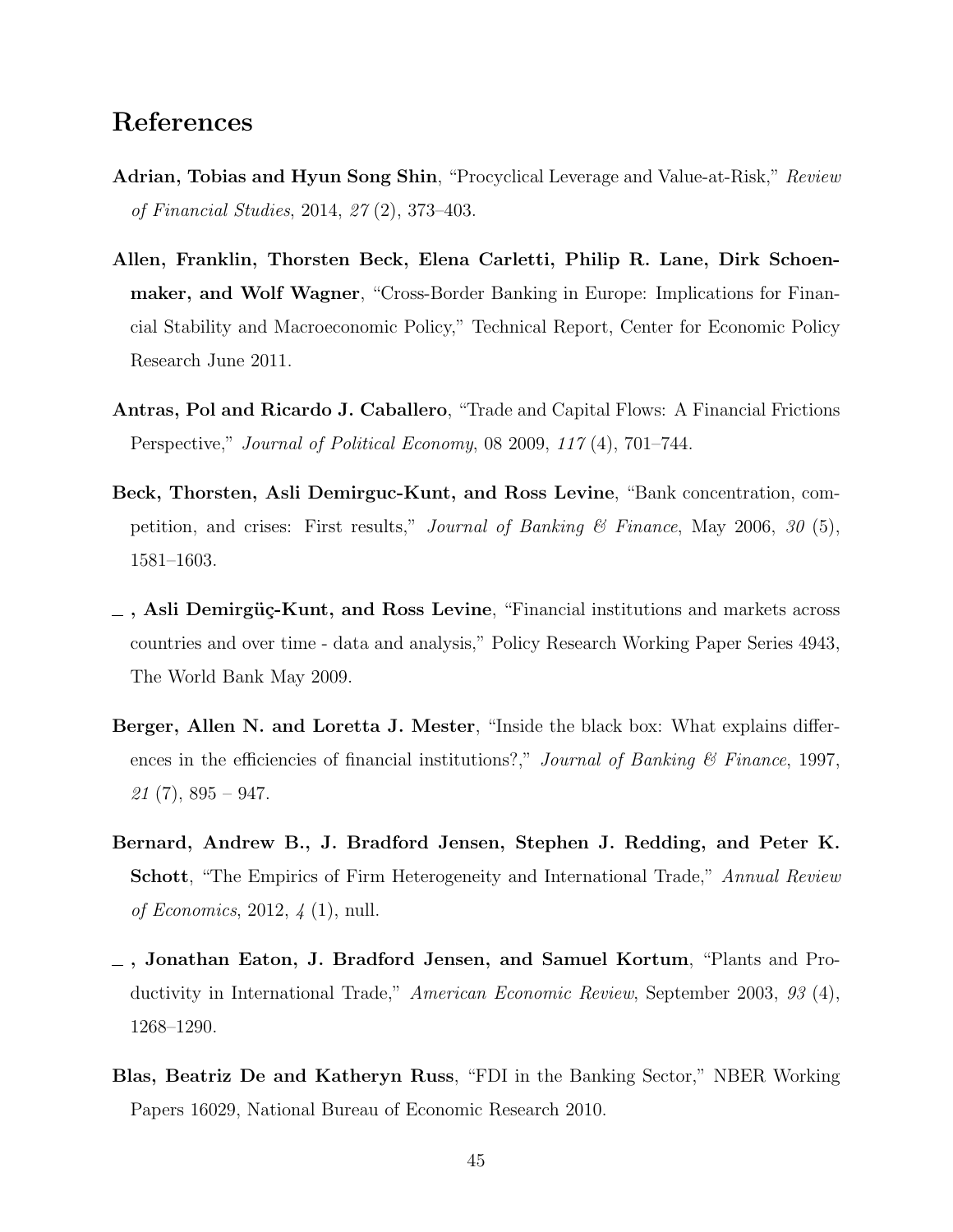# References

- Adrian, Tobias and Hyun Song Shin, "Procyclical Leverage and Value-at-Risk," Review of Financial Studies, 2014, 27 (2), 373–403.
- Allen, Franklin, Thorsten Beck, Elena Carletti, Philip R. Lane, Dirk Schoenmaker, and Wolf Wagner, "Cross-Border Banking in Europe: Implications for Financial Stability and Macroeconomic Policy," Technical Report, Center for Economic Policy Research June 2011.
- Antras, Pol and Ricardo J. Caballero, "Trade and Capital Flows: A Financial Frictions Perspective," Journal of Political Economy, 08 2009, 117 (4), 701–744.
- Beck, Thorsten, Asli Demirguc-Kunt, and Ross Levine, "Bank concentration, competition, and crises: First results," *Journal of Banking*  $\mathcal{C}$  *Finance*, May 2006, 30 (5), 1581–1603.
- $\sim$ , Asli Demirgüç-Kunt, and Ross Levine, "Financial institutions and markets across countries and over time - data and analysis," Policy Research Working Paper Series 4943, The World Bank May 2009.
- Berger, Allen N. and Loretta J. Mester, "Inside the black box: What explains differences in the efficiencies of financial institutions?," Journal of Banking  $\mathcal C$  Finance, 1997,  $21(7), 895 - 947.$
- Bernard, Andrew B., J. Bradford Jensen, Stephen J. Redding, and Peter K. Schott, "The Empirics of Firm Heterogeneity and International Trade," Annual Review of Economics, 2012, 4 (1), null.
- $-$ , Jonathan Eaton, J. Bradford Jensen, and Samuel Kortum, "Plants and Productivity in International Trade," American Economic Review, September 2003, 93 (4), 1268–1290.
- Blas, Beatriz De and Katheryn Russ, "FDI in the Banking Sector," NBER Working Papers 16029, National Bureau of Economic Research 2010.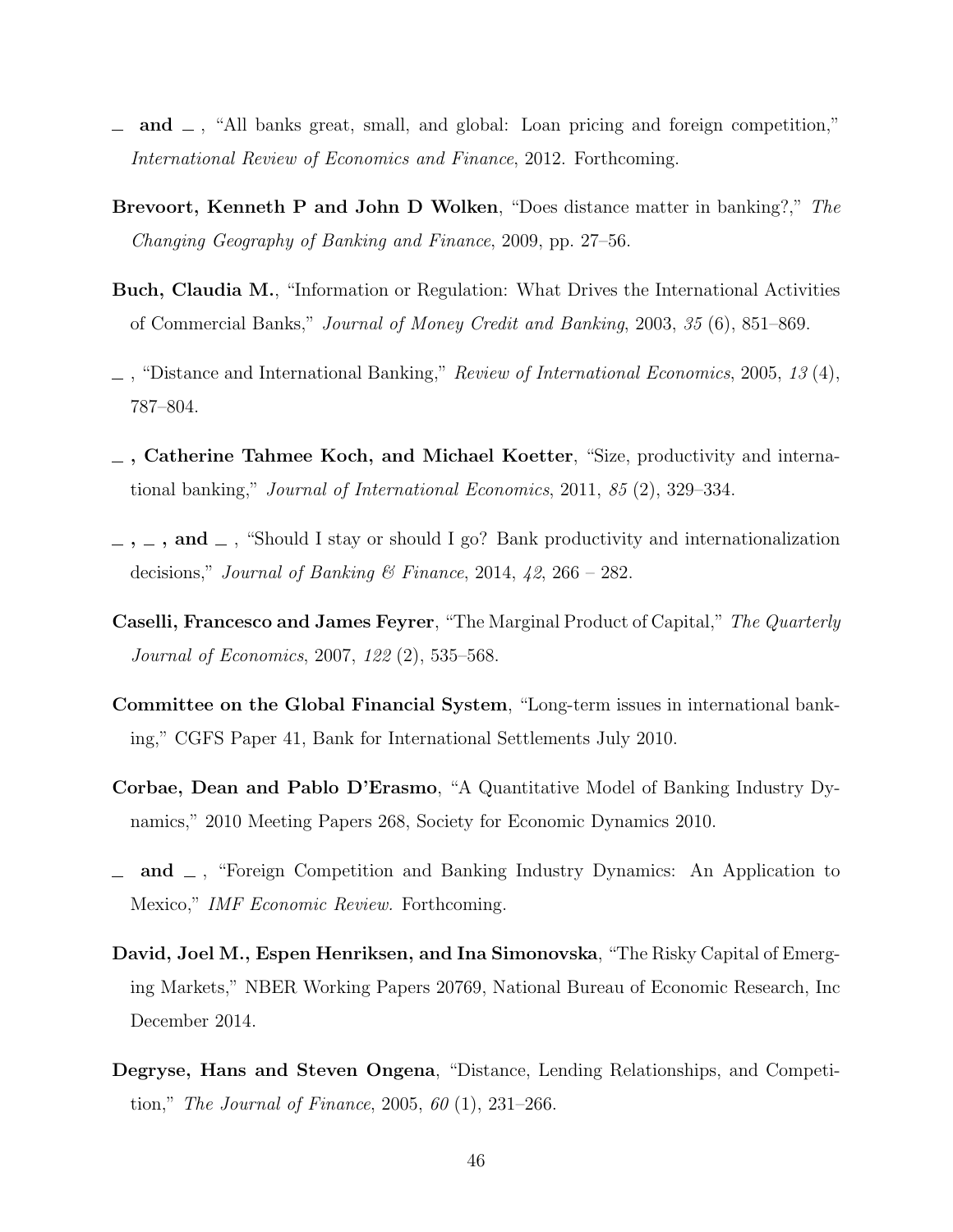- and  $\Box$ , "All banks great, small, and global: Loan pricing and foreign competition," International Review of Economics and Finance, 2012. Forthcoming.
- Brevoort, Kenneth P and John D Wolken, "Does distance matter in banking?," The Changing Geography of Banking and Finance, 2009, pp. 27–56.
- Buch, Claudia M., "Information or Regulation: What Drives the International Activities of Commercial Banks," Journal of Money Credit and Banking, 2003, 35 (6), 851–869.
- $\Box$ , "Distance and International Banking," Review of International Economics, 2005, 13 (4), 787–804.
- , Catherine Tahmee Koch, and Michael Koetter, "Size, productivity and international banking," Journal of International Economics, 2011, 85 (2), 329–334.
- $\ldots$ , and  $\ldots$ , "Should I stay or should I go? Bank productivity and internationalization decisions," Journal of Banking & Finance, 2014, 42, 266 – 282.
- Caselli, Francesco and James Feyrer, "The Marginal Product of Capital," The Quarterly Journal of Economics, 2007, 122 (2), 535–568.
- Committee on the Global Financial System, "Long-term issues in international banking," CGFS Paper 41, Bank for International Settlements July 2010.
- Corbae, Dean and Pablo D'Erasmo, "A Quantitative Model of Banking Industry Dynamics," 2010 Meeting Papers 268, Society for Economic Dynamics 2010.
- and  $\Box$ , "Foreign Competition and Banking Industry Dynamics: An Application to Mexico," IMF Economic Review. Forthcoming.
- David, Joel M., Espen Henriksen, and Ina Simonovska, "The Risky Capital of Emerging Markets," NBER Working Papers 20769, National Bureau of Economic Research, Inc December 2014.
- Degryse, Hans and Steven Ongena, "Distance, Lending Relationships, and Competition," The Journal of Finance, 2005, 60 (1), 231–266.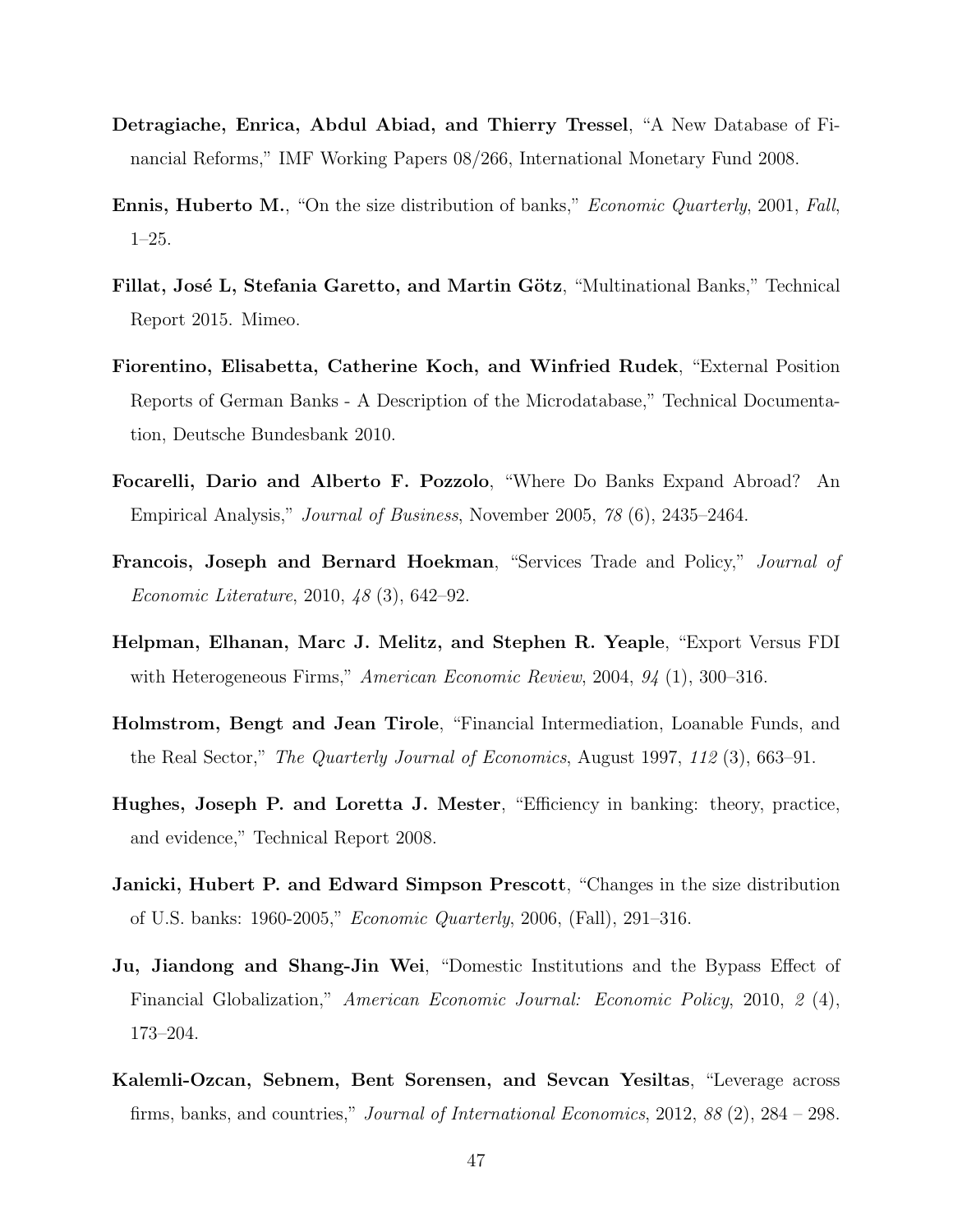- Detragiache, Enrica, Abdul Abiad, and Thierry Tressel, "A New Database of Financial Reforms," IMF Working Papers 08/266, International Monetary Fund 2008.
- **Ennis, Huberto M.**, "On the size distribution of banks," *Economic Quarterly*, 2001, *Fall*, 1–25.
- Fillat, José L, Stefania Garetto, and Martin Götz, "Multinational Banks," Technical Report 2015. Mimeo.
- Fiorentino, Elisabetta, Catherine Koch, and Winfried Rudek, "External Position Reports of German Banks - A Description of the Microdatabase," Technical Documentation, Deutsche Bundesbank 2010.
- Focarelli, Dario and Alberto F. Pozzolo, "Where Do Banks Expand Abroad? An Empirical Analysis," Journal of Business, November 2005, 78 (6), 2435–2464.
- Francois, Joseph and Bernard Hoekman, "Services Trade and Policy," Journal of Economic Literature, 2010, 48 (3), 642–92.
- Helpman, Elhanan, Marc J. Melitz, and Stephen R. Yeaple, "Export Versus FDI with Heterogeneous Firms," *American Economic Review*, 2004, 94 (1), 300–316.
- Holmstrom, Bengt and Jean Tirole, "Financial Intermediation, Loanable Funds, and the Real Sector," The Quarterly Journal of Economics, August 1997, 112 (3), 663–91.
- Hughes, Joseph P. and Loretta J. Mester, "Efficiency in banking: theory, practice, and evidence," Technical Report 2008.
- Janicki, Hubert P. and Edward Simpson Prescott, "Changes in the size distribution of U.S. banks: 1960-2005," Economic Quarterly, 2006, (Fall), 291–316.
- Ju, Jiandong and Shang-Jin Wei, "Domestic Institutions and the Bypass Effect of Financial Globalization," American Economic Journal: Economic Policy, 2010, 2 (4), 173–204.
- Kalemli-Ozcan, Sebnem, Bent Sorensen, and Sevcan Yesiltas, "Leverage across firms, banks, and countries," Journal of International Economics, 2012, 88 (2), 284 – 298.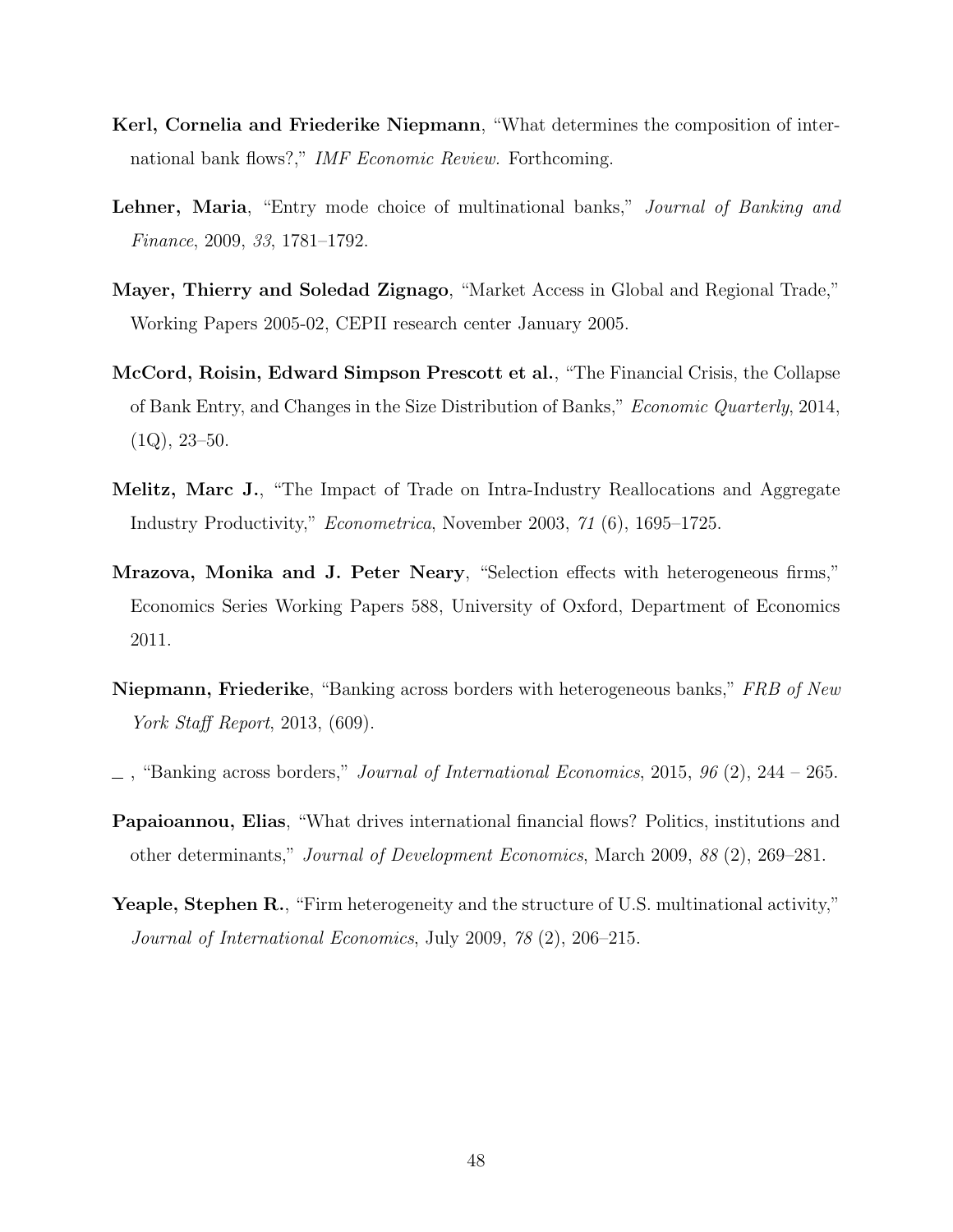- Kerl, Cornelia and Friederike Niepmann, "What determines the composition of international bank flows?," IMF Economic Review. Forthcoming.
- Lehner, Maria, "Entry mode choice of multinational banks," Journal of Banking and Finance, 2009, 33, 1781–1792.
- Mayer, Thierry and Soledad Zignago, "Market Access in Global and Regional Trade," Working Papers 2005-02, CEPII research center January 2005.
- McCord, Roisin, Edward Simpson Prescott et al., "The Financial Crisis, the Collapse of Bank Entry, and Changes in the Size Distribution of Banks," Economic Quarterly, 2014,  $(1Q), 23-50.$
- Melitz, Marc J., "The Impact of Trade on Intra-Industry Reallocations and Aggregate Industry Productivity," Econometrica, November 2003, 71 (6), 1695–1725.
- Mrazova, Monika and J. Peter Neary, "Selection effects with heterogeneous firms," Economics Series Working Papers 588, University of Oxford, Department of Economics 2011.
- **Niepmann, Friederike**, "Banking across borders with heterogeneous banks," FRB of New York Staff Report, 2013, (609).
- "Banking across borders," Journal of International Economics, 2015, 96 (2), 244 265.
- Papaioannou, Elias, "What drives international financial flows? Politics, institutions and other determinants," Journal of Development Economics, March 2009, 88 (2), 269–281.
- Yeaple, Stephen R., "Firm heterogeneity and the structure of U.S. multinational activity," Journal of International Economics, July 2009, 78 (2), 206–215.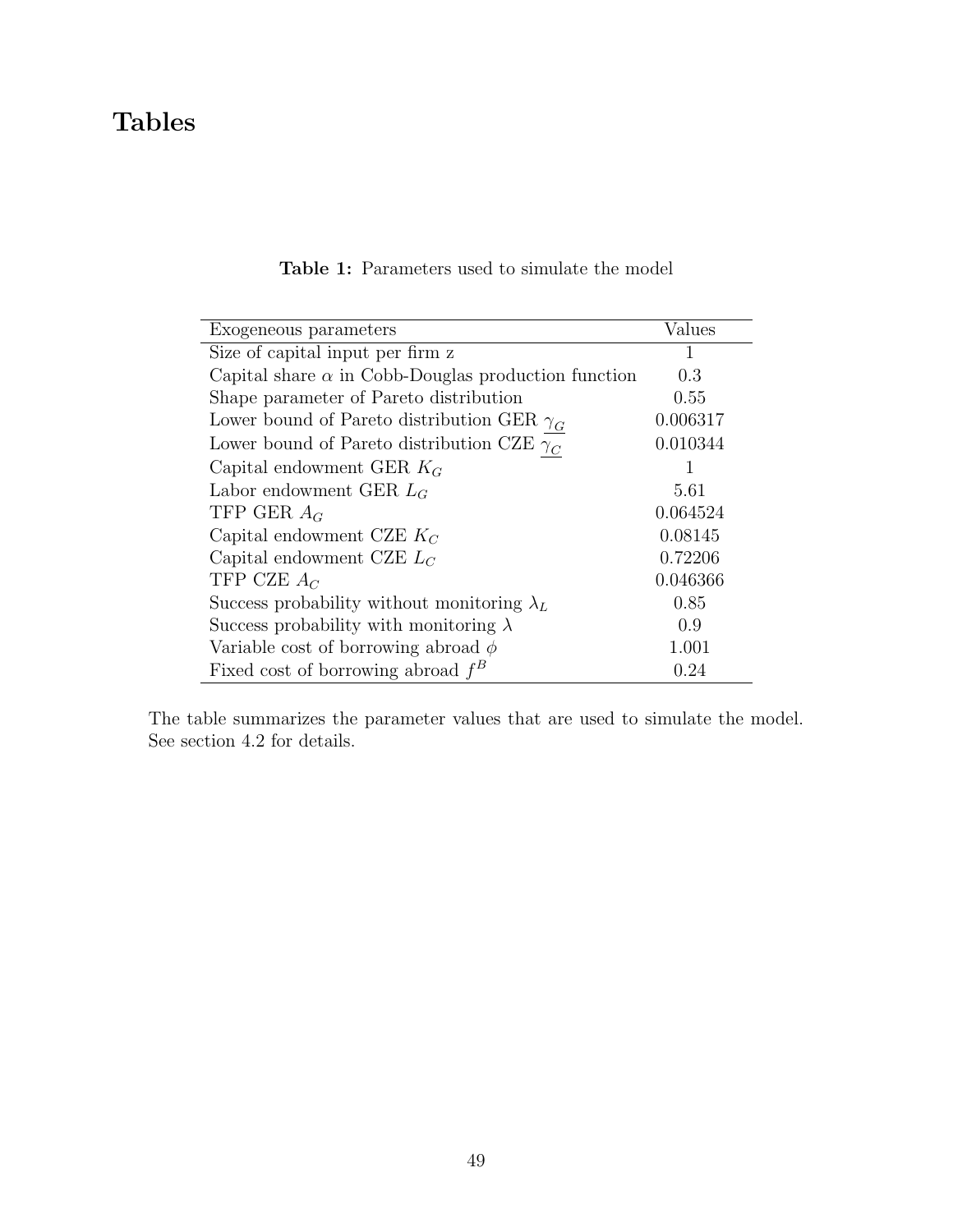# Tables

| Exogeneous parameters                                      | Values   |
|------------------------------------------------------------|----------|
| Size of capital input per firm z                           | 1        |
| Capital share $\alpha$ in Cobb-Douglas production function | 0.3      |
| Shape parameter of Pareto distribution                     | 0.55     |
| Lower bound of Pareto distribution GER $\gamma_G$          | 0.006317 |
| Lower bound of Pareto distribution CZE $\gamma_C$          | 0.010344 |
| Capital endowment GER $K_G$                                |          |
| Labor endowment GER $L_G$                                  | 5.61     |
| TFP GER $A_G$                                              | 0.064524 |
| Capital endowment CZE $K_C$                                | 0.08145  |
| Capital endowment CZE $L_C$                                | 0.72206  |
| TFP CZE $A_C$                                              | 0.046366 |
| Success probability without monitoring $\lambda_L$         | 0.85     |
| Success probability with monitoring $\lambda$              | 0.9      |
| Variable cost of borrowing abroad $\phi$                   | 1.001    |
| Fixed cost of borrowing abroad $f^B$                       | 0.24     |

### Table 1: Parameters used to simulate the model

The table summarizes the parameter values that are used to simulate the model. See section 4.2 for details.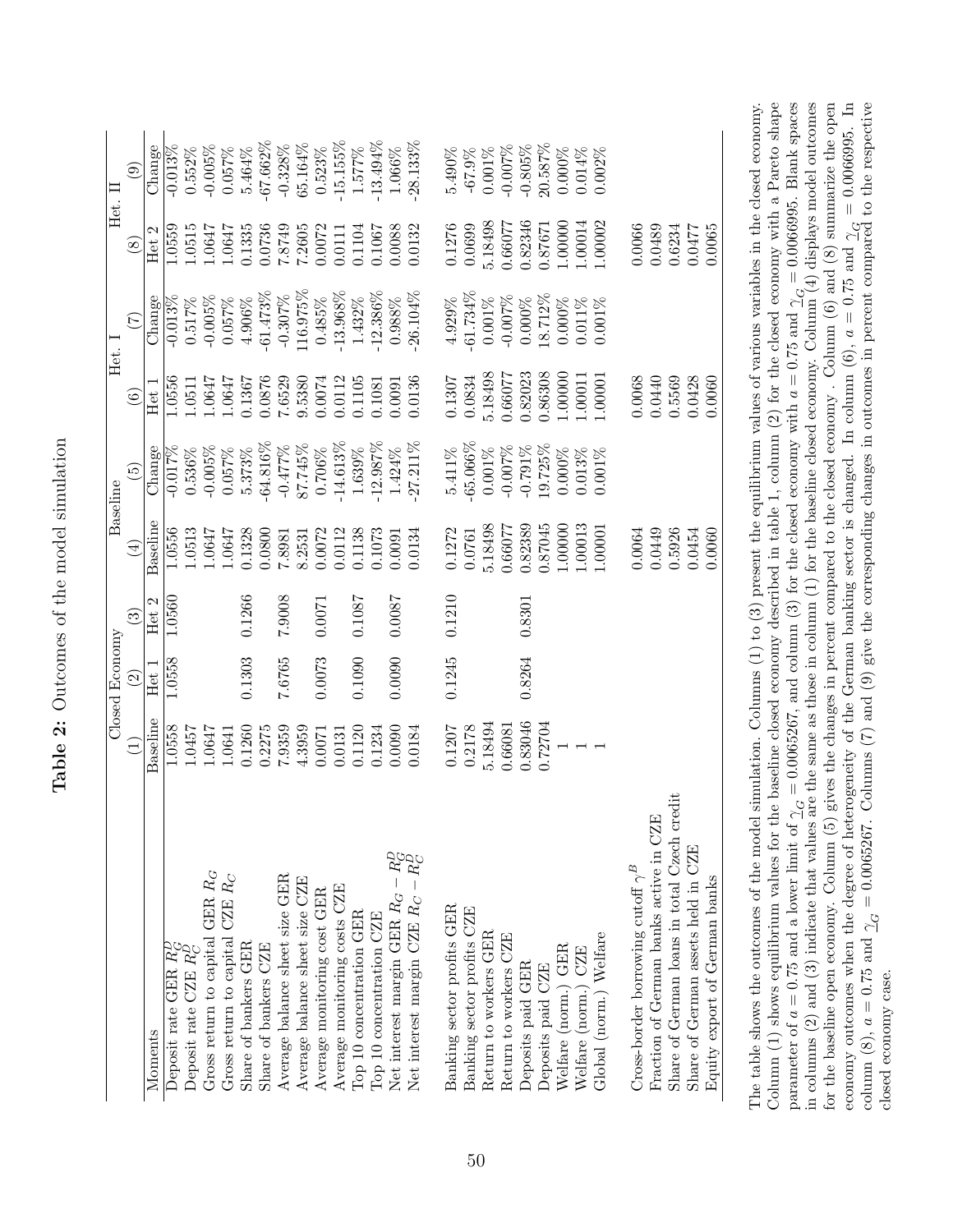|                                                                                |          | Closed Economy     |        |               | Baseline                   | Het.    |                 | Het.          |                        |
|--------------------------------------------------------------------------------|----------|--------------------|--------|---------------|----------------------------|---------|-----------------|---------------|------------------------|
|                                                                                | Ξ        | $\widehat{\Omega}$ | ನ      | $\bigoplus$   | $\widetilde{\mathfrak{G}}$ | $\odot$ | $(\mathcal{I})$ | $\circled{s}$ | $\widehat{\mathbf{e}}$ |
| Moments                                                                        | Baseline | Het 1              | Het 2  | Baseline      | Change                     | Het 1   | Change          | Het 2         | Change                 |
| Deposit rate GER R <sub>G</sub>                                                | 1.0558   | 1.0558             | 1.0560 | 1.0556        | $-0.017\%$                 | .0556   | $-0.013%$       | 1.0559        | $-0.013%$              |
| Deposit rate CZE R <sup>P</sup>                                                | 1.0457   |                    |        | 1.0513        | $0.536\%$                  | 1.0511  | 0.517%          | 1.0515        | $0.552\%$              |
| Gross return to capital GER $R_G$                                              | 1.0647   |                    |        | 1.0647        | $-0.005\%$                 | 1.0647  | $-0.005\%$      | 1.0647        | $-0.005\%$             |
| Gross return to capital CZE $R_C$                                              | 1.0641   |                    |        | 1.0647        | 0.057%                     | 1.0647  | 0.057%          | 1.0647        | 0.057%                 |
| Share of bankers GER                                                           | 0.1260   | 0.1303             | 0.1266 | 0.1328        | 5.373%                     | 0.1367  | $4.906\%$       | 0.1335        | 5.464%                 |
| Share of bankers CZE                                                           | 0.2275   |                    |        | 0.0800        | $-64.816\%$                | 0.0876  | $-61.473%$      | 0.0736        | $-67.662\%$            |
| Average balance sheet size GER                                                 | 7.9359   | 7.6765             | 7.9008 | <b>7.8981</b> | $-0.477\%$                 | 7.6529  | $-0.307\%$      | 7.8749        | $-0.328%$              |
| Average balance sheet size CZE                                                 | 4.3959   |                    |        | 8.2531        | 87.745%                    | 9.5380  | $116.975\%$     | 7.2605        | 65.164%                |
| Average monitoring cost GER                                                    | 0.0071   | 0.0073             | 0.0071 | 0.0072        | $0.706\%$                  | 0.0074  | $0.485\%$       | 0.0072        | 0.523%                 |
| Average monitoring costs CZE                                                   | 0.0131   |                    |        | 0.0112        | $-14.613%$                 | 0.0112  | $-13.968%$      | 0.0111        | 15.155%                |
| Top 10 concentration GER                                                       | 0.1120   | 0.1090             | 0.1087 | 0.1138        | $1.639\%$                  | 0.1105  | $1.432\%$       | 0.1104        | 1.577%                 |
| Top 10 concentration CZE                                                       | 0.1234   |                    |        | 0.1073        | 12.987%                    | 0.1081  | $-12.386\%$     | 0.1067        | 13.494%                |
|                                                                                | 0.0090   | 0.0090             | 0.0087 | 0.0091        | $1.424\%$                  | 0.0091  | $0.988\%$       | 0.0088        | $1.066\%$              |
| Net interest margin GER $R_G - R_G^D$<br>Net interest margin CZE $R_C - R_C^D$ | 0.0184   |                    |        | 0.0134        | 27.211%                    | 0.0136  | $-26.104\%$     | 0.0132        | 28.133%                |
|                                                                                |          |                    |        |               |                            |         |                 |               |                        |
| Banking sector profits GER                                                     | 0.1207   | 0.1245             | 0.1210 | 0.1272        | 5.411%                     | 0.1307  | 4.929%          | 0.1276        | 5.490%                 |
| Banking sector profits CZE                                                     | 0.2178   |                    |        | 0.0761        | $-65.066\%$                | 0.0834  | $-61.734%$      | 0.0699        | $-67.9\%$              |
| Return to workers GER                                                          | 5.18494  |                    |        | 5.18498       | $0.001\%$                  | 5.18498 | $0.001\%$       | 5.18498       | $0.001\%$              |
| CZE<br>Return to workers                                                       | 0.66081  |                    |        | 0.66077       | $-0.007\%$                 | 0.66077 | $-0.007%$       | 0.66077       | $-0.007\%$             |
| Deposits paid GER                                                              | 0.83046  | 0.8264             | 0.8301 | 0.82389       | $-0.791\%$                 | 0.82023 | 0.000%          | 0.82346       | $-0.805%$              |
| Deposits paid CZE                                                              | 0.72704  |                    |        | 1.87045       | 19.725%                    | 0.86308 | $-8.712\%$      | 0.87671       | 20.587%                |
| Welfare (norm.) GER                                                            |          |                    |        | 1.00000       | $0.000\%$                  | 1.00000 | $0.000\%$       | 1.00000       | $0.000\%$              |
| Welfare (norm.) CZE                                                            |          |                    |        | 1.00013       | $0.013\%$                  | 1.00011 | $0.011\%$       | $-00014$      | $0.014\%$              |
| Global (norm.) Welfare                                                         |          |                    |        | 1.00001       | $0.001\%$                  | 1.00001 | $0.001\%$       | 1.00002       | 0.002%                 |
|                                                                                |          |                    |        |               |                            |         |                 |               |                        |
| Cross-border borrowing cutoff $\gamma^B$                                       |          |                    |        | 0.0064        |                            | 0.0068  |                 | 0.0066        |                        |
| Fraction of German banks active in CZE                                         |          |                    |        | 0.0449        |                            | 0.0440  |                 | 0.0489        |                        |
| Share of German loans in total Czech credit                                    |          |                    |        | 0.5926        |                            | 0.5569  |                 | 0.6234        |                        |

Table 2: Outcomes of the model simulation Table 2: Outcomes of the model simulation

parameter of  $a = 0.75$  and a lower limit of  $\gamma_{\overline{G}} = 0.0065267$ , and column (3) for the closed economy with  $a = 0.75$  and  $\gamma_{\overline{G}} = 0.0066995$ . Blank spaces in columns (2) and (3) indicate that values are the same as commy outcomes when the degree of heterogeneity of the German banking sector is changed. In column (6),  $a = 0.75$  and  $\gamma_G = 0.0066995$ . In column (8),  $a = 0.75$  and  $\gamma_G = 0.75$  and  $\gamma_G = 0.0066995$ . In column (8),  $a = 0.7$ Column  $(1)$  shows equilibrium values for the baseline closed economy described in table 1, column  $(2)$  for the closed economy with a Pareto shape for the baseline open economy. Column  $(5)$  gives the changes in percent compared to the closed economy. Column  $(6)$  and  $(8)$  summarize the open The table shows the outcomes of the model simulation. Columns  $(1)$  to  $(3)$  present the equilibrium values of various variables in the closed economy. parameter of  $a = 0.75$  and a lower limit of  $\frac{1}{2}$  = 0.0065267, and column (3) for the closed economy with  $a = 0.75$  and  $\frac{1}{2}$  = 0.0066995. Blank spaces in columns (2) and (3) indicate that values are the same as t for the baseline open economy. Column (5) gives the changes in percent compared to the closed economy . Column (6) and (8) summarize the open economy outcomes when the degree of heterogeneity of the German banking sector is changed. In column (6),  $a = 0.75$  and  $\gamma_G = 0.0066995$ . In column (8),  $a = 0.75$  and  $\gamma_G = 0.0065267$ . Columns (7) and (9) give the corresp The table shows the outcomes of the model simulation. Columns (1) to (3) present the equilibrium values of various variables in the closed economy. Column (1) shows equilibrium values for the baseline closed economy described in table 1, column (2) for the closed economy with a Pareto shape closed economy case. closed economy case.

Share of German assets held in CZE  $0.0454$  0.0454 0.0428 0.0428 0.0477 Equity export of German banks  $\Gamma$ 

Share of German assets held in CZE Equity export of German banks

0.0060 0.0454

 $0.0477$ 0.0065

0.0428 0.0060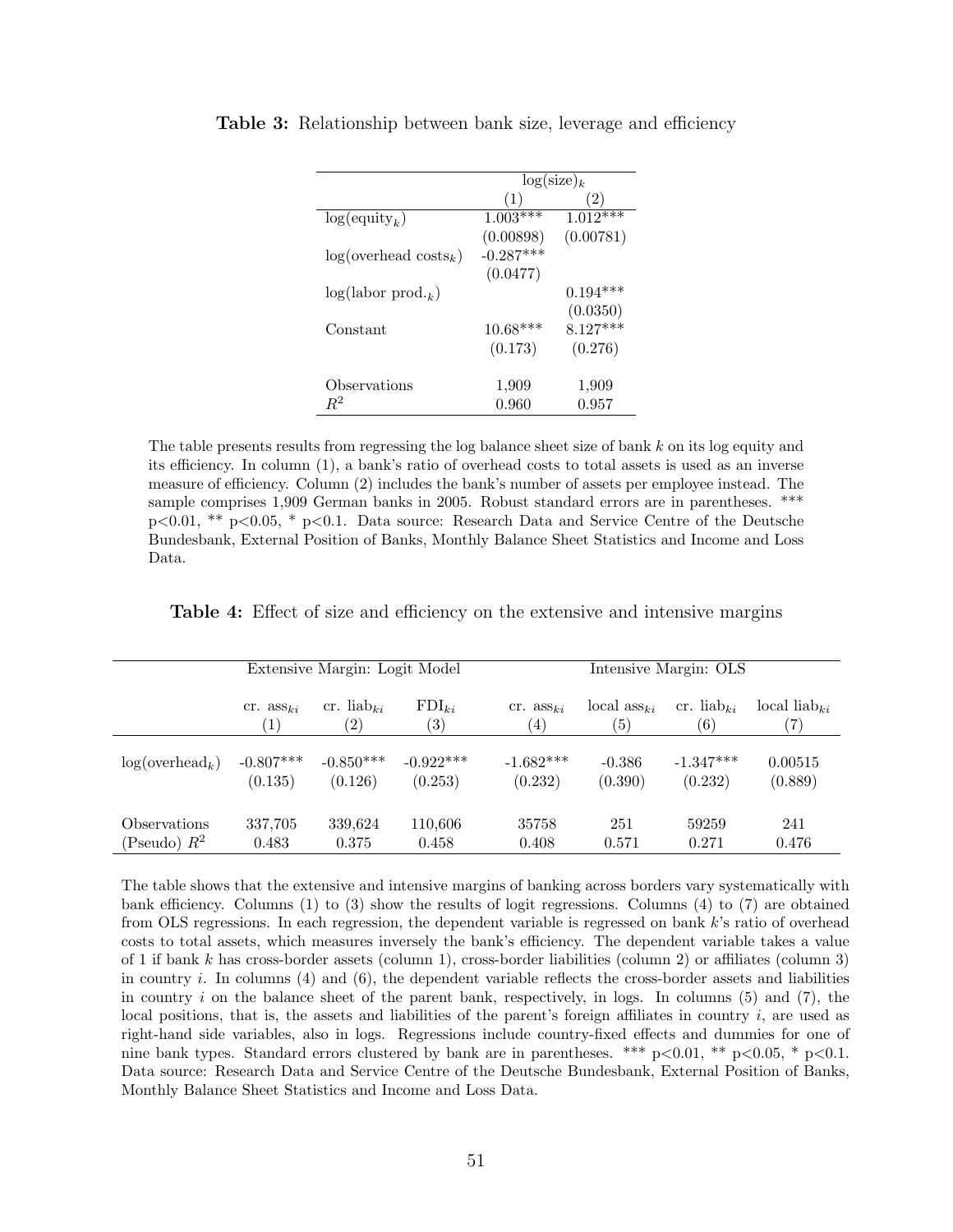|                                 | $\log(\text{size})_k$ |            |  |
|---------------------------------|-----------------------|------------|--|
|                                 | $\cdot 1)$            | (2)        |  |
| $log($ equity <sub>k</sub> $)$  | $1.003***$            | $1.012***$ |  |
|                                 | (0.00898)             | (0.00781)  |  |
| $log(overhead \text{ costs}_k)$ | $-0.287***$           |            |  |
|                                 | (0.0477)              |            |  |
| $log(labor prod._k)$            |                       | $0.194***$ |  |
|                                 |                       | (0.0350)   |  |
| Constant                        | $10.68***$            | $8.127***$ |  |
|                                 | (0.173)               | (0.276)    |  |
|                                 |                       |            |  |
| Observations                    | 1,909                 | 1,909      |  |
| $R^2$                           | 0.960                 | 0.957      |  |

Table 3: Relationship between bank size, leverage and efficiency

The table presents results from regressing the log balance sheet size of bank k on its log equity and its efficiency. In column (1), a bank's ratio of overhead costs to total assets is used as an inverse measure of efficiency. Column (2) includes the bank's number of assets per employee instead. The sample comprises 1,909 German banks in 2005. Robust standard errors are in parentheses. \*\*\*  $p<0.01$ , \*\*  $p<0.05$ , \*  $p<0.1$ . Data source: Research Data and Service Centre of the Deutsche Bundesbank, External Position of Banks, Monthly Balance Sheet Statistics and Income and Loss Data.

Table 4: Effect of size and efficiency on the extensive and intensive margins

|                   | Extensive Margin: Logit Model |                        |                   | Intensive Margin: OLS   |                                 |                        |                          |
|-------------------|-------------------------------|------------------------|-------------------|-------------------------|---------------------------------|------------------------|--------------------------|
|                   | $cr.$ ass <sub>ki</sub>       | cr. liab <sub>ki</sub> | $FDI_{ki}$        | $cr.$ ass <sub>ki</sub> | local $\operatorname{ass}_{ki}$ | cr. liab <sub>ki</sub> | local liab <sub>ki</sub> |
|                   | $\left 1\right\rangle$        | $\left( 2\right)$      | $\left( 3\right)$ | (4)                     | $\left( 5\right)$               | (6)                    | $\left( 7\right)$        |
| $log(overhead_k)$ | $-0.807***$                   | $-0.850***$            | $-0.922***$       | $-1.682***$             | $-0.386$                        | $-1.347***$            | 0.00515                  |
|                   | (0.135)                       | (0.126)                | (0.253)           | (0.232)                 | (0.390)                         | (0.232)                | (0.889)                  |
| Observations      | 337,705                       | 339,624                | 110,606           | 35758                   | 251                             | 59259                  | 241                      |
| (Pseudo) $R^2$    | 0.483                         | 0.375                  | 0.458             | 0.408                   | 0.571                           | 0.271                  | 0.476                    |

The table shows that the extensive and intensive margins of banking across borders vary systematically with bank efficiency. Columns (1) to (3) show the results of logit regressions. Columns (4) to (7) are obtained from OLS regressions. In each regression, the dependent variable is regressed on bank k's ratio of overhead costs to total assets, which measures inversely the bank's efficiency. The dependent variable takes a value of 1 if bank k has cross-border assets (column 1), cross-border liabilities (column 2) or affiliates (column 3) in country i. In columns (4) and (6), the dependent variable reflects the cross-border assets and liabilities in country i on the balance sheet of the parent bank, respectively, in logs. In columns  $(5)$  and  $(7)$ , the local positions, that is, the assets and liabilities of the parent's foreign affiliates in country  $i$ , are used as right-hand side variables, also in logs. Regressions include country-fixed effects and dummies for one of nine bank types. Standard errors clustered by bank are in parentheses. \*\*\*  $p<0.01$ , \*\*  $p<0.05$ , \*  $p<0.1$ . Data source: Research Data and Service Centre of the Deutsche Bundesbank, External Position of Banks, Monthly Balance Sheet Statistics and Income and Loss Data.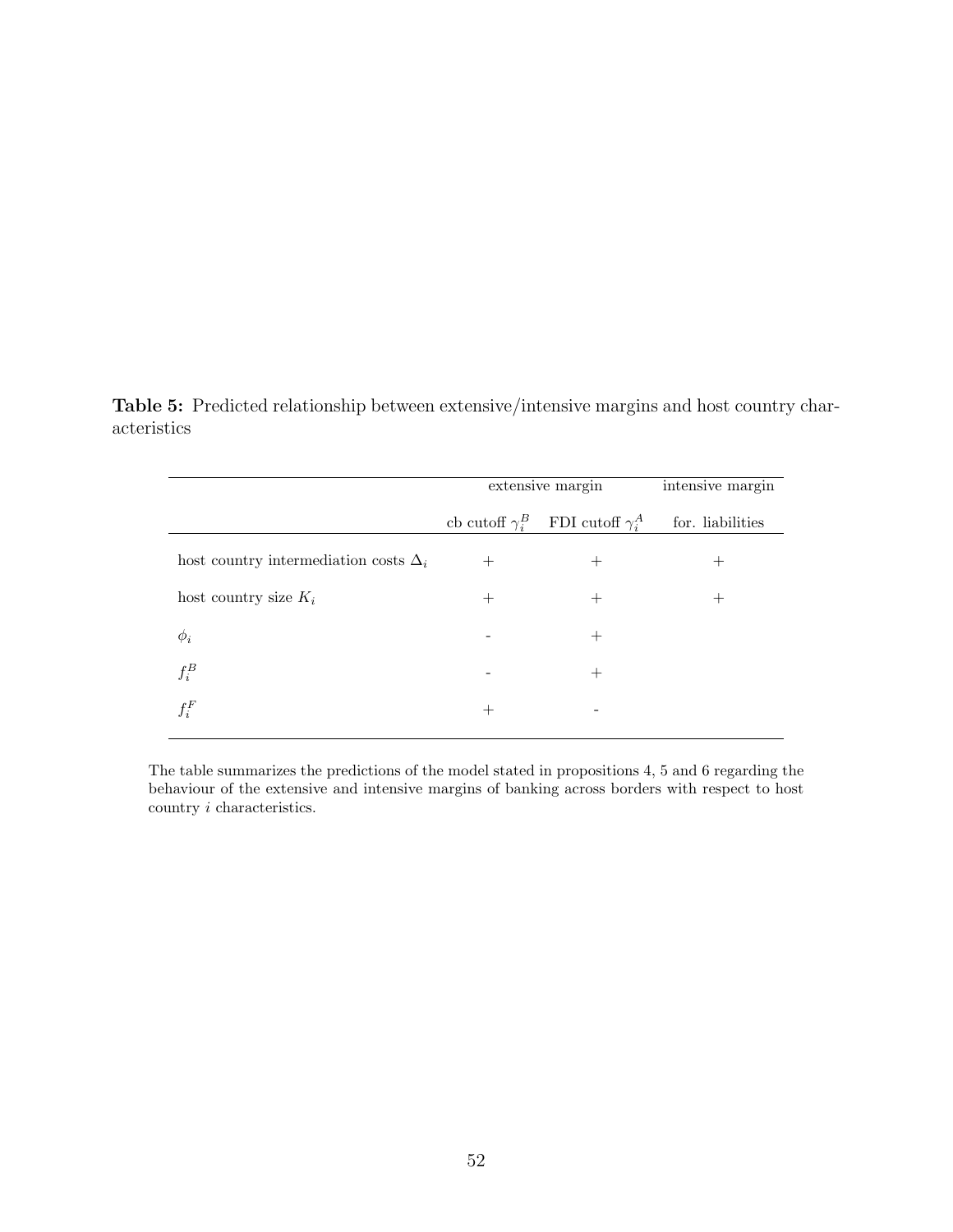Table 5: Predicted relationship between extensive/intensive margins and host country characteristics

|                                              | extensive margin | intensive margin                               |                  |
|----------------------------------------------|------------------|------------------------------------------------|------------------|
|                                              |                  | cb cutoff $\gamma_i^B$ FDI cutoff $\gamma_i^A$ | for. liabilities |
| host country intermediation costs $\Delta_i$ | $^{+}$           | $^+$                                           | 十                |
| host country size $K_i$                      | $^+$             |                                                |                  |
| $\phi_i$                                     |                  |                                                |                  |
| $f_i^B$                                      |                  |                                                |                  |
| $f_i^F$                                      | ┽                |                                                |                  |

The table summarizes the predictions of the model stated in propositions 4, 5 and 6 regarding the behaviour of the extensive and intensive margins of banking across borders with respect to host  $\operatorname{country}\,i$  characteristics.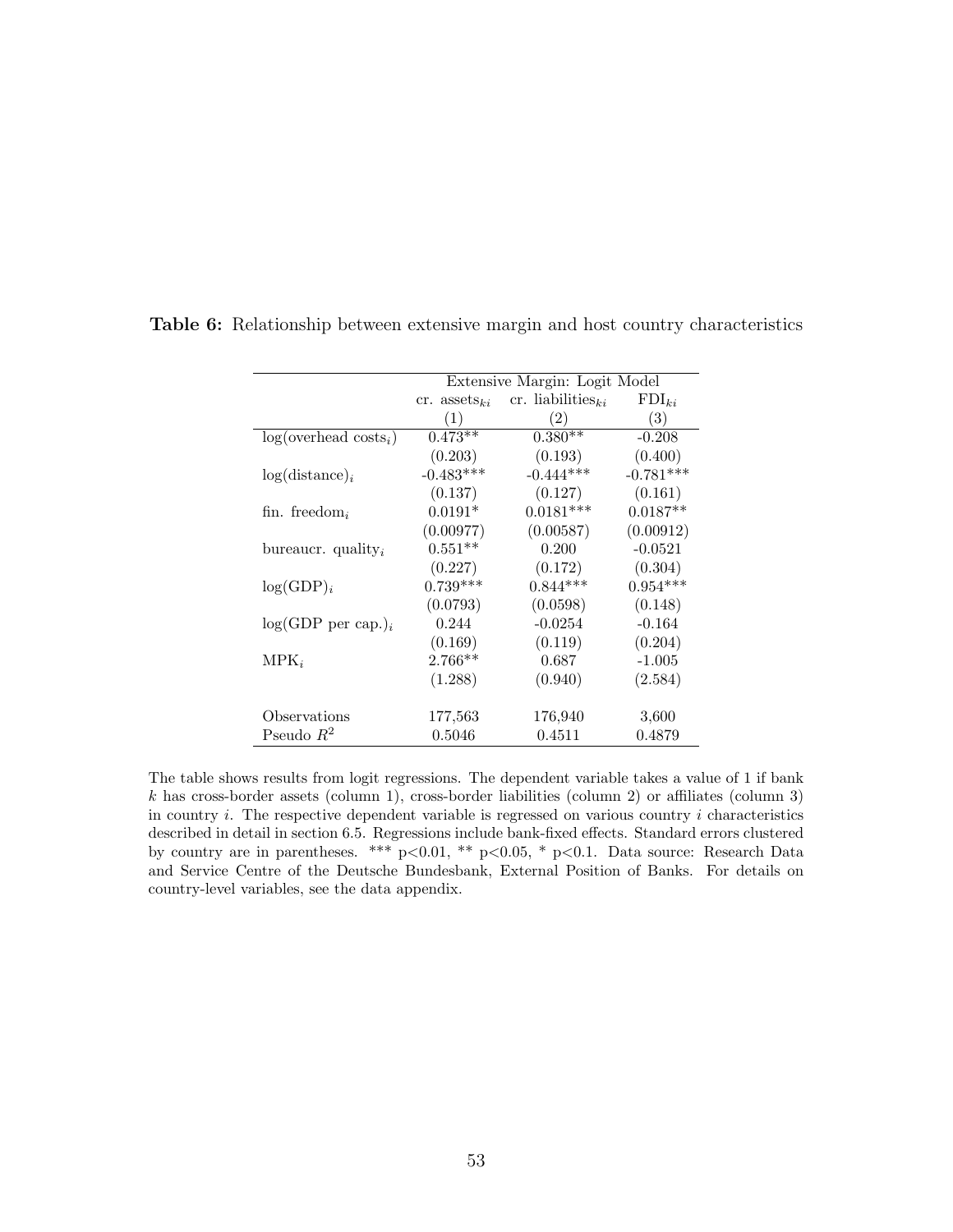|                                  | Extensive Margin: Logit Model |                               |             |  |  |
|----------------------------------|-------------------------------|-------------------------------|-------------|--|--|
|                                  | cr. assets <sub>ki</sub>      | cr. liabilities <sub>ki</sub> | $FDI_{ki}$  |  |  |
|                                  | (1)                           | (2)                           | (3)         |  |  |
| $log(overhead \text{ costs}_i)$  | $0.473**$                     | $0.380**$                     | $-0.208$    |  |  |
|                                  | (0.203)                       | (0.193)                       | (0.400)     |  |  |
| $log(distance)_{i}$              | $-0.483***$                   | $-0.444***$                   | $-0.781***$ |  |  |
|                                  | (0.137)                       | (0.127)                       | (0.161)     |  |  |
| fin. freedom <sub>i</sub>        | $0.0191*$                     | $0.0181***$                   | $0.0187**$  |  |  |
|                                  | (0.00977)                     | (0.00587)                     | (0.00912)   |  |  |
| bureaucr. quality <sub>i</sub>   | $0.551**$                     | 0.200                         | $-0.0521$   |  |  |
|                                  | (0.227)                       | (0.172)                       | (0.304)     |  |  |
| $log(GDP)_i$                     | $0.739***$                    | $0.844***$                    | $0.954***$  |  |  |
|                                  | (0.0793)                      | (0.0598)                      | (0.148)     |  |  |
| $log(GDP$ per cap.) <sub>i</sub> | 0.244                         | $-0.0254$                     | $-0.164$    |  |  |
|                                  | (0.169)                       | (0.119)                       | (0.204)     |  |  |
| $MPK_i$                          | $2.766**$                     | 0.687                         | $-1.005$    |  |  |
|                                  | (1.288)                       | (0.940)                       | (2.584)     |  |  |
|                                  |                               |                               |             |  |  |
| Observations                     | 177,563                       | 176,940                       | 3,600       |  |  |
| Pseudo $R^2$                     | 0.5046                        | 0.4511                        | 0.4879      |  |  |

Table 6: Relationship between extensive margin and host country characteristics

The table shows results from logit regressions. The dependent variable takes a value of 1 if bank  $k$  has cross-border assets (column 1), cross-border liabilities (column 2) or affiliates (column 3) in country  $i$ . The respective dependent variable is regressed on various country  $i$  characteristics described in detail in section 6.5. Regressions include bank-fixed effects. Standard errors clustered by country are in parentheses. \*\*\*  $p<0.01$ , \*\*  $p<0.05$ , \*  $p<0.1$ . Data source: Research Data and Service Centre of the Deutsche Bundesbank, External Position of Banks. For details on country-level variables, see the data appendix.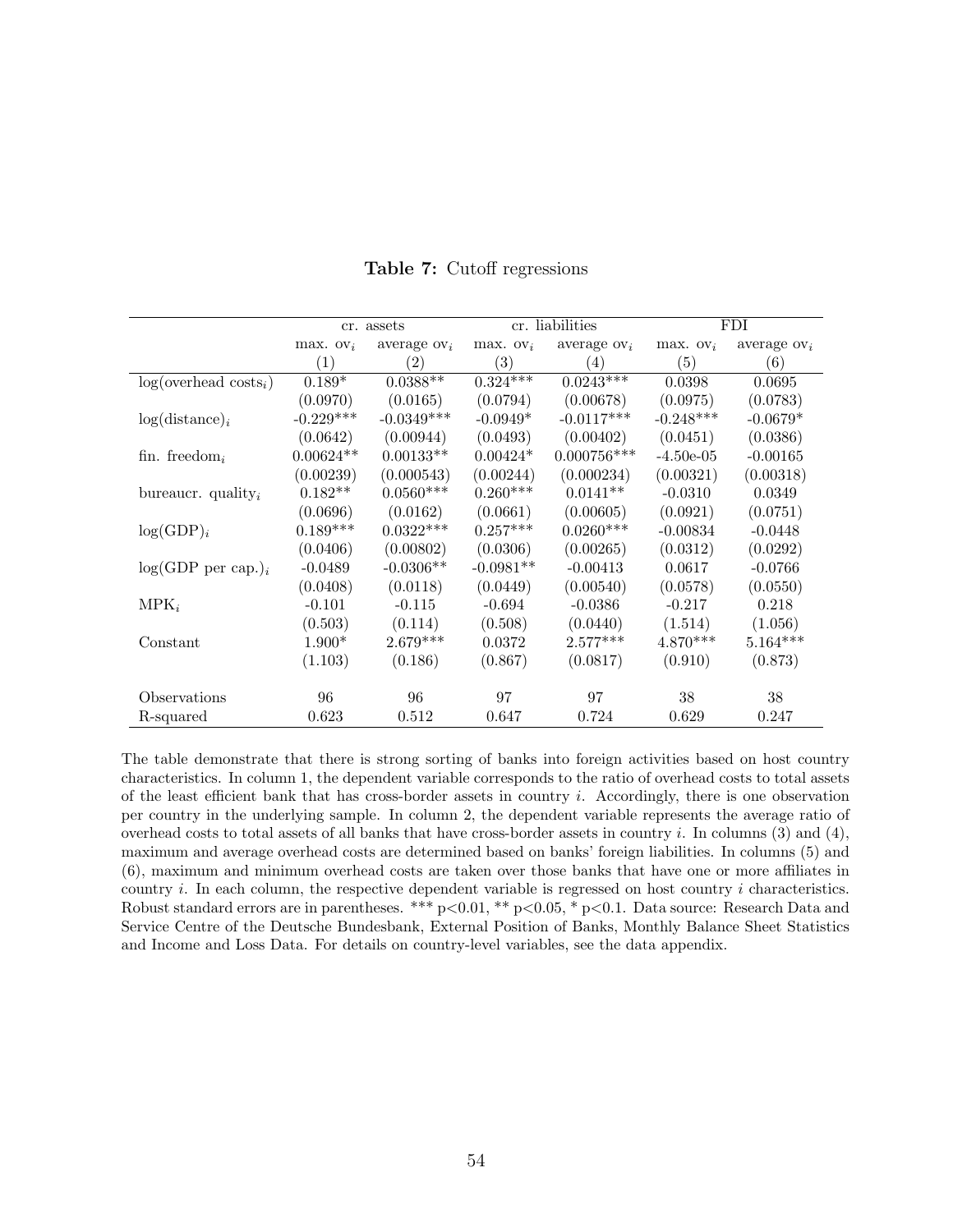|                                  |                        | cr. assets        |             | cr. liabilities |             | FDI.              |  |
|----------------------------------|------------------------|-------------------|-------------|-----------------|-------------|-------------------|--|
|                                  | $max.$ OV <sub>i</sub> | average $ov_i$    | max. $ov_i$ | average $ov_i$  | max. $ov_i$ | average $ov_i$    |  |
|                                  | (1)                    | $\left( 2\right)$ | (3)         | (4)             | (5)         | $\left( 6\right)$ |  |
| $log(overhead \text{ costs}_i)$  | $0.189*$               | $0.0388*$         | $0.324***$  | $0.0243***$     | 0.0398      | 0.0695            |  |
|                                  | (0.0970)               | (0.0165)          | (0.0794)    | (0.00678)       | (0.0975)    | (0.0783)          |  |
| $log(distance)_{i}$              | $-0.229***$            | $-0.0349***$      | $-0.0949*$  | $-0.0117***$    | $-0.248***$ | $-0.0679*$        |  |
|                                  | (0.0642)               | (0.00944)         | (0.0493)    | (0.00402)       | (0.0451)    | (0.0386)          |  |
| fin. freedom <sub>i</sub>        | $0.00624**$            | $0.00133**$       | $0.00424*$  | $0.000756***$   | $-4.50e-05$ | $-0.00165$        |  |
|                                  | (0.00239)              | (0.000543)        | (0.00244)   | (0.000234)      | (0.00321)   | (0.00318)         |  |
| bureaucr. quality <sub>i</sub>   | $0.182**$              | $0.0560***$       | $0.260***$  | $0.0141**$      | $-0.0310$   | 0.0349            |  |
|                                  | (0.0696)               | (0.0162)          | (0.0661)    | (0.00605)       | (0.0921)    | (0.0751)          |  |
| $log(GDP)_i$                     | $0.189***$             | $0.0322***$       | $0.257***$  | $0.0260***$     | $-0.00834$  | $-0.0448$         |  |
|                                  | (0.0406)               | (0.00802)         | (0.0306)    | (0.00265)       | (0.0312)    | (0.0292)          |  |
| $log(GDP$ per cap.) <sub>i</sub> | $-0.0489$              | $-0.0306**$       | $-0.0981**$ | $-0.00413$      | 0.0617      | $-0.0766$         |  |
|                                  | (0.0408)               | (0.0118)          | (0.0449)    | (0.00540)       | (0.0578)    | (0.0550)          |  |
| $MPK_i$                          | $-0.101$               | $-0.115$          | $-0.694$    | $-0.0386$       | $-0.217$    | 0.218             |  |
|                                  | (0.503)                | (0.114)           | (0.508)     | (0.0440)        | (1.514)     | (1.056)           |  |
| Constant                         | $1.900*$               | $2.679***$        | 0.0372      | $2.577***$      | $4.870***$  | $5.164***$        |  |
|                                  | (1.103)                | (0.186)           | (0.867)     | (0.0817)        | (0.910)     | (0.873)           |  |
|                                  |                        |                   |             |                 |             |                   |  |
| Observations                     | 96                     | 96                | 97          | 97              | 38          | 38                |  |
| R-squared                        | 0.623                  | 0.512             | 0.647       | 0.724           | 0.629       | 0.247             |  |

Table 7: Cutoff regressions

The table demonstrate that there is strong sorting of banks into foreign activities based on host country characteristics. In column 1, the dependent variable corresponds to the ratio of overhead costs to total assets of the least efficient bank that has cross-border assets in country  $i$ . Accordingly, there is one observation per country in the underlying sample. In column 2, the dependent variable represents the average ratio of overhead costs to total assets of all banks that have cross-border assets in country i. In columns (3) and (4), maximum and average overhead costs are determined based on banks' foreign liabilities. In columns (5) and (6), maximum and minimum overhead costs are taken over those banks that have one or more affiliates in country  $i$ . In each column, the respective dependent variable is regressed on host country  $i$  characteristics. Robust standard errors are in parentheses. \*\*\* p<0.01, \*\* p<0.05, \* p<0.1. Data source: Research Data and Service Centre of the Deutsche Bundesbank, External Position of Banks, Monthly Balance Sheet Statistics and Income and Loss Data. For details on country-level variables, see the data appendix.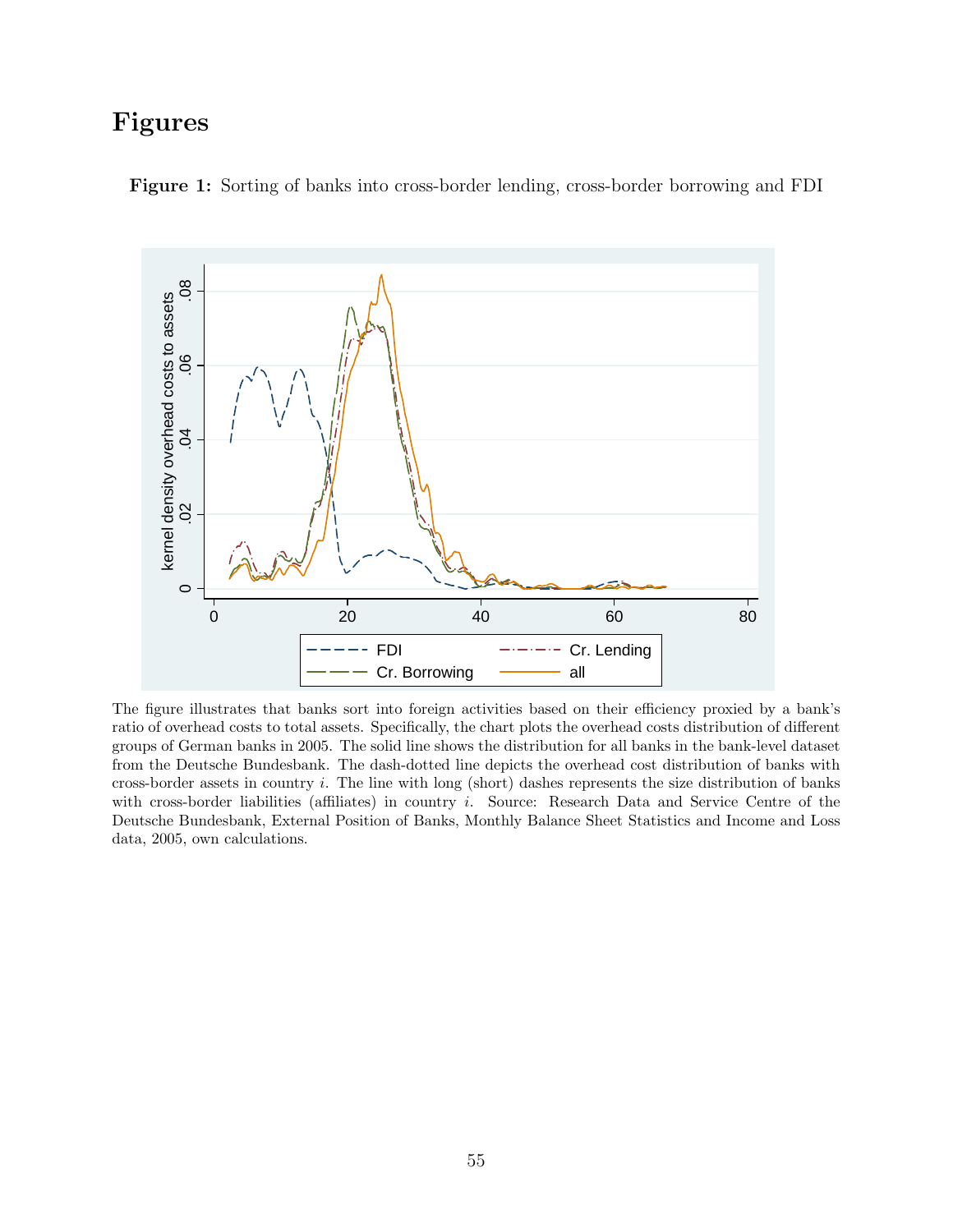# Figures



Figure 1: Sorting of banks into cross-border lending, cross-border borrowing and FDI

The figure illustrates that banks sort into foreign activities based on their efficiency proxied by a bank's ratio of overhead costs to total assets. Specifically, the chart plots the overhead costs distribution of different groups of German banks in 2005. The solid line shows the distribution for all banks in the bank-level dataset from the Deutsche Bundesbank. The dash-dotted line depicts the overhead cost distribution of banks with cross-border assets in country i. The line with long (short) dashes represents the size distribution of banks with cross-border liabilities (affiliates) in country i. Source: Research Data and Service Centre of the Deutsche Bundesbank, External Position of Banks, Monthly Balance Sheet Statistics and Income and Loss data, 2005, own calculations.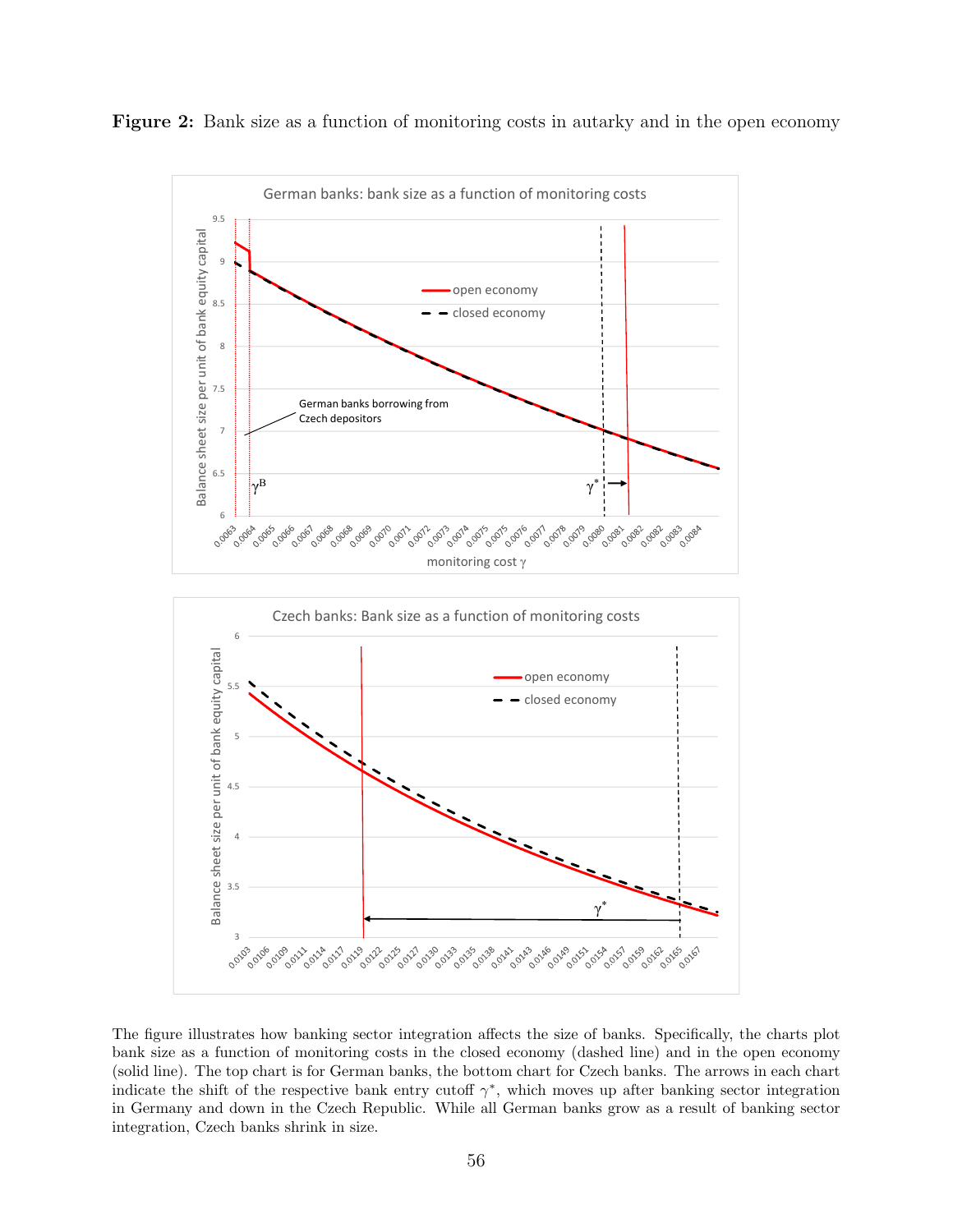Figure 2: Bank size as a function of monitoring costs in autarky and in the open economy



The figure illustrates how banking sector integration affects the size of banks. Specifically, the charts plot bank size as a function of monitoring costs in the closed economy (dashed line) and in the open economy (solid line). The top chart is for German banks, the bottom chart for Czech banks. The arrows in each chart indicate the shift of the respective bank entry cutoff  $\gamma^*$ , which moves up after banking sector integration in Germany and down in the Czech Republic. While all German banks grow as a result of banking sector integration, Czech banks shrink in size.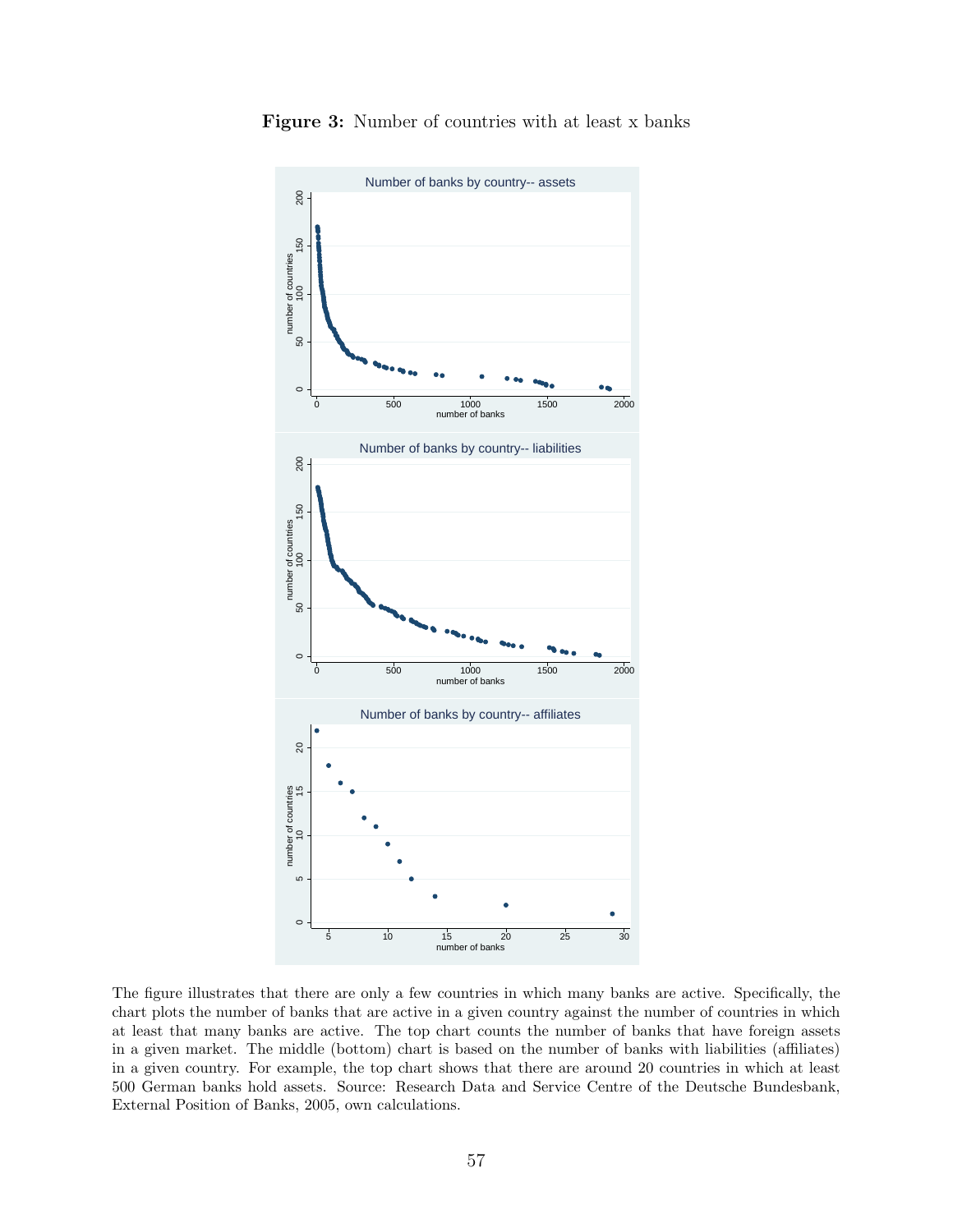

Figure 3: Number of countries with at least x banks

The figure illustrates that there are only a few countries in which many banks are active. Specifically, the chart plots the number of banks that are active in a given country against the number of countries in which at least that many banks are active. The top chart counts the number of banks that have foreign assets in a given market. The middle (bottom) chart is based on the number of banks with liabilities (affiliates) in a given country. For example, the top chart shows that there are around 20 countries in which at least 500 German banks hold assets. Source: Research Data and Service Centre of the Deutsche Bundesbank, External Position of Banks, 2005, own calculations.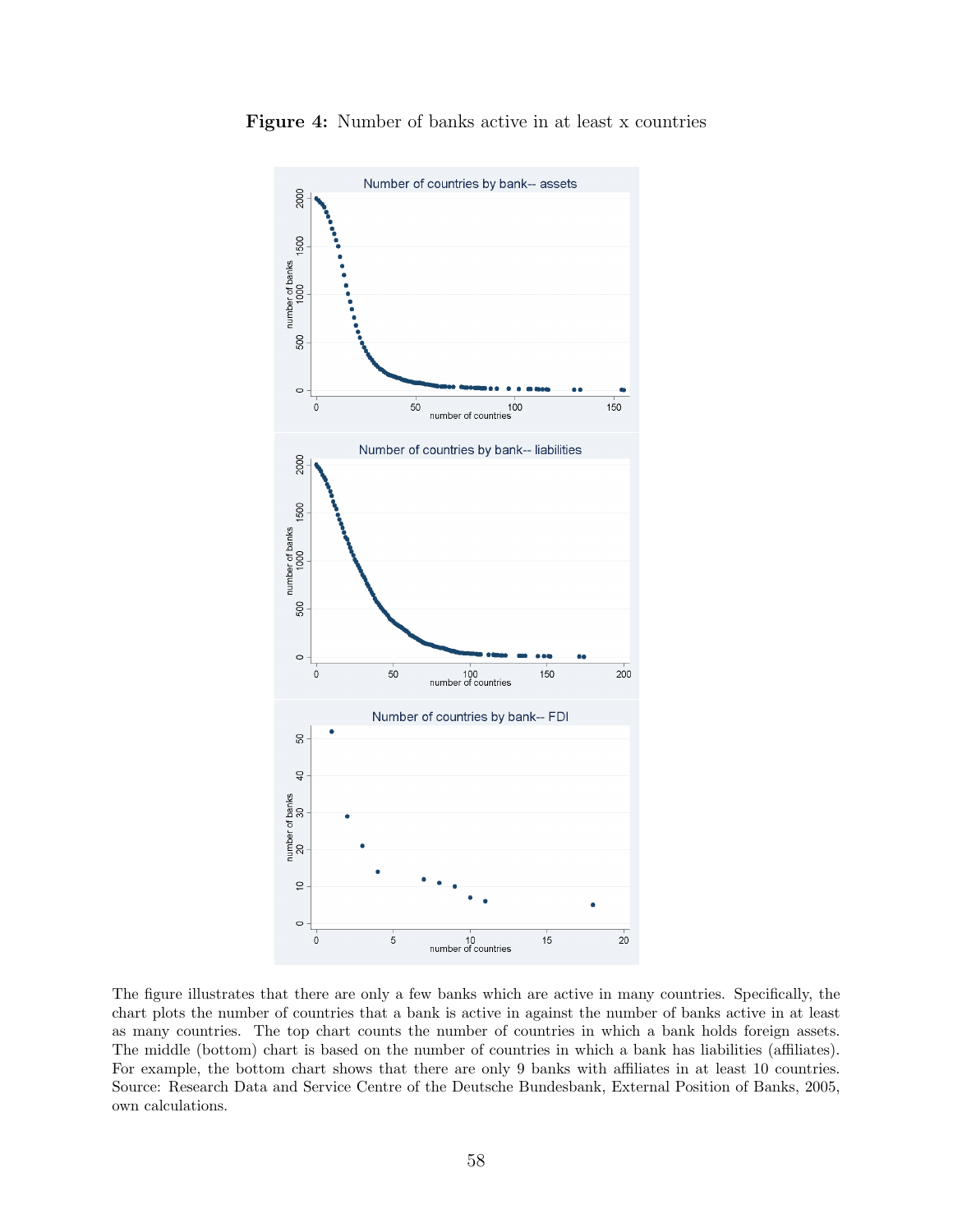

Figure 4: Number of banks active in at least x countries

The figure illustrates that there are only a few banks which are active in many countries. Specifically, the chart plots the number of countries that a bank is active in against the number of banks active in at least as many countries. The top chart counts the number of countries in which a bank holds foreign assets. The middle (bottom) chart is based on the number of countries in which a bank has liabilities (affiliates). For example, the bottom chart shows that there are only 9 banks with affiliates in at least 10 countries. Source: Research Data and Service Centre of the Deutsche Bundesbank, External Position of Banks, 2005, own calculations.